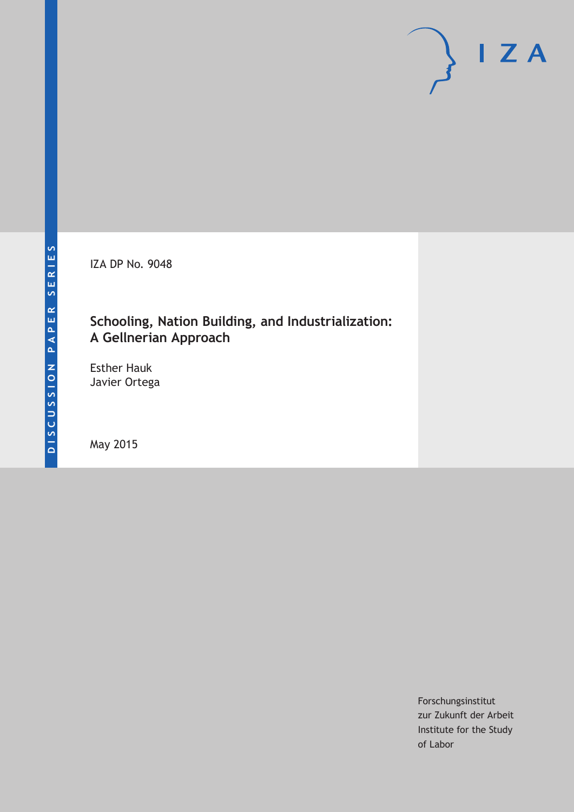IZA DP No. 9048

# **Schooling, Nation Building, and Industrialization: A Gellnerian Approach**

Esther Hauk Javier Ortega

May 2015

Forschungsinstitut zur Zukunft der Arbeit Institute for the Study of Labor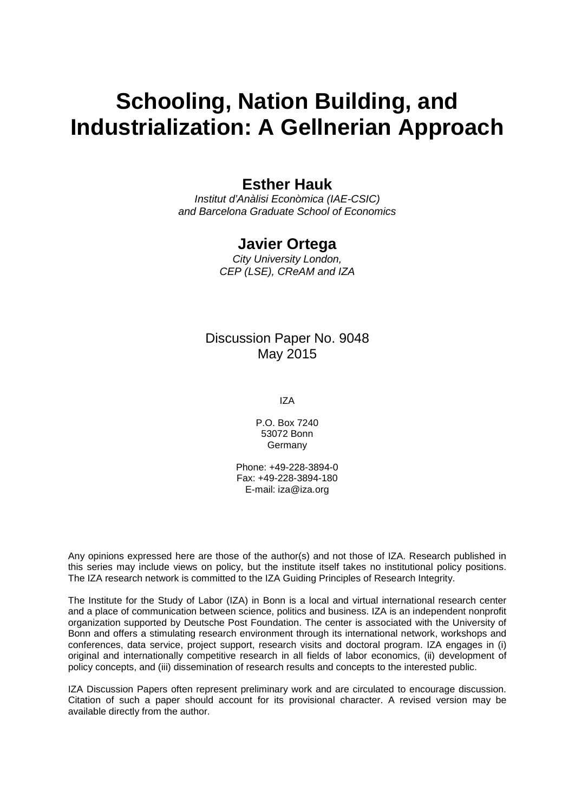# **Schooling, Nation Building, and Industrialization: A Gellnerian Approach**

### **Esther Hauk**

*Institut d'Anàlisi Econòmica (IAE-CSIC) and Barcelona Graduate School of Economics*

### **Javier Ortega**

*City University London, CEP (LSE), CReAM and IZA*

### Discussion Paper No. 9048 May 2015

IZA

P.O. Box 7240 53072 Bonn Germany

Phone: +49-228-3894-0 Fax: +49-228-3894-180 E-mail: iza@iza.org

Any opinions expressed here are those of the author(s) and not those of IZA. Research published in this series may include views on policy, but the institute itself takes no institutional policy positions. The IZA research network is committed to the IZA Guiding Principles of Research Integrity.

The Institute for the Study of Labor (IZA) in Bonn is a local and virtual international research center and a place of communication between science, politics and business. IZA is an independent nonprofit organization supported by Deutsche Post Foundation. The center is associated with the University of Bonn and offers a stimulating research environment through its international network, workshops and conferences, data service, project support, research visits and doctoral program. IZA engages in (i) original and internationally competitive research in all fields of labor economics, (ii) development of policy concepts, and (iii) dissemination of research results and concepts to the interested public.

<span id="page-1-0"></span>IZA Discussion Papers often represent preliminary work and are circulated to encourage discussion. Citation of such a paper should account for its provisional character. A revised version may be available directly from the author.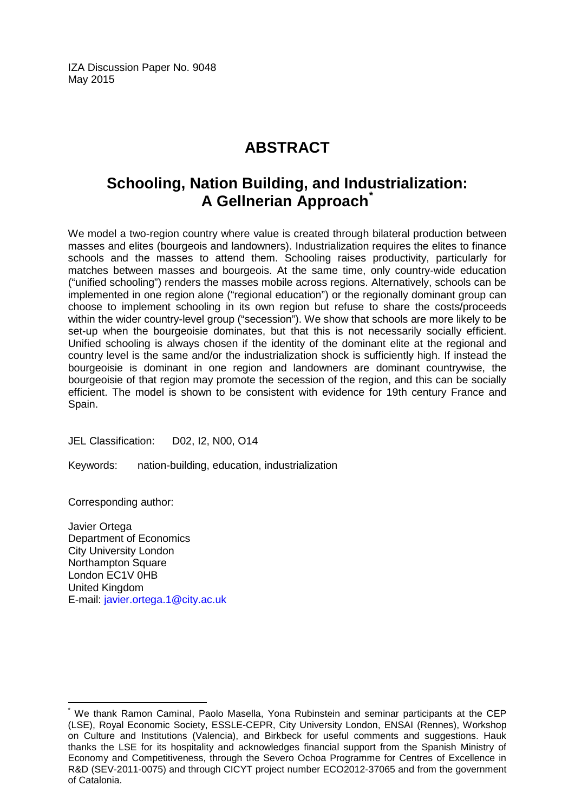IZA Discussion Paper No. 9048 May 2015

# **ABSTRACT**

# **Schooling, Nation Building, and Industrialization: A Gellnerian Approach[\\*](#page-1-0)**

We model a two-region country where value is created through bilateral production between masses and elites (bourgeois and landowners). Industrialization requires the elites to finance schools and the masses to attend them. Schooling raises productivity, particularly for matches between masses and bourgeois. At the same time, only country-wide education ("unified schooling") renders the masses mobile across regions. Alternatively, schools can be implemented in one region alone ("regional education") or the regionally dominant group can choose to implement schooling in its own region but refuse to share the costs/proceeds within the wider country-level group ("secession"). We show that schools are more likely to be set-up when the bourgeoisie dominates, but that this is not necessarily socially efficient. Unified schooling is always chosen if the identity of the dominant elite at the regional and country level is the same and/or the industrialization shock is sufficiently high. If instead the bourgeoisie is dominant in one region and landowners are dominant countrywise, the bourgeoisie of that region may promote the secession of the region, and this can be socially efficient. The model is shown to be consistent with evidence for 19th century France and Spain.

JEL Classification: D02, I2, N00, O14

Keywords: nation-building, education, industrialization

Corresponding author:

Javier Ortega Department of Economics City University London Northampton Square London EC1V 0HB United Kingdom E-mail: [javier.ortega.1@city.ac.uk](mailto:javier.ortega.1@city.ac.uk)

We thank Ramon Caminal, Paolo Masella, Yona Rubinstein and seminar participants at the CEP (LSE), Royal Economic Society, ESSLE-CEPR, City University London, ENSAI (Rennes), Workshop on Culture and Institutions (Valencia), and Birkbeck for useful comments and suggestions. Hauk thanks the LSE for its hospitality and acknowledges financial support from the Spanish Ministry of Economy and Competitiveness, through the Severo Ochoa Programme for Centres of Excellence in R&D (SEV-2011-0075) and through CICYT project number ECO2012-37065 and from the government of Catalonia.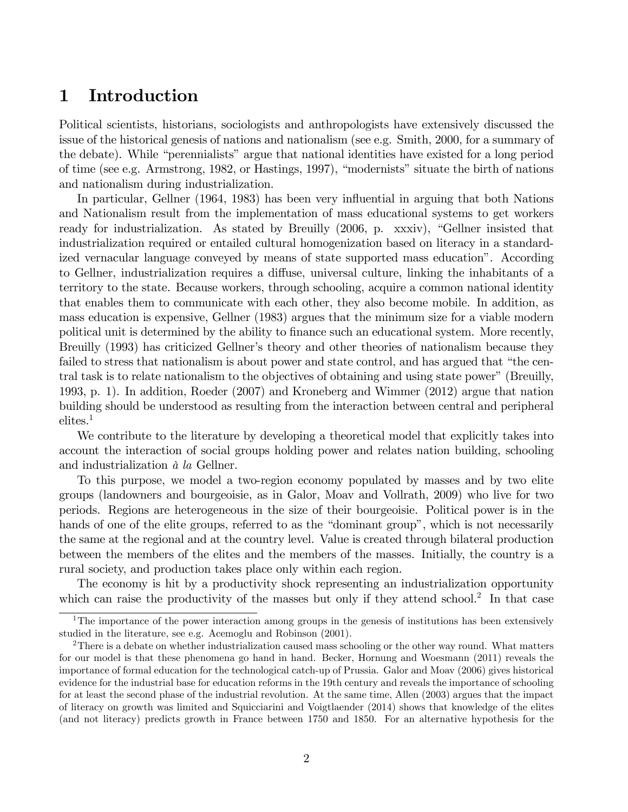# 1 Introduction

Political scientists, historians, sociologists and anthropologists have extensively discussed the issue of the historical genesis of nations and nationalism (see e.g. Smith, 2000, for a summary of the debate). While "perennialists" argue that national identities have existed for a long period of time (see e.g. Armstrong, 1982, or Hastings, 1997), "modernists" situate the birth of nations and nationalism during industrialization.

In particular, Gellner (1964, 1983) has been very influential in arguing that both Nations and Nationalism result from the implementation of mass educational systems to get workers ready for industrialization. As stated by Breuilly  $(2006, p. xxxiv)$ , "Gellner insisted that industrialization required or entailed cultural homogenization based on literacy in a standardized vernacular language conveyed by means of state supported mass education". According to Gellner, industrialization requires a diffuse, universal culture, linking the inhabitants of a territory to the state. Because workers, through schooling, acquire a common national identity that enables them to communicate with each other, they also become mobile. In addition, as mass education is expensive, Gellner (1983) argues that the minimum size for a viable modern political unit is determined by the ability to finance such an educational system. More recently, Breuilly (1993) has criticized Gellner's theory and other theories of nationalism because they failed to stress that nationalism is about power and state control, and has argued that "the central task is to relate nationalism to the objectives of obtaining and using state power" (Breuilly, 1993, p. 1). In addition, Roeder (2007) and Kroneberg and Wimmer (2012) argue that nation building should be understood as resulting from the interaction between central and peripheral elites.<sup>1</sup>

We contribute to the literature by developing a theoretical model that explicitly takes into account the interaction of social groups holding power and relates nation building, schooling and industrialization  $\dot{a}$  la Gellner.

To this purpose, we model a two-region economy populated by masses and by two elite groups (landowners and bourgeoisie, as in Galor, Moav and Vollrath, 2009) who live for two periods. Regions are heterogeneous in the size of their bourgeoisie. Political power is in the hands of one of the elite groups, referred to as the "dominant group", which is not necessarily the same at the regional and at the country level. Value is created through bilateral production between the members of the elites and the members of the masses. Initially, the country is a rural society, and production takes place only within each region.

The economy is hit by a productivity shock representing an industrialization opportunity which can raise the productivity of the masses but only if they attend school.<sup>2</sup> In that case

<sup>&</sup>lt;sup>1</sup>The importance of the power interaction among groups in the genesis of institutions has been extensively studied in the literature, see e.g. Acemoglu and Robinson (2001).

<sup>&</sup>lt;sup>2</sup>There is a debate on whether industrialization caused mass schooling or the other way round. What matters for our model is that these phenomena go hand in hand. Becker, Hornung and Woesmann (2011) reveals the importance of formal education for the technological catch-up of Prussia. Galor and Moav (2006) gives historical evidence for the industrial base for education reforms in the 19th century and reveals the importance of schooling for at least the second phase of the industrial revolution. At the same time, Allen (2003) argues that the impact of literacy on growth was limited and Squicciarini and Voigtlaender (2014) shows that knowledge of the elites (and not literacy) predicts growth in France between 1750 and 1850. For an alternative hypothesis for the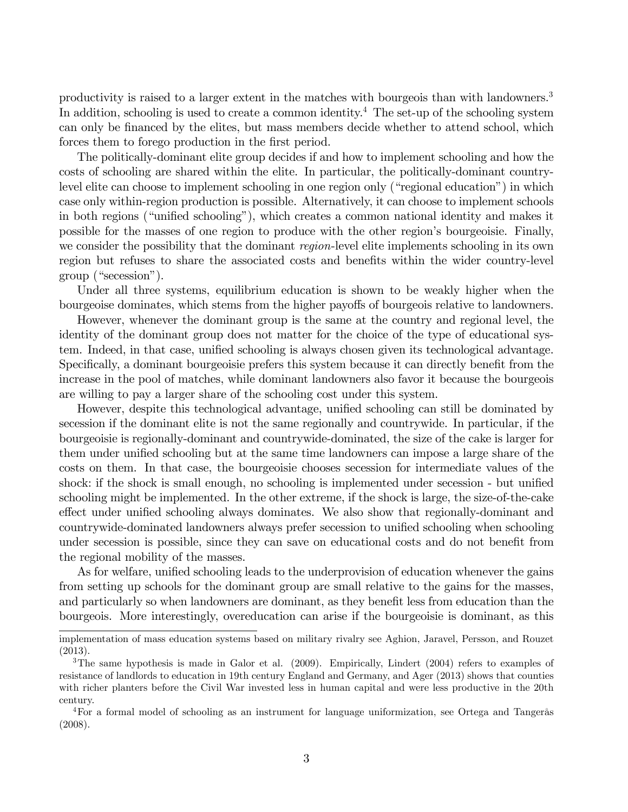productivity is raised to a larger extent in the matches with bourgeois than with landowners.<sup>3</sup> In addition, schooling is used to create a common identity.<sup>4</sup> The set-up of the schooling system can only be financed by the elites, but mass members decide whether to attend school, which forces them to forego production in the first period.

The politically-dominant elite group decides if and how to implement schooling and how the costs of schooling are shared within the elite. In particular, the politically-dominant countrylevel elite can choose to implement schooling in one region only ("regional education") in which case only within-region production is possible. Alternatively, it can choose to implement schools in both regions ("unified schooling"), which creates a common national identity and makes it possible for the masses of one region to produce with the other region's bourgeoisie. Finally, we consider the possibility that the dominant *region*-level elite implements schooling in its own region but refuses to share the associated costs and benefits within the wider country-level  $group$  ("secession").

Under all three systems, equilibrium education is shown to be weakly higher when the bourgeoise dominates, which stems from the higher payoffs of bourgeois relative to landowners.

However, whenever the dominant group is the same at the country and regional level, the identity of the dominant group does not matter for the choice of the type of educational system. Indeed, in that case, unified schooling is always chosen given its technological advantage. Specifically, a dominant bourgeoisie prefers this system because it can directly benefit from the increase in the pool of matches, while dominant landowners also favor it because the bourgeois are willing to pay a larger share of the schooling cost under this system.

However, despite this technological advantage, unified schooling can still be dominated by secession if the dominant elite is not the same regionally and countrywide. In particular, if the bourgeoisie is regionally-dominant and countrywide-dominated, the size of the cake is larger for them under unified schooling but at the same time landowners can impose a large share of the costs on them. In that case, the bourgeoisie chooses secession for intermediate values of the shock: if the shock is small enough, no schooling is implemented under secession - but unified schooling might be implemented. In the other extreme, if the shock is large, the size-of-the-cake effect under unified schooling always dominates. We also show that regionally-dominant and countrywide-dominated landowners always prefer secession to unified schooling when schooling under secession is possible, since they can save on educational costs and do not benefit from the regional mobility of the masses.

As for welfare, unified schooling leads to the underprovision of education whenever the gains from setting up schools for the dominant group are small relative to the gains for the masses, and particularly so when landowners are dominant, as they benefit less from education than the bourgeois. More interestingly, overeducation can arise if the bourgeoisie is dominant, as this

implementation of mass education systems based on military rivalry see Aghion, Jaravel, Persson, and Rouzet (2013).

<sup>&</sup>lt;sup>3</sup>The same hypothesis is made in Galor et al. (2009). Empirically, Lindert (2004) refers to examples of resistance of landlords to education in 19th century England and Germany, and Ager (2013) shows that counties with richer planters before the Civil War invested less in human capital and were less productive in the 20th century.

<sup>&</sup>lt;sup>4</sup>For a formal model of schooling as an instrument for language uniformization, see Ortega and Tangerås (2008).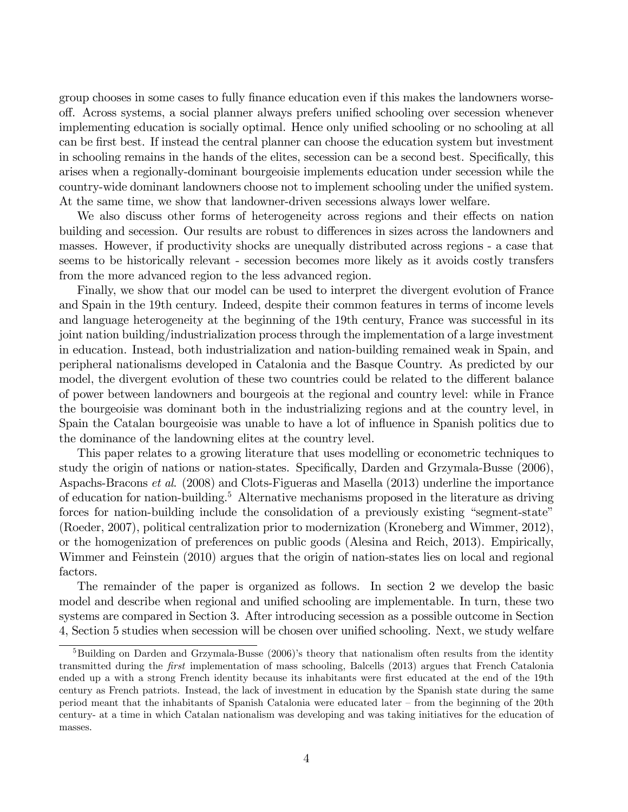group chooses in some cases to fully finance education even if this makes the landowners worseoff. Across systems, a social planner always prefers unified schooling over secession whenever implementing education is socially optimal. Hence only unified schooling or no schooling at all can be Örst best. If instead the central planner can choose the education system but investment in schooling remains in the hands of the elites, secession can be a second best. Specifically, this arises when a regionally-dominant bourgeoisie implements education under secession while the country-wide dominant landowners choose not to implement schooling under the unified system. At the same time, we show that landowner-driven secessions always lower welfare.

We also discuss other forms of heterogeneity across regions and their effects on nation building and secession. Our results are robust to differences in sizes across the landowners and masses. However, if productivity shocks are unequally distributed across regions - a case that seems to be historically relevant - secession becomes more likely as it avoids costly transfers from the more advanced region to the less advanced region.

Finally, we show that our model can be used to interpret the divergent evolution of France and Spain in the 19th century. Indeed, despite their common features in terms of income levels and language heterogeneity at the beginning of the 19th century, France was successful in its joint nation building/industrialization process through the implementation of a large investment in education. Instead, both industrialization and nation-building remained weak in Spain, and peripheral nationalisms developed in Catalonia and the Basque Country. As predicted by our model, the divergent evolution of these two countries could be related to the different balance of power between landowners and bourgeois at the regional and country level: while in France the bourgeoisie was dominant both in the industrializing regions and at the country level, in Spain the Catalan bourgeoisie was unable to have a lot of influence in Spanish politics due to the dominance of the landowning elites at the country level.

This paper relates to a growing literature that uses modelling or econometric techniques to study the origin of nations or nation-states. Specifically, Darden and Grzymala-Busse (2006), Aspachs-Bracons et al. (2008) and Clots-Figueras and Masella (2013) underline the importance of education for nation-building.<sup>5</sup> Alternative mechanisms proposed in the literature as driving forces for nation-building include the consolidation of a previously existing "segment-state" (Roeder, 2007), political centralization prior to modernization (Kroneberg and Wimmer, 2012), or the homogenization of preferences on public goods (Alesina and Reich, 2013). Empirically, Wimmer and Feinstein (2010) argues that the origin of nation-states lies on local and regional factors.

The remainder of the paper is organized as follows. In section 2 we develop the basic model and describe when regional and unified schooling are implementable. In turn, these two systems are compared in Section 3. After introducing secession as a possible outcome in Section 4, Section 5 studies when secession will be chosen over unified schooling. Next, we study welfare

 $5B$ uilding on Darden and Grzymala-Busse (2006)'s theory that nationalism often results from the identity transmitted during the *first* implementation of mass schooling, Balcells (2013) argues that French Catalonia ended up a with a strong French identity because its inhabitants were first educated at the end of the 19th century as French patriots. Instead, the lack of investment in education by the Spanish state during the same period meant that the inhabitants of Spanish Catalonia were educated later  $\overline{\phantom{a}}$  from the beginning of the 20th century- at a time in which Catalan nationalism was developing and was taking initiatives for the education of masses.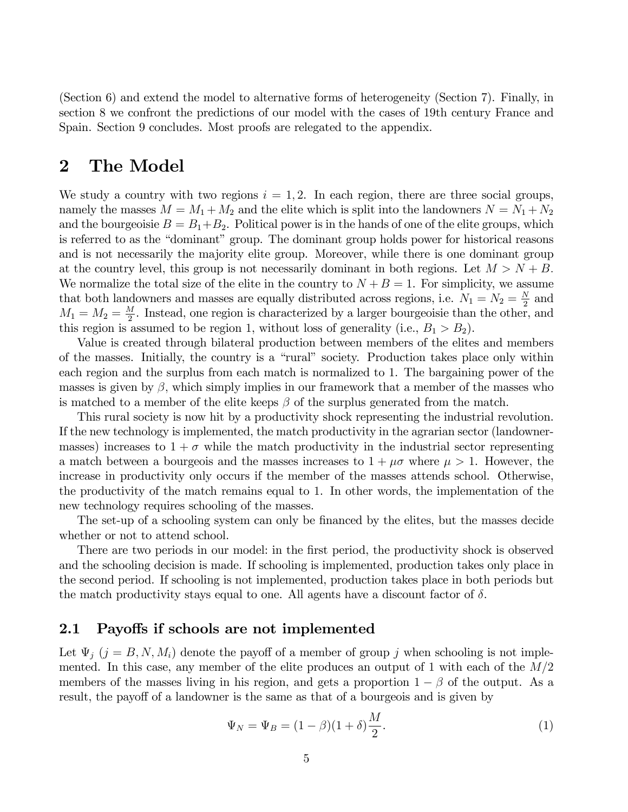(Section 6) and extend the model to alternative forms of heterogeneity (Section 7). Finally, in section 8 we confront the predictions of our model with the cases of 19th century France and Spain. Section 9 concludes. Most proofs are relegated to the appendix.

# 2 The Model

We study a country with two regions  $i = 1, 2$ . In each region, there are three social groups, namely the masses  $M = M_1 + M_2$  and the elite which is split into the landowners  $N = N_1 + N_2$ and the bourgeoisie  $B = B_1 + B_2$ . Political power is in the hands of one of the elite groups, which is referred to as the "dominant" group. The dominant group holds power for historical reasons and is not necessarily the majority elite group. Moreover, while there is one dominant group at the country level, this group is not necessarily dominant in both regions. Let  $M > N + B$ . We normalize the total size of the elite in the country to  $N + B = 1$ . For simplicity, we assume that both landowners and masses are equally distributed across regions, i.e.  $N_1 = N_2 = \frac{N_1}{2}$  $\frac{N}{2}$  and  $M_1 = M_2 = \frac{M}{2}$  $\frac{M}{2}$ . Instead, one region is characterized by a larger bourgeoisie than the other, and this region is assumed to be region 1, without loss of generality (i.e.,  $B_1 > B_2$ ).

Value is created through bilateral production between members of the elites and members of the masses. Initially, the country is a "rural" society. Production takes place only within each region and the surplus from each match is normalized to 1. The bargaining power of the masses is given by  $\beta$ , which simply implies in our framework that a member of the masses who is matched to a member of the elite keeps  $\beta$  of the surplus generated from the match.

This rural society is now hit by a productivity shock representing the industrial revolution. If the new technology is implemented, the match productivity in the agrarian sector (landownermasses) increases to  $1 + \sigma$  while the match productivity in the industrial sector representing a match between a bourgeois and the masses increases to  $1 + \mu \sigma$  where  $\mu > 1$ . However, the increase in productivity only occurs if the member of the masses attends school. Otherwise, the productivity of the match remains equal to 1. In other words, the implementation of the new technology requires schooling of the masses.

The set-up of a schooling system can only be financed by the elites, but the masses decide whether or not to attend school.

There are two periods in our model: in the first period, the productivity shock is observed and the schooling decision is made. If schooling is implemented, production takes only place in the second period. If schooling is not implemented, production takes place in both periods but the match productivity stays equal to one. All agents have a discount factor of  $\delta$ .

### 2.1 Payoffs if schools are not implemented

Let  $\Psi_j$   $(j = B, N, M_i)$  denote the payoff of a member of group j when schooling is not implemented. In this case, any member of the elite produces an output of 1 with each of the  $M/2$ members of the masses living in his region, and gets a proportion  $1 - \beta$  of the output. As a result, the payoff of a landowner is the same as that of a bourgeois and is given by

$$
\Psi_N = \Psi_B = (1 - \beta)(1 + \delta)\frac{M}{2}.
$$
\n(1)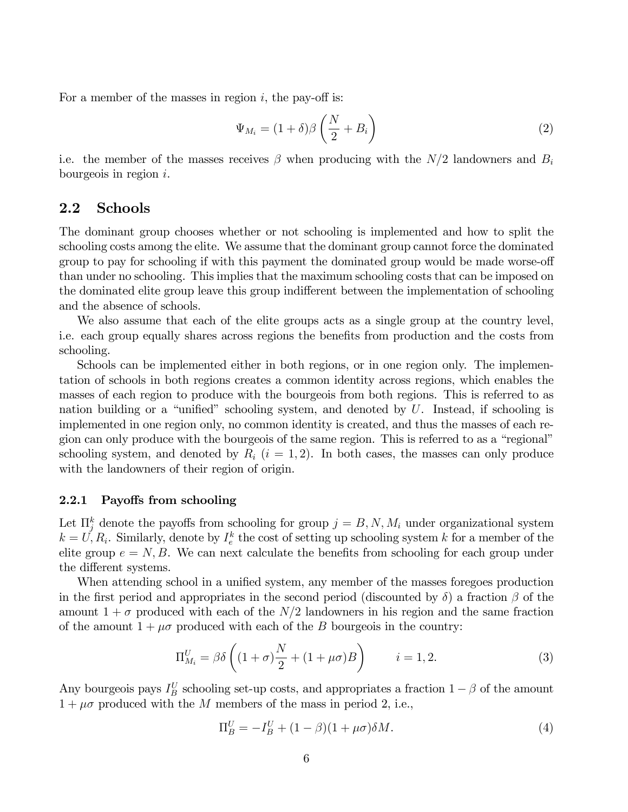For a member of the masses in region  $i$ , the pay-off is:

$$
\Psi_{M_i} = (1+\delta)\beta \left(\frac{N}{2} + B_i\right) \tag{2}
$$

i.e. the member of the masses receives  $\beta$  when producing with the  $N/2$  landowners and  $B_i$ bourgeois in region  $i$ .

### 2.2 Schools

The dominant group chooses whether or not schooling is implemented and how to split the schooling costs among the elite. We assume that the dominant group cannot force the dominated group to pay for schooling if with this payment the dominated group would be made worse-off than under no schooling. This implies that the maximum schooling costs that can be imposed on the dominated elite group leave this group indifferent between the implementation of schooling and the absence of schools.

We also assume that each of the elite groups acts as a single group at the country level, i.e. each group equally shares across regions the benefits from production and the costs from schooling.

Schools can be implemented either in both regions, or in one region only. The implementation of schools in both regions creates a common identity across regions, which enables the masses of each region to produce with the bourgeois from both regions. This is referred to as nation building or a "unified" schooling system, and denoted by  $U$ . Instead, if schooling is implemented in one region only, no common identity is created, and thus the masses of each region can only produce with the bourgeois of the same region. This is referred to as a "regional" schooling system, and denoted by  $R_i$   $(i = 1, 2)$ . In both cases, the masses can only produce with the landowners of their region of origin.

#### 2.2.1 Payoffs from schooling

Let  $\prod_{j=1}^{k}$  denote the payoffs from schooling for group  $j = B, N, M_i$  under organizational system  $k = U, R_i$ . Similarly, denote by  $I_e^k$  the cost of setting up schooling system k for a member of the elite group  $e = N, B$ . We can next calculate the benefits from schooling for each group under the different systems.

When attending school in a unified system, any member of the masses foregoes production in the first period and appropriates in the second period (discounted by  $\delta$ ) a fraction  $\beta$  of the amount  $1 + \sigma$  produced with each of the  $N/2$  landowners in his region and the same fraction of the amount  $1 + \mu \sigma$  produced with each of the B bourgeois in the country:

$$
\Pi_{M_i}^U = \beta \delta \left( (1+\sigma) \frac{N}{2} + (1+\mu \sigma) B \right) \qquad i=1,2. \tag{3}
$$

Any bourgeois pays  $I_B^U$  schooling set-up costs, and appropriates a fraction  $1 - \beta$  of the amount  $1 + \mu\sigma$  produced with the M members of the mass in period 2, i.e.,

$$
\Pi_B^U = -I_B^U + (1 - \beta)(1 + \mu \sigma) \delta M. \tag{4}
$$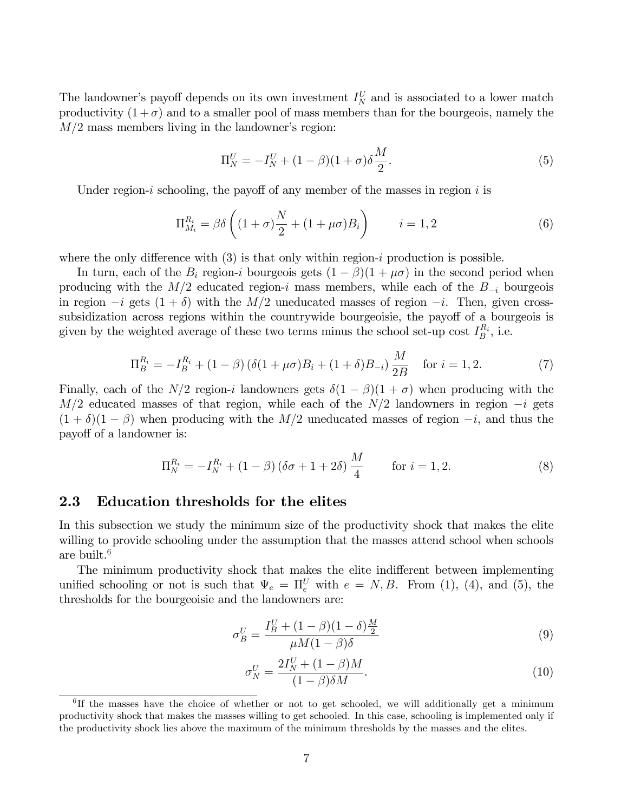The landowner's payoff depends on its own investment  $I_N^U$  and is associated to a lower match productivity  $(1 + \sigma)$  and to a smaller pool of mass members than for the bourgeois, namely the  $M/2$  mass members living in the landowner's region:

$$
\Pi_N^U = -I_N^U + (1 - \beta)(1 + \sigma)\delta \frac{M}{2}.
$$
\n(5)

Under region-i schooling, the payoff of any member of the masses in region i is

$$
\Pi_{M_i}^{R_i} = \beta \delta \left( (1+\sigma) \frac{N}{2} + (1+\mu \sigma) B_i \right) \qquad i=1,2
$$
 (6)

where the only difference with  $(3)$  is that only within region-i production is possible.

In turn, each of the  $B_i$  region-i bourgeois gets  $(1 - \beta)(1 + \mu \sigma)$  in the second period when producing with the  $M/2$  educated region-i mass members, while each of the  $B_{-i}$  bourgeois in region  $-i$  gets  $(1 + \delta)$  with the  $M/2$  uneducated masses of region  $-i$ . Then, given crosssubsidization across regions within the countrywide bourgeoisie, the payoff of a bourgeois is given by the weighted average of these two terms minus the school set-up cost  $I_B^{R_i}$ , i.e.

$$
\Pi_B^{R_i} = -I_B^{R_i} + (1 - \beta) \left( \delta (1 + \mu \sigma) B_i + (1 + \delta) B_{-i} \right) \frac{M}{2B} \quad \text{for } i = 1, 2. \tag{7}
$$

Finally, each of the  $N/2$  region-i landowners gets  $\delta(1 - \beta)(1 + \sigma)$  when producing with the  $M/2$  educated masses of that region, while each of the  $N/2$  landowners in region  $-i$  gets  $(1 + \delta)(1 - \beta)$  when producing with the M/2 uneducated masses of region  $-i$ , and thus the payoff of a landowner is:

$$
\Pi_N^{R_i} = -I_N^{R_i} + (1 - \beta) (\delta \sigma + 1 + 2\delta) \frac{M}{4} \quad \text{for } i = 1, 2.
$$
 (8)

#### 2.3 Education thresholds for the elites

In this subsection we study the minimum size of the productivity shock that makes the elite willing to provide schooling under the assumption that the masses attend school when schools are built.<sup>6</sup>

The minimum productivity shock that makes the elite indifferent between implementing unified schooling or not is such that  $\Psi_e = \Pi_e^U$  with  $e = N, B$ . From (1), (4), and (5), the thresholds for the bourgeoisie and the landowners are:

$$
\sigma_B^U = \frac{I_B^U + (1 - \beta)(1 - \delta)\frac{M}{2}}{\mu M(1 - \beta)\delta}
$$
\n(9)

$$
\sigma_N^U = \frac{2I_N^U + (1 - \beta)M}{(1 - \beta)\delta M}.\tag{10}
$$

<sup>&</sup>lt;sup>6</sup>If the masses have the choice of whether or not to get schooled, we will additionally get a minimum productivity shock that makes the masses willing to get schooled. In this case, schooling is implemented only if the productivity shock lies above the maximum of the minimum thresholds by the masses and the elites.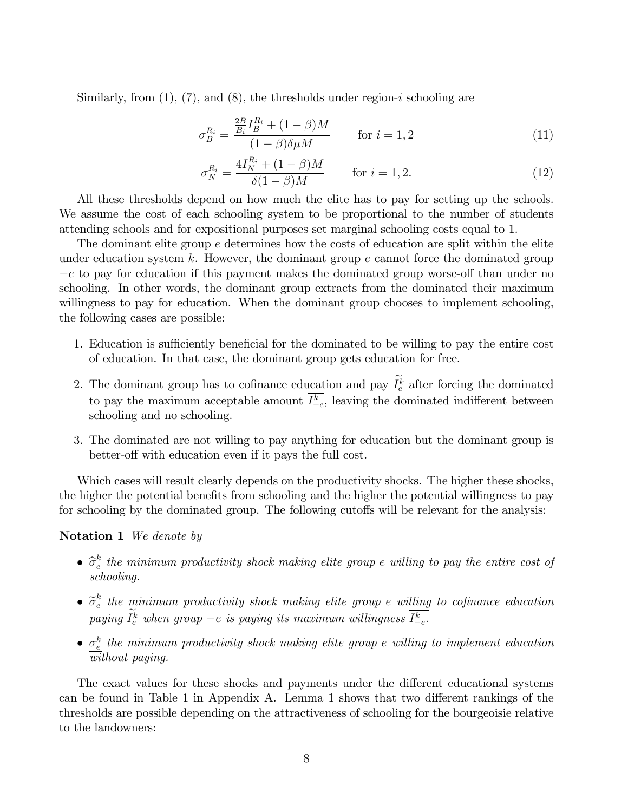Similarly, from  $(1)$ ,  $(7)$ , and  $(8)$ , the thresholds under region-i schooling are

$$
\sigma_B^{R_i} = \frac{\frac{2B}{B_i} I_B^{R_i} + (1 - \beta)M}{(1 - \beta)\delta \mu M} \quad \text{for } i = 1, 2
$$
 (11)

$$
\sigma_N^{R_i} = \frac{4I_N^{R_i} + (1 - \beta)M}{\delta(1 - \beta)M} \quad \text{for } i = 1, 2.
$$
 (12)

All these thresholds depend on how much the elite has to pay for setting up the schools. We assume the cost of each schooling system to be proportional to the number of students attending schools and for expositional purposes set marginal schooling costs equal to 1.

The dominant elite group  $e$  determines how the costs of education are split within the elite under education system k. However, the dominant group  $e$  cannot force the dominated group  $-e$  to pay for education if this payment makes the dominated group worse-off than under no schooling. In other words, the dominant group extracts from the dominated their maximum willingness to pay for education. When the dominant group chooses to implement schooling, the following cases are possible:

- 1. Education is sufficiently beneficial for the dominated to be willing to pay the entire cost of education. In that case, the dominant group gets education for free.
- 2. The dominant group has to cofinance education and pay  $I_e^k$  after forcing the dominated to pay the maximum acceptable amount  $I_{-e}^k$ , leaving the dominated indifferent between schooling and no schooling.
- 3. The dominated are not willing to pay anything for education but the dominant group is better-off with education even if it pays the full cost.

Which cases will result clearly depends on the productivity shocks. The higher these shocks, the higher the potential benefits from schooling and the higher the potential willingness to pay for schooling by the dominated group. The following cutoffs will be relevant for the analysis:

#### Notation 1 We denote by

- $\bullet$   $\widehat{\sigma}_{e}^{k}$  $\frac{k}{e}$  the minimum productivity shock making elite group e willing to pay the entire cost of schooling.
- $\bullet$   $\widetilde{\sigma}_{e}^{k}$  $\frac{k}{e}$  the minimum productivity shock making elite group e willing to cofinance education paying  $I_e^k$  when group  $-e$  is paying its maximum willingness  $I_{-e}^k$ .
- $\sigma_e^k$  the minimum productivity shock making elite group e willing to implement education without paying.

The exact values for these shocks and payments under the different educational systems can be found in Table 1 in Appendix A. Lemma 1 shows that two different rankings of the thresholds are possible depending on the attractiveness of schooling for the bourgeoisie relative to the landowners: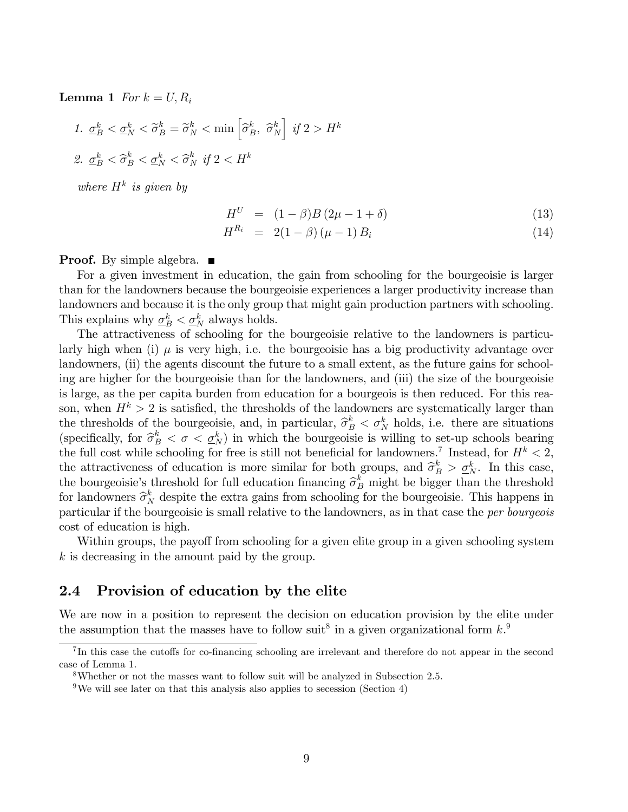**Lemma 1** For  $k = U, R_i$ 

1. 
$$
\underline{\sigma}_B^k < \underline{\sigma}_N^k < \widetilde{\sigma}_B^k = \widetilde{\sigma}_N^k < \min\left[\widehat{\sigma}_B^k, \widehat{\sigma}_N^k\right] \text{ if } 2 > H^k
$$
  
2.  $\underline{\sigma}_B^k < \widehat{\sigma}_B^k < \underline{\sigma}_N^k < \widehat{\sigma}_N^k \text{ if } 2 < H^k$ 

where  $H^k$  is given by

$$
H^{U} = (1 - \beta)B(2\mu - 1 + \delta)
$$
 (13)

$$
H^{R_i} = 2(1 - \beta)(\mu - 1) B_i \tag{14}
$$

**Proof.** By simple algebra.  $\blacksquare$ 

For a given investment in education, the gain from schooling for the bourgeoisie is larger than for the landowners because the bourgeoisie experiences a larger productivity increase than landowners and because it is the only group that might gain production partners with schooling. This explains why  $\underline{\sigma}_B^k < \underline{\sigma}_N^k$  always holds.

The attractiveness of schooling for the bourgeoisie relative to the landowners is particularly high when (i)  $\mu$  is very high, i.e. the bourgeoisie has a big productivity advantage over landowners, (ii) the agents discount the future to a small extent, as the future gains for schooling are higher for the bourgeoisie than for the landowners, and (iii) the size of the bourgeoisie is large, as the per capita burden from education for a bourgeois is then reduced. For this reason, when  $H^k > 2$  is satisfied, the thresholds of the landowners are systematically larger than the thresholds of the bourgeoisie, and, in particular,  $\hat{\sigma}_B^k < \underline{\sigma}_N^k$  holds, i.e. there are situations  $(\sigma_k, \hat{\sigma}_k^k)$  for  $\hat{\sigma}_k^k$  is  $\sigma_k^k$ . (specifically, for  $\hat{\sigma}_B^k < \sigma < \underline{\sigma}_N^k$ ) in which the bourgeoisie is willing to set-up schools bearing the full cost while schooling for free is still not beneficial for landowners.<sup>7</sup> Instead, for  $H^k < 2$ , the attractiveness of education is more similar for both groups, and  $\hat{\sigma}_B^k > \underline{\sigma}_N^k$ . In this case, the bourgeoisie's threshold for full education financing  $\hat{\sigma}_B^k$  might be bigger than the threshold<br>for leadern are  $\hat{\sigma}_B^k$ , denite the extreme wine from schedule of the homogeneir. This happens in for landowners  $\hat{\sigma}_N^k$  despite the extra gains from schooling for the bourgeoisie. This happens in particular if the bourgeoisie is small relative to the landowners, as in that case the per bourgeois cost of education is high.

Within groups, the payoff from schooling for a given elite group in a given schooling system k is decreasing in the amount paid by the group.

### 2.4 Provision of education by the elite

We are now in a position to represent the decision on education provision by the elite under the assumption that the masses have to follow suit<sup>8</sup> in a given organizational form  $k$ <sup>9</sup>.

 ${}^{7}$ In this case the cutoffs for co-financing schooling are irrelevant and therefore do not appear in the second case of Lemma 1.

<sup>8</sup>Whether or not the masses want to follow suit will be analyzed in Subsection 2.5.

<sup>&</sup>lt;sup>9</sup>We will see later on that this analysis also applies to secession (Section 4)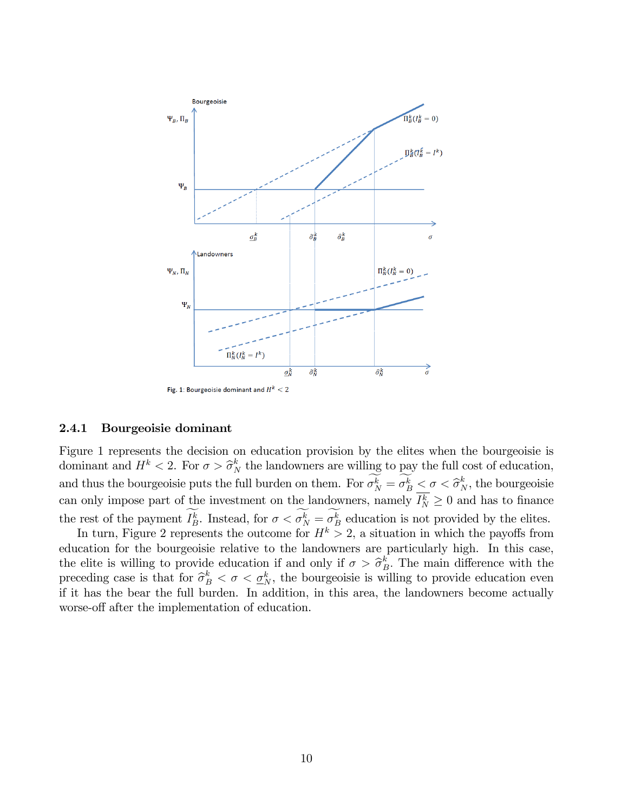

#### 2.4.1 Bourgeoisie dominant

Figure 1 represents the decision on education provision by the elites when the bourgeoisie is dominant and  $H^k < 2$ . For  $\sigma > \widehat{\sigma}_N^k$  the landowners are willing to pay the full cost of education, and thus the bourgeoisie puts the full burden on them. For  $\sigma_N^k = \sigma_B^k \leq \sigma \leq \hat{\sigma}_N^k$ , the bourgeoisie can only impose part of the investment on the landowners, namely  $I_N^k \geq 0$  and has to finance the rest of the payment  $I_B^k$ . Instead, for  $\sigma < \sigma_N^k = \sigma_B^k$  education is not provided by the elites.

In turn, Figure 2 represents the outcome for  $H^k > 2$ , a situation in which the payoffs from education for the bourgeoisie relative to the landowners are particularly high. In this case, the elite is willing to provide education if and only if  $\sigma > \hat{\sigma}_B^k$ . The main difference with the preceding case is that for  $\hat{\sigma}_B^k < \sigma < \underline{\sigma}_N^k$ , the bourgeoisie is willing to provide education even if it has the bear the full burden. In addition, in this area, the landowners become actually worse-off after the implementation of education.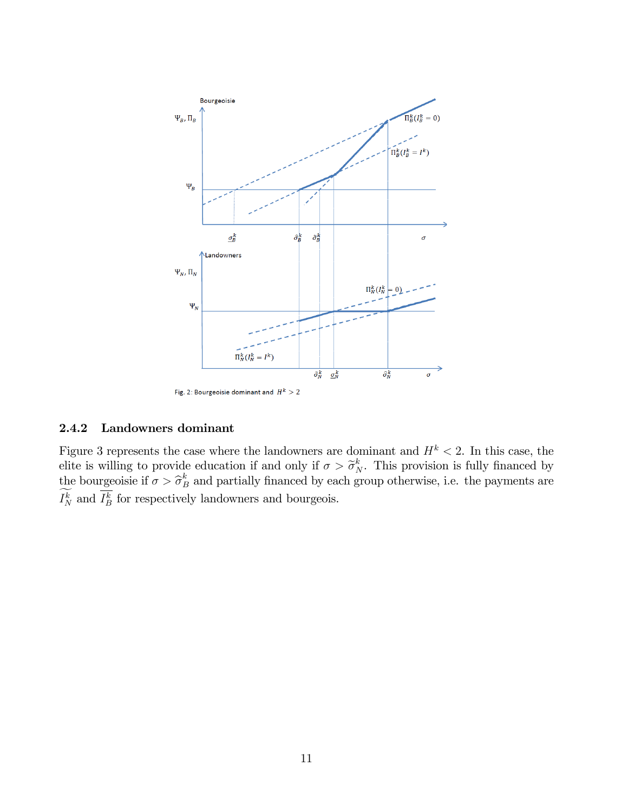

### 2.4.2 Landowners dominant

Figure 3 represents the case where the landowners are dominant and  $H^k < 2$ . In this case, the elite is willing to provide education if and only if  $\sigma > \tilde{\sigma}_N^k$ . This provision is fully financed by the bourgeoisie if  $\sigma > \hat{\sigma}_B^k$  and partially financed by each group otherwise, i.e. the payments are  $I_N^k$  and  $I_B^k$  for respectively landowners and bourgeois.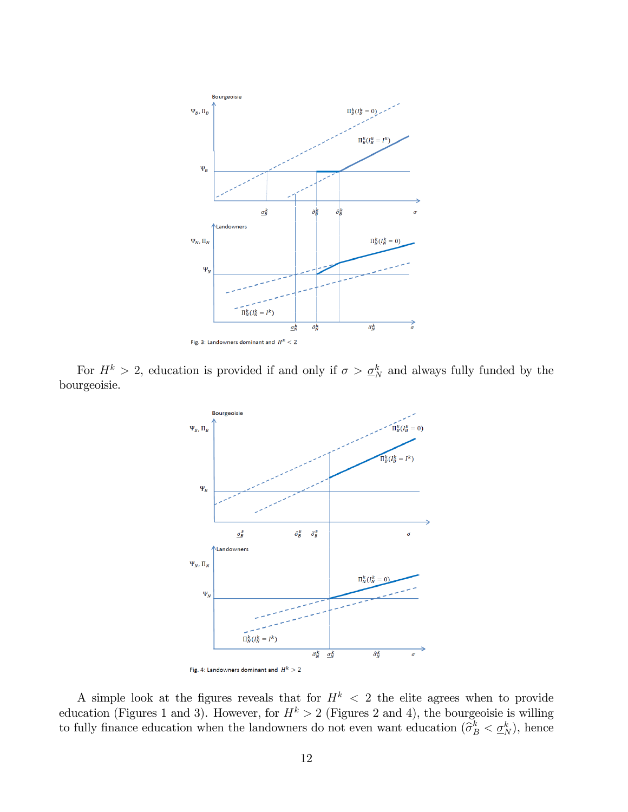

For  $H^k > 2$ , education is provided if and only if  $\sigma > \underline{\sigma}_N^k$  and always fully funded by the bourgeoisie.



A simple look at the figures reveals that for  $H^k$  < 2 the elite agrees when to provide education (Figures 1 and 3). However, for  $H^k > 2$  (Figures 2 and 4), the bourgeoisie is willing to fully finance education when the landowners do not even want education  $(\hat{\sigma}_B^k < \underline{\sigma}_N^k)$ , hence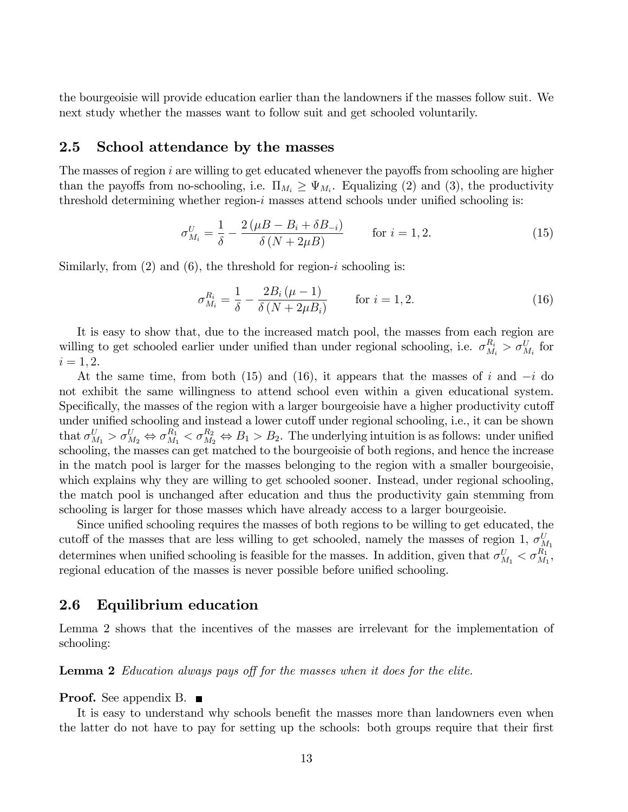the bourgeoisie will provide education earlier than the landowners if the masses follow suit. We next study whether the masses want to follow suit and get schooled voluntarily.

#### 2.5 School attendance by the masses

The masses of region  $i$  are willing to get educated whenever the payoffs from schooling are higher than the payoffs from no-schooling, i.e.  $\Pi_{M_i} \geq \Psi_{M_i}$ . Equalizing (2) and (3), the productivity threshold determining whether region- $i$  masses attend schools under unified schooling is:

$$
\sigma_{M_i}^U = \frac{1}{\delta} - \frac{2(\mu - B_i + \delta B_{-i})}{\delta (N + 2\mu)}
$$
 for  $i = 1, 2$ . (15)

Similarly, from  $(2)$  and  $(6)$ , the threshold for region-*i* schooling is:

$$
\sigma_{M_i}^{R_i} = \frac{1}{\delta} - \frac{2B_i(\mu - 1)}{\delta (N + 2\mu B_i)} \quad \text{for } i = 1, 2.
$$
 (16)

It is easy to show that, due to the increased match pool, the masses from each region are willing to get schooled earlier under unified than under regional schooling, i.e.  $\sigma_{M_i}^{R_i} > \sigma_{M_i}^{U}$  for  $i = 1, 2.$ 

At the same time, from both (15) and (16), it appears that the masses of i and  $-i$  do not exhibit the same willingness to attend school even within a given educational system. Specifically, the masses of the region with a larger bourgeoisie have a higher productivity cutoff under unified schooling and instead a lower cutoff under regional schooling, i.e., it can be shown that  $\sigma_{M_1}^U > \sigma_{M_2}^U \Leftrightarrow \sigma_{M_1}^{R_1} < \sigma_{M_2}^{R_2} \Leftrightarrow B_1 > B_2$ . The underlying intuition is as follows: under unified schooling, the masses can get matched to the bourgeoisie of both regions, and hence the increase in the match pool is larger for the masses belonging to the region with a smaller bourgeoisie, which explains why they are willing to get schooled sooner. Instead, under regional schooling, the match pool is unchanged after education and thus the productivity gain stemming from schooling is larger for those masses which have already access to a larger bourgeoisie.

Since unified schooling requires the masses of both regions to be willing to get educated, the cutoff of the masses that are less willing to get schooled, namely the masses of region 1,  $\sigma_{M_1}^U$ determines when unified schooling is feasible for the masses. In addition, given that  $\sigma_{M_1}^U < \sigma_{M_1}^{R_1}$ , regional education of the masses is never possible before unified schooling.

### 2.6 Equilibrium education

Lemma 2 shows that the incentives of the masses are irrelevant for the implementation of schooling:

**Lemma 2** Education always pays off for the masses when it does for the elite.

#### **Proof.** See appendix B.  $\blacksquare$

It is easy to understand why schools benefit the masses more than landowners even when the latter do not have to pay for setting up the schools: both groups require that their first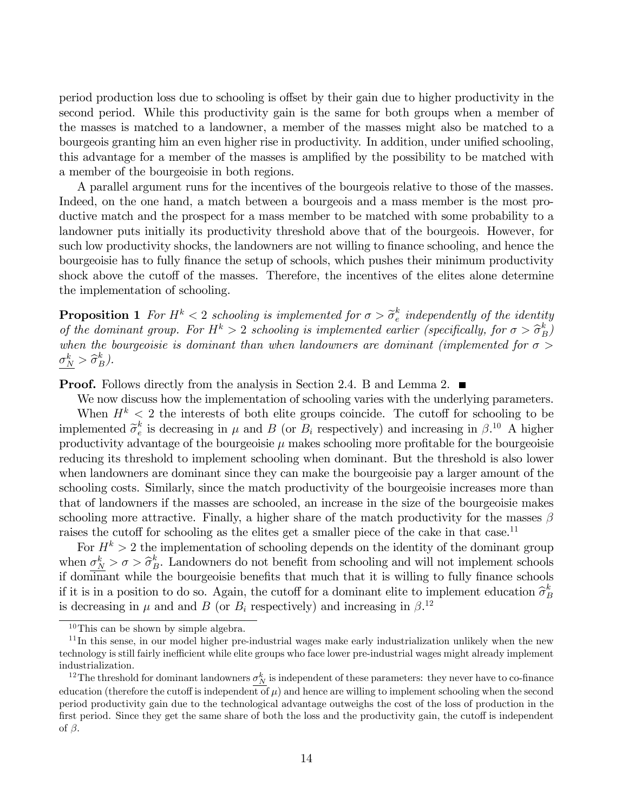period production loss due to schooling is offset by their gain due to higher productivity in the second period. While this productivity gain is the same for both groups when a member of the masses is matched to a landowner, a member of the masses might also be matched to a bourgeois granting him an even higher rise in productivity. In addition, under unified schooling, this advantage for a member of the masses is amplified by the possibility to be matched with a member of the bourgeoisie in both regions.

A parallel argument runs for the incentives of the bourgeois relative to those of the masses. Indeed, on the one hand, a match between a bourgeois and a mass member is the most productive match and the prospect for a mass member to be matched with some probability to a landowner puts initially its productivity threshold above that of the bourgeois. However, for such low productivity shocks, the landowners are not willing to finance schooling, and hence the bourgeoisie has to fully finance the setup of schools, which pushes their minimum productivity shock above the cutoff of the masses. Therefore, the incentives of the elites alone determine the implementation of schooling.

**Proposition 1** For  $H^k < 2$  schooling is implemented for  $\sigma > \tilde{\sigma}_e^k$  $\frac{k}{e}$  independently of the identity of the dominant group. For  $H^k > 2$  schooling is implemented earlier (specifically, for  $\sigma > \hat{\sigma}_B^k$ ) when the bourgeoisie is dominant than when landowners are dominant (implemented for  $\sigma >$  $\sigma_N^k > \hat{\sigma}_B^k$ ).

**Proof.** Follows directly from the analysis in Section 2.4. B and Lemma 2.

We now discuss how the implementation of schooling varies with the underlying parameters. When  $H^k < 2$  the interests of both elite groups coincide. The cutoff for schooling to be implemented  $\widetilde{\sigma}_e^k$  $e^k$  is decreasing in  $\mu$  and  $B$  (or  $B_i$  respectively) and increasing in  $\beta$ .<sup>10</sup> A higher productivity advantage of the bourgeoisie  $\mu$  makes schooling more profitable for the bourgeoisie reducing its threshold to implement schooling when dominant. But the threshold is also lower when landowners are dominant since they can make the bourgeoisie pay a larger amount of the schooling costs. Similarly, since the match productivity of the bourgeoisie increases more than that of landowners if the masses are schooled, an increase in the size of the bourgeoisie makes schooling more attractive. Finally, a higher share of the match productivity for the masses  $\beta$ raises the cutoff for schooling as the elites get a smaller piece of the cake in that case.<sup>11</sup>

For  $H^k > 2$  the implementation of schooling depends on the identity of the dominant group when  $\sigma_N^k > \sigma > \hat{\sigma}_B^k$ . Landowners do not benefit from schooling and will not implement schools if dominant while the bourgeoisie benefits that much that it is willing to fully finance schools if it is in a position to do so. Again, the cutoff for a dominant elite to implement education  $\hat{\sigma}_F^k$ B is decreasing in  $\mu$  and and B (or  $B_i$  respectively) and increasing in  $\beta$ .<sup>12</sup>

 $10$ This can be shown by simple algebra.

<sup>&</sup>lt;sup>11</sup>In this sense, in our model higher pre-industrial wages make early industrialization unlikely when the new technology is still fairly inefficient while elite groups who face lower pre-industrial wages might already implement industrialization.

<sup>&</sup>lt;sup>12</sup>The threshold for dominant landowners  $\sigma_N^k$  is independent of these parameters: they never have to co-finance education (therefore the cutoff is independent of  $\mu$ ) and hence are willing to implement schooling when the second period productivity gain due to the technological advantage outweighs the cost of the loss of production in the first period. Since they get the same share of both the loss and the productivity gain, the cutoff is independent of  $\beta$ .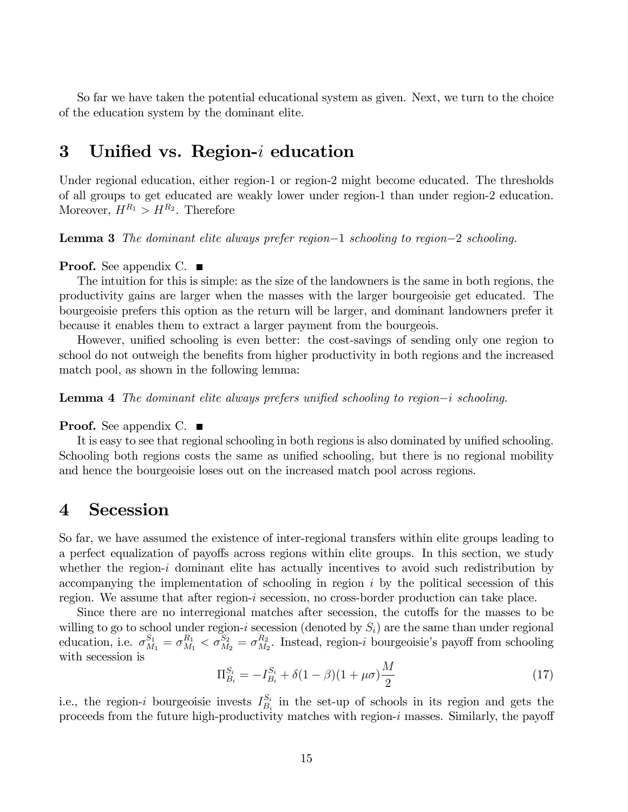So far we have taken the potential educational system as given. Next, we turn to the choice of the education system by the dominant elite.

# 3 Unified vs. Region- $i$  education

Under regional education, either region-1 or region-2 might become educated. The thresholds of all groups to get educated are weakly lower under region-1 than under region-2 education. Moreover,  $H^{R_1} > H^{R_2}$ . Therefore

**Lemma 3** The dominant elite always prefer region-1 schooling to region-2 schooling.

**Proof.** See appendix C.  $\blacksquare$ 

The intuition for this is simple: as the size of the landowners is the same in both regions, the productivity gains are larger when the masses with the larger bourgeoisie get educated. The bourgeoisie prefers this option as the return will be larger, and dominant landowners prefer it because it enables them to extract a larger payment from the bourgeois.

However, unified schooling is even better: the cost-savings of sending only one region to school do not outweigh the benefits from higher productivity in both regions and the increased match pool, as shown in the following lemma:

**Lemma 4** The dominant elite always prefers unified schooling to region-i schooling.

**Proof.** See appendix C.  $\blacksquare$ 

It is easy to see that regional schooling in both regions is also dominated by unified schooling. Schooling both regions costs the same as unified schooling, but there is no regional mobility and hence the bourgeoisie loses out on the increased match pool across regions.

# 4 Secession

So far, we have assumed the existence of inter-regional transfers within elite groups leading to a perfect equalization of payoffs across regions within elite groups. In this section, we study whether the region-i dominant elite has actually incentives to avoid such redistribution by accompanying the implementation of schooling in region  $i$  by the political secession of this region. We assume that after region-i secession, no cross-border production can take place.

Since there are no interregional matches after secession, the cutoffs for the masses to be willing to go to school under region-*i* secession (denoted by  $S_i$ ) are the same than under regional education, i.e.  $\sigma_{M_1}^{S_1} = \sigma_{M_1}^{R_1} < \sigma_{M_2}^{S_2} = \sigma_{M_2}^{R_2}$  $\frac{R_2}{M_2}$ . Instead, region-*i* bourgeoisie's payoff from schooling with secession is

$$
\Pi_{B_i}^{S_i} = -I_{B_i}^{S_i} + \delta(1-\beta)(1+\mu\sigma)\frac{M}{2}
$$
\n(17)

i.e., the region-i bourgeoisie invests  $I_{B_1}^{S_i}$  $S_i$  in the set-up of schools in its region and gets the proceeds from the future high-productivity matches with region- $i$  masses. Similarly, the payoff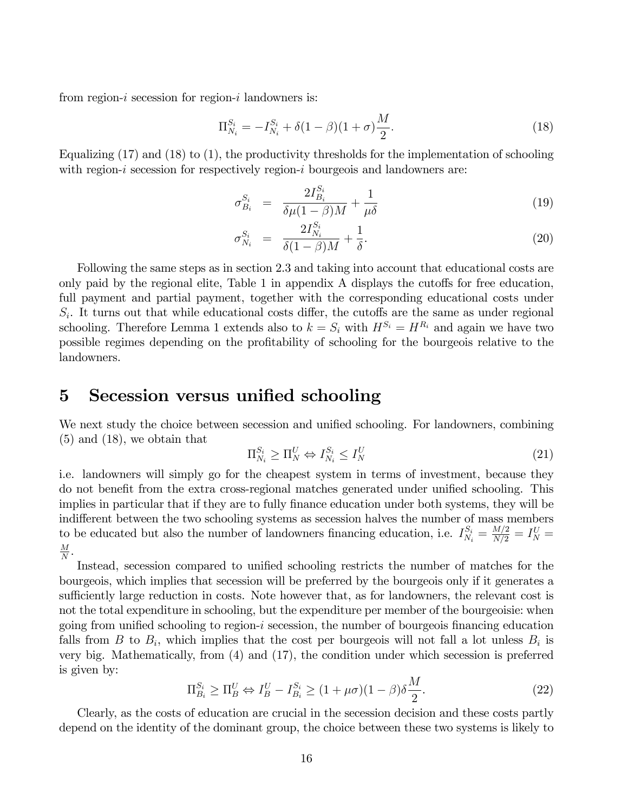from region-i secession for region-i landowners is:

$$
\Pi_{N_i}^{S_i} = -I_{N_i}^{S_i} + \delta(1-\beta)(1+\sigma)\frac{M}{2}.\tag{18}
$$

Equalizing  $(17)$  and  $(18)$  to  $(1)$ , the productivity thresholds for the implementation of schooling with region-i secession for respectively region-i bourgeois and landowners are:

$$
\sigma_{B_i}^{S_i} = \frac{2I_{B_i}^{S_i}}{\delta \mu (1 - \beta)M} + \frac{1}{\mu \delta} \tag{19}
$$

$$
\sigma_{N_i}^{S_i} = \frac{2I_{N_i}^{S_i}}{\delta(1-\beta)M} + \frac{1}{\delta}.
$$
\n(20)

Following the same steps as in section 2.3 and taking into account that educational costs are only paid by the regional elite, Table 1 in appendix  $A$  displays the cutoffs for free education, full payment and partial payment, together with the corresponding educational costs under  $S_i$ . It turns out that while educational costs differ, the cutoffs are the same as under regional schooling. Therefore Lemma 1 extends also to  $k = S_i$  with  $H^{S_i} = H^{R_i}$  and again we have two possible regimes depending on the profitability of schooling for the bourgeois relative to the landowners.

# 5 Secession versus unified schooling

We next study the choice between secession and unified schooling. For landowners, combining (5) and (18), we obtain that

$$
\Pi_{N_i}^{S_i} \ge \Pi_N^U \Leftrightarrow I_{N_i}^{S_i} \le I_N^U \tag{21}
$$

i.e. landowners will simply go for the cheapest system in terms of investment, because they do not benefit from the extra cross-regional matches generated under unified schooling. This implies in particular that if they are to fully finance education under both systems, they will be indifferent between the two schooling systems as secession halves the number of mass members to be educated but also the number of landowners financing education, i.e.  $I_{N_i}^{S_i} = \frac{M/2}{N/2} = I_N^U$  $\overline{M}$  $\frac{M}{N}$  .

Instead, secession compared to unified schooling restricts the number of matches for the bourgeois, which implies that secession will be preferred by the bourgeois only if it generates a sufficiently large reduction in costs. Note however that, as for landowners, the relevant cost is not the total expenditure in schooling, but the expenditure per member of the bourgeoisie: when going from unified schooling to region- $i$  secession, the number of bourgeois financing education falls from B to  $B_i$ , which implies that the cost per bourgeois will not fall a lot unless  $B_i$  is very big. Mathematically, from (4) and (17), the condition under which secession is preferred is given by:

$$
\Pi_{B_i}^{S_i} \ge \Pi_B^U \Leftrightarrow I_B^U - I_{B_i}^{S_i} \ge (1 + \mu \sigma)(1 - \beta)\delta \frac{M}{2}.
$$
\n
$$
(22)
$$

Clearly, as the costs of education are crucial in the secession decision and these costs partly depend on the identity of the dominant group, the choice between these two systems is likely to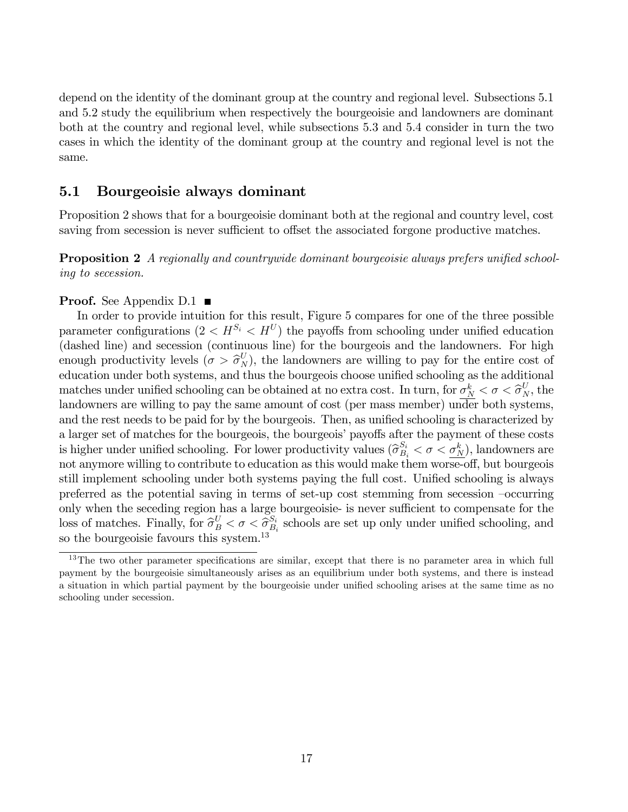depend on the identity of the dominant group at the country and regional level. Subsections 5.1 and 5.2 study the equilibrium when respectively the bourgeoisie and landowners are dominant both at the country and regional level, while subsections 5.3 and 5.4 consider in turn the two cases in which the identity of the dominant group at the country and regional level is not the same.

### 5.1 Bourgeoisie always dominant

Proposition 2 shows that for a bourgeoisie dominant both at the regional and country level, cost saving from secession is never sufficient to offset the associated forgone productive matches.

**Proposition 2** A regionally and countrywide dominant bourgeoisie always prefers unified schooling to secession.

#### **Proof.** See Appendix  $D.1$

In order to provide intuition for this result, Figure 5 compares for one of the three possible parameter configurations  $(2 < H^{S_i} < H^U)$  the payoffs from schooling under unified education (dashed line) and secession (continuous line) for the bourgeois and the landowners. For high enough productivity levels  $(\sigma > \hat{\sigma}_{N}^{U})$ , the landowners are willing to pay for the entire cost of education under both systems, and thus the bourgeois choose unified schooling as the additional matches under unified schooling can be obtained at no extra cost. In turn, for  $\sigma_N^k < \sigma < \hat{\sigma}_N^U$ , the landowners are willing to pay the same amount of cost (per mass member) under both systems, and the rest needs to be paid for by the bourgeois. Then, as unified schooling is characterized by a larger set of matches for the bourgeois, the bourgeois' payoffs after the payment of these costs is higher under unified schooling. For lower productivity values  $(\hat{\sigma}_{B_i}^{S_i} < \sigma < \sigma_{N_i}^{k})$ , landowners are not anymore willing to contribute to education as this would make them worse-off, but bourgeois still implement schooling under both systems paying the full cost. Unified schooling is always preferred as the potential saving in terms of set-up cost stemming from secession  $\sim$  occurring only when the seceding region has a large bourgeoisie- is never sufficient to compensate for the loss of matches. Finally, for  $\widehat{\sigma}_{B}^{U} < \sigma < \widehat{\sigma}_{B}^{S_{i}}$  $S_i$ <sub> $B_i$ </sub> schools are set up only under unified schooling, and so the bourgeoisie favours this system.<sup>13</sup>

 $13$ The two other parameter specifications are similar, except that there is no parameter area in which full payment by the bourgeoisie simultaneously arises as an equilibrium under both systems, and there is instead a situation in which partial payment by the bourgeoisie under unified schooling arises at the same time as no schooling under secession.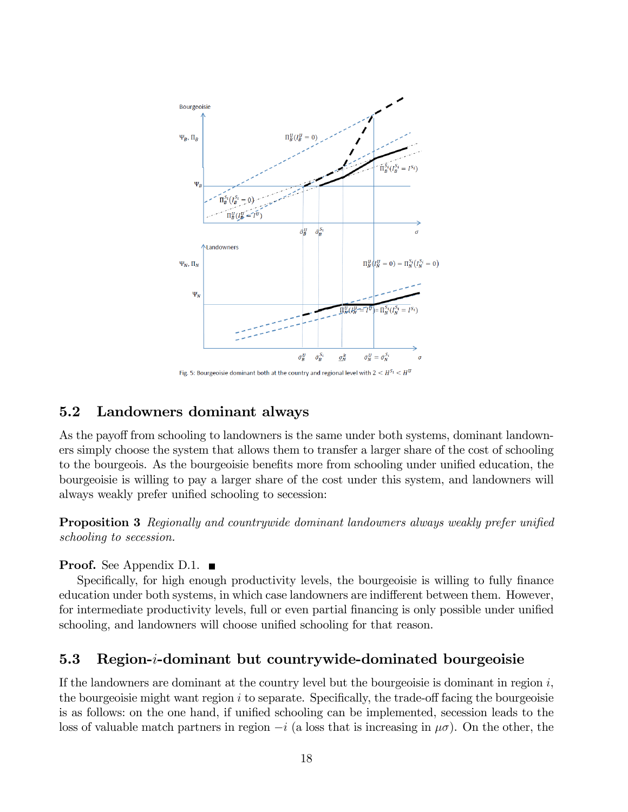

# 5.2 Landowners dominant always

As the payoff from schooling to landowners is the same under both systems, dominant landowners simply choose the system that allows them to transfer a larger share of the cost of schooling to the bourgeois. As the bourgeoisie benefits more from schooling under unified education, the bourgeoisie is willing to pay a larger share of the cost under this system, and landowners will always weakly prefer unified schooling to secession:

**Proposition 3** Regionally and countrywide dominant landowners always weakly prefer unified schooling to secession.

### **Proof.** See Appendix D.1.  $\blacksquare$

Specifically, for high enough productivity levels, the bourgeoisie is willing to fully finance education under both systems, in which case landowners are indifferent between them. However, for intermediate productivity levels, full or even partial financing is only possible under unified schooling, and landowners will choose unified schooling for that reason.

# 5.3 Region-i-dominant but countrywide-dominated bourgeoisie

If the landowners are dominant at the country level but the bourgeoisie is dominant in region  $i$ , the bourgeoisie might want region  $i$  to separate. Specifically, the trade-off facing the bourgeoisie is as follows: on the one hand, if unified schooling can be implemented, secession leads to the loss of valuable match partners in region  $-i$  (a loss that is increasing in  $\mu\sigma$ ). On the other, the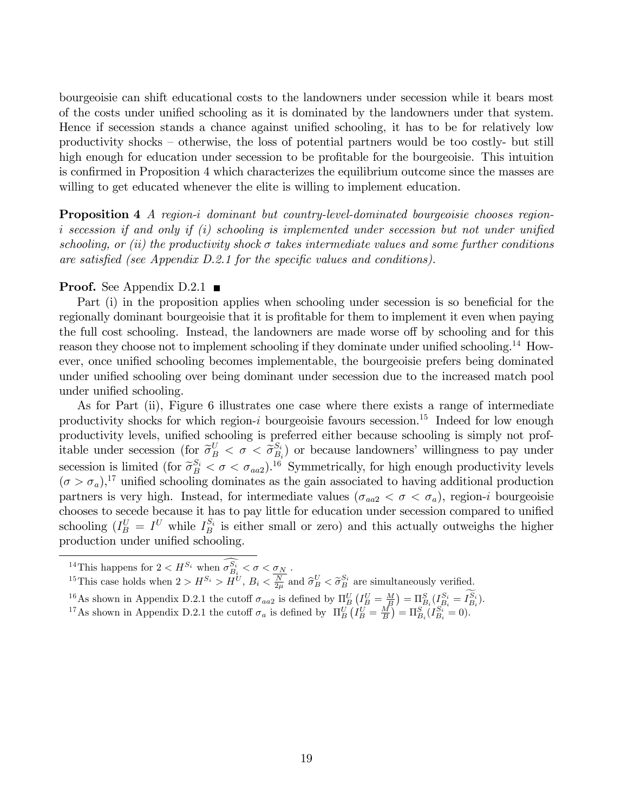bourgeoisie can shift educational costs to the landowners under secession while it bears most of the costs under unified schooling as it is dominated by the landowners under that system. Hence if secession stands a chance against unified schooling, it has to be for relatively low productivity shocks – otherwise, the loss of potential partners would be too costly- but still high enough for education under secession to be profitable for the bourgeoisie. This intuition is confirmed in Proposition 4 which characterizes the equilibrium outcome since the masses are willing to get educated whenever the elite is willing to implement education.

Proposition 4 A region-i dominant but country-level-dominated bourgeoisie chooses regioni secession if and only if  $(i)$  schooling is implemented under secession but not under unified schooling, or (ii) the productivity shock  $\sigma$  takes intermediate values and some further conditions are satisfied (see Appendix  $D.2.1$  for the specific values and conditions).

#### **Proof.** See Appendix D.2.1

Part (i) in the proposition applies when schooling under secession is so beneficial for the regionally dominant bourgeoisie that it is profitable for them to implement it even when paying the full cost schooling. Instead, the landowners are made worse of by schooling and for this reason they choose not to implement schooling if they dominate under unified schooling.<sup>14</sup> However, once unified schooling becomes implementable, the bourgeoisie prefers being dominated under unified schooling over being dominant under secession due to the increased match pool under unified schooling.

As for Part (ii), Figure 6 illustrates one case where there exists a range of intermediate productivity shocks for which region-i bourgeoisie favours secession.<sup>15</sup> Indeed for low enough productivity levels, unified schooling is preferred either because schooling is simply not profitable under secession (for  $\tilde{\sigma}_{B}^{U} < \sigma < \tilde{\sigma}_{B}^{S_i}$  $\binom{S_i}{B_i}$  or because landowners' willingness to pay under secession is limited (for  $\tilde{\sigma}_{B}^{S_i} < \sigma < \sigma_{aa2}$ ).<sup>16</sup> Symmetrically, for high enough productivity levels  $(\sigma > \sigma_a)$ <sup>17</sup> unified schooling dominates as the gain associated to having additional production partners is very high. Instead, for intermediate values ( $\sigma_{aa2} < \sigma < \sigma_a$ ), region-i bourgeoisie chooses to secede because it has to pay little for education under secession compared to unified schooling  $(I_B^U = I^U$  while  $I_B^{S_i}$  is either small or zero) and this actually outweighs the higher production under unified schooling.

<sup>15</sup>This case holds when  $2 > H^{S_i} > H^{U}$ ,  $B_i < \frac{N}{2\mu}$  and  $\hat{\sigma}_{B}^{U} < \tilde{\sigma}_{B}^{S_i}$  are simultaneously verified.

<sup>16</sup>As shown in Appendix D.2.1 the cutoff  $\sigma_{aa2}$  is defined by  $\Pi_B^U(I_B^U = M) = \Pi_{B_i}^S(I_{B_i}^{S_i} = I_{B_i}^{S_i}).$ 

<sup>17</sup>As shown in Appendix D.2.1 the cutoff  $\sigma_a$  is defined by  $\Pi_B^U(\tilde{I}_B^U = \frac{M}{B}) = \Pi_{B_i}^S(\tilde{I}_{B_i}^{S_i} = 0)$ .

<sup>&</sup>lt;sup>14</sup>This happens for  $2 < H^{S_i}$  when  $\sigma_{B_i}^{S_i} < \sigma < \underline{\sigma_N}$ .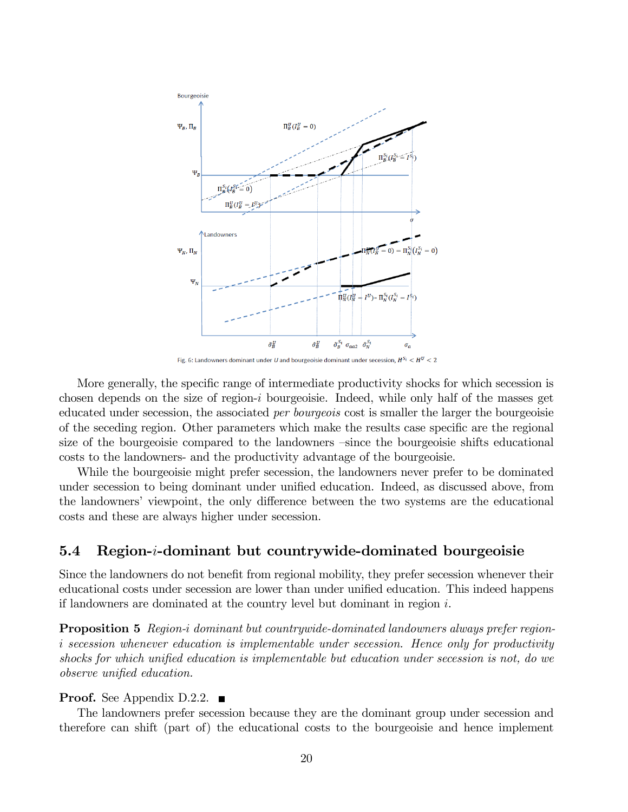

Fig. 6: Landowners dominant under U and bourgeoisie dominant under secession,  $H^{S_i} < H^U < 2$ 

More generally, the specific range of intermediate productivity shocks for which secession is chosen depends on the size of region- $i$  bourgeoisie. Indeed, while only half of the masses get educated under secession, the associated per bourgeois cost is smaller the larger the bourgeoisie of the seceding region. Other parameters which make the results case specific are the regional size of the bourgeoisie compared to the landowners  $\overline{-}$ since the bourgeoisie shifts educational costs to the landowners- and the productivity advantage of the bourgeoisie.

While the bourgeoisie might prefer secession, the landowners never prefer to be dominated under secession to being dominant under unified education. Indeed, as discussed above, from the landowners' viewpoint, the only difference between the two systems are the educational costs and these are always higher under secession.

### 5.4 Region-i-dominant but countrywide-dominated bourgeoisie

Since the landowners do not benefit from regional mobility, they prefer secession whenever their educational costs under secession are lower than under unified education. This indeed happens if landowners are dominated at the country level but dominant in region  $i$ .

Proposition 5 Region-i dominant but countrywide-dominated landowners always prefer regioni secession whenever education is implementable under secession. Hence only for productivity shocks for which unified education is implementable but education under secession is not, do we observe unified education.

#### **Proof.** See Appendix D.2.2.  $\blacksquare$

The landowners prefer secession because they are the dominant group under secession and therefore can shift (part of) the educational costs to the bourgeoisie and hence implement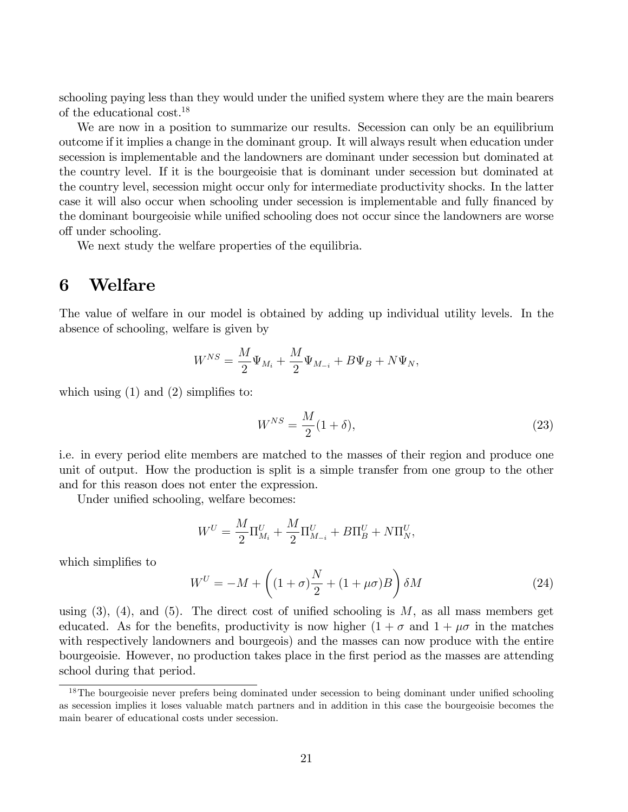schooling paying less than they would under the unified system where they are the main bearers of the educational cost.<sup>18</sup>

We are now in a position to summarize our results. Secession can only be an equilibrium outcome if it implies a change in the dominant group. It will always result when education under secession is implementable and the landowners are dominant under secession but dominated at the country level. If it is the bourgeoisie that is dominant under secession but dominated at the country level, secession might occur only for intermediate productivity shocks. In the latter case it will also occur when schooling under secession is implementable and fully financed by the dominant bourgeoisie while unified schooling does not occur since the landowners are worse off under schooling.

We next study the welfare properties of the equilibria.

# 6 Welfare

The value of welfare in our model is obtained by adding up individual utility levels. In the absence of schooling, welfare is given by

$$
W^{NS} = \frac{M}{2} \Psi_{M_i} + \frac{M}{2} \Psi_{M_{-i}} + B \Psi_B + N \Psi_N,
$$

which using  $(1)$  and  $(2)$  simplifies to:

$$
W^{NS} = \frac{M}{2}(1+\delta),\tag{23}
$$

i.e. in every period elite members are matched to the masses of their region and produce one unit of output. How the production is split is a simple transfer from one group to the other and for this reason does not enter the expression.

Under unified schooling, welfare becomes:

$$
W^{U} = \frac{M}{2} \Pi_{M_i}^{U} + \frac{M}{2} \Pi_{M_{-i}}^{U} + B \Pi_{B}^{U} + N \Pi_{N}^{U},
$$

which simplifies to

$$
W^{U} = -M + \left( (1+\sigma)\frac{N}{2} + (1+\mu\sigma)B \right) \delta M \tag{24}
$$

using  $(3)$ ,  $(4)$ , and  $(5)$ . The direct cost of unified schooling is M, as all mass members get educated. As for the benefits, productivity is now higher  $(1 + \sigma$  and  $1 + \mu \sigma$  in the matches with respectively landowners and bourgeois) and the masses can now produce with the entire bourgeoisie. However, no production takes place in the Örst period as the masses are attending school during that period.

 $18$ The bourgeoisie never prefers being dominated under secession to being dominant under unified schooling as secession implies it loses valuable match partners and in addition in this case the bourgeoisie becomes the main bearer of educational costs under secession.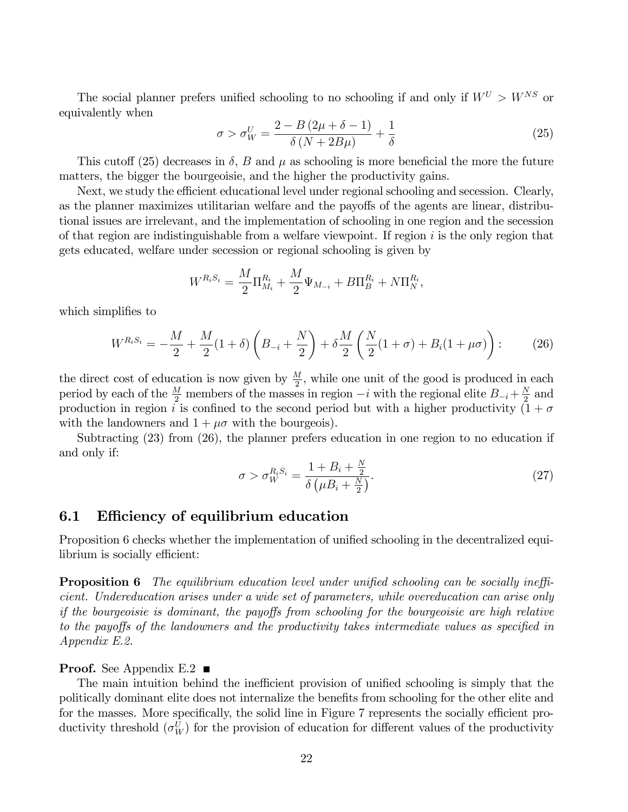The social planner prefers unified schooling to no schooling if and only if  $W^U > W^{NS}$  or equivalently when

$$
\sigma > \sigma_W^U = \frac{2 - B(2\mu + \delta - 1)}{\delta (N + 2B\mu)} + \frac{1}{\delta}
$$
\n(25)

This cutoff (25) decreases in  $\delta$ , B and  $\mu$  as schooling is more beneficial the more the future matters, the bigger the bourgeoisie, and the higher the productivity gains.

Next, we study the efficient educational level under regional schooling and secession. Clearly, as the planner maximizes utilitarian welfare and the payoffs of the agents are linear, distributional issues are irrelevant, and the implementation of schooling in one region and the secession of that region are indistinguishable from a welfare viewpoint. If region  $i$  is the only region that gets educated, welfare under secession or regional schooling is given by

$$
W^{R_iS_i} = \frac{M}{2}\Pi_{M_i}^{R_i} + \frac{M}{2}\Psi_{M_{-i}} + B\Pi_B^{R_i} + N\Pi_N^{R_i},
$$

which simplifies to

$$
W^{R_i S_i} = -\frac{M}{2} + \frac{M}{2} (1+\delta) \left( B_{-i} + \frac{N}{2} \right) + \delta \frac{M}{2} \left( \frac{N}{2} (1+\sigma) + B_i (1+\mu\sigma) \right) : \tag{26}
$$

the direct cost of education is now given by  $\frac{M}{2}$ , while one unit of the good is produced in each period by each of the  $\frac{M}{2}$  members of the masses in region  $-i$  with the regional elite  $B_{-i} + \frac{N}{2}$  $\frac{N}{2}$  and production in region i is confined to the second period but with a higher productivity  $(1 + \sigma)$ with the landowners and  $1 + \mu \sigma$  with the bourgeois).

Subtracting (23) from (26), the planner prefers education in one region to no education if and only if:

$$
\sigma > \sigma_W^{R_i S_i} = \frac{1 + B_i + \frac{N}{2}}{\delta \left(\mu B_i + \frac{N}{2}\right)}.\tag{27}
$$

### 6.1 Efficiency of equilibrium education

Proposition 6 checks whether the implementation of unified schooling in the decentralized equilibrium is socially efficient:

**Proposition 6** The equilibrium education level under unified schooling can be socially inefficient. Undereducation arises under a wide set of parameters, while overeducation can arise only if the bourgeoisie is dominant, the payoffs from schooling for the bourgeoisie are high relative to the payoffs of the landowners and the productivity takes intermediate values as specified in Appendix E.2.

#### **Proof.** See Appendix E.2  $\blacksquare$

The main intuition behind the inefficient provision of unified schooling is simply that the politically dominant elite does not internalize the benefits from schooling for the other elite and for the masses. More specifically, the solid line in Figure 7 represents the socially efficient productivity threshold  $(\sigma_W^U)$  for the provision of education for different values of the productivity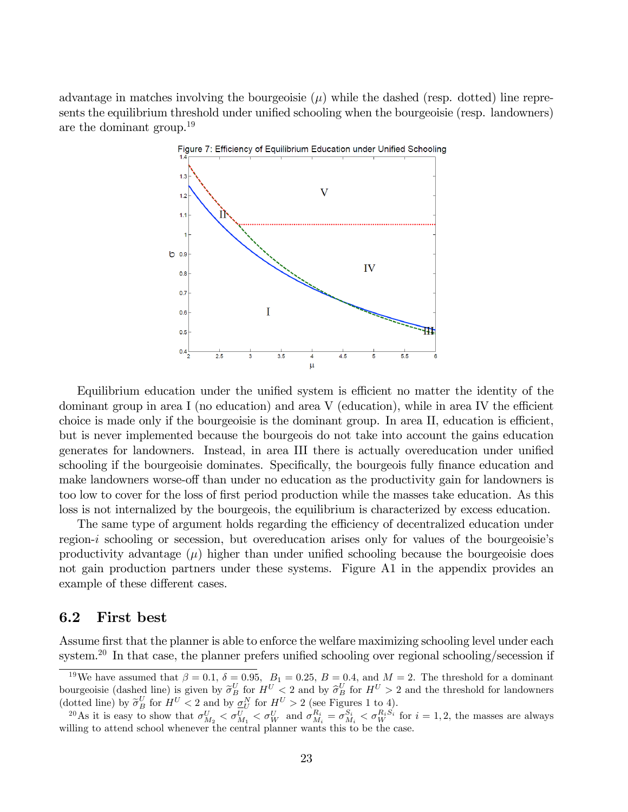advantage in matches involving the bourgeoisie  $(\mu)$  while the dashed (resp. dotted) line represents the equilibrium threshold under unified schooling when the bourgeoisie (resp. landowners) are the dominant group.<sup>19</sup>



Equilibrium education under the unified system is efficient no matter the identity of the dominant group in area I (no education) and area V (education), while in area IV the efficient choice is made only if the bourgeoisie is the dominant group. In area II, education is efficient, but is never implemented because the bourgeois do not take into account the gains education generates for landowners. Instead, in area III there is actually overeducation under unified schooling if the bourgeoisie dominates. Specifically, the bourgeois fully finance education and make landowners worse-off than under no education as the productivity gain for landowners is too low to cover for the loss of first period production while the masses take education. As this loss is not internalized by the bourgeois, the equilibrium is characterized by excess education.

The same type of argument holds regarding the efficiency of decentralized education under region-*i* schooling or secession, but overeducation arises only for values of the bourgeoisie's productivity advantage  $(\mu)$  higher than under unified schooling because the bourgeoisie does not gain production partners under these systems. Figure A1 in the appendix provides an example of these different cases.

### 6.2 First best

Assume first that the planner is able to enforce the welfare maximizing schooling level under each system.<sup>20</sup> In that case, the planner prefers unified schooling over regional schooling/secession if

<sup>&</sup>lt;sup>19</sup>We have assumed that  $\beta = 0.1$ ,  $\delta = 0.95$ ,  $B_1 = 0.25$ ,  $B = 0.4$ , and  $M = 2$ . The threshold for a dominant bourgeoisie (dashed line) is given by  $\tilde{\sigma}_B^U$  for  $H^U < 2$  and by  $\hat{\sigma}_B^U$  for  $H^U > 2$  and the threshold for landowners  $\left(\text{dotted line}\right)$  by  $\widetilde{\sigma}_B^U$  for  $H^U < 2$  and by  $\underline{\sigma}_N^N$  for  $H^U > 2$  (see Figures 1 to 4).

<sup>&</sup>lt;sup>20</sup>As it is easy to show that  $\sigma_{M_2}^U < \sigma_{M_1}^U < \sigma_W^U$  and  $\sigma_{M_i}^{R_i} = \sigma_{M_i}^{S_i} < \sigma_W^{R_i S_i}$  for  $i = 1, 2$ , the masses are always willing to attend school whenever the central planner wants this to be the case.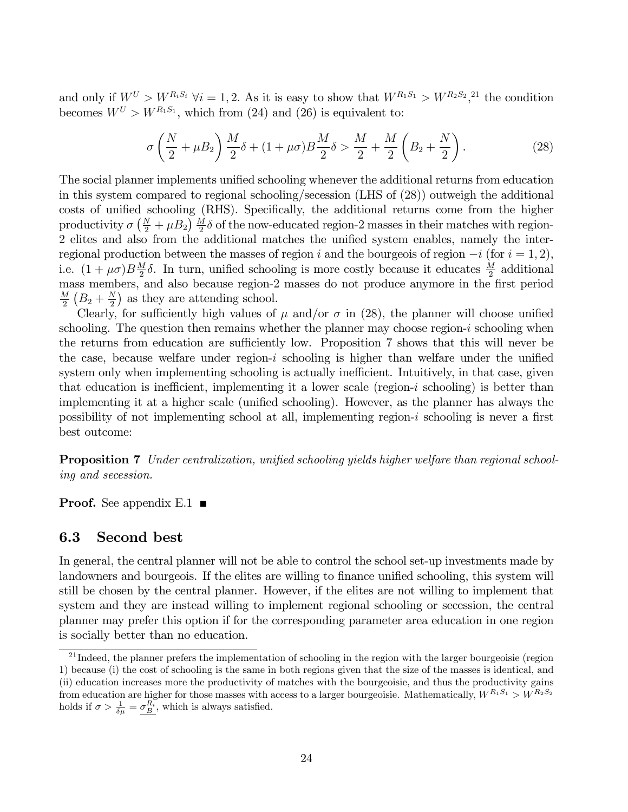and only if  $W^U > W^{R_i S_i}$   $\forall i = 1, 2$ . As it is easy to show that  $W^{R_1 S_1} > W^{R_2 S_2}$ ,<sup>21</sup> the condition becomes  $W^U > W^{R_1S_1}$ , which from (24) and (26) is equivalent to:

$$
\sigma\left(\frac{N}{2}+\mu B_2\right)\frac{M}{2}\delta + (1+\mu\sigma)B\frac{M}{2}\delta > \frac{M}{2} + \frac{M}{2}\left(B_2 + \frac{N}{2}\right). \tag{28}
$$

The social planner implements unified schooling whenever the additional returns from education in this system compared to regional schooling/secession (LHS of (28)) outweigh the additional costs of unified schooling (RHS). Specifically, the additional returns come from the higher productivity  $\sigma\left(\frac{N}{2} + \mu B_2\right) \frac{M}{2} \delta$  of the now-educated region-2 masses in their matches with region-2 elites and also from the additional matches the unified system enables, namely the interregional production between the masses of region i and the bourgeois of region  $-i$  (for  $i = 1, 2$ ), i.e.  $(1 + \mu \sigma) B \frac{M}{2}$  $\frac{M}{2}\delta$ . In turn, unified schooling is more costly because it educates  $\frac{M}{2}$  additional mass members, and also because region-2 masses do not produce anymore in the first period  $\underline{M}$  $\frac{M}{2}\left(B_2+\frac{N}{2}\right)$  $\frac{N}{2}$ ) as they are attending school.

Clearly, for sufficiently high values of  $\mu$  and/or  $\sigma$  in (28), the planner will choose unified schooling. The question then remains whether the planner may choose region-i schooling when the returns from education are sufficiently low. Proposition 7 shows that this will never be the case, because welfare under region- $i$  schooling is higher than welfare under the unified system only when implementing schooling is actually inefficient. Intuitively, in that case, given that education is inefficient, implementing it a lower scale (region-i schooling) is better than implementing it at a higher scale (unified schooling). However, as the planner has always the possibility of not implementing school at all, implementing region- $i$  schooling is never a first best outcome:

**Proposition 7** Under centralization, unified schooling yields higher welfare than regional schooling and secession.

**Proof.** See appendix E.1  $\blacksquare$ 

### 6.3 Second best

In general, the central planner will not be able to control the school set-up investments made by landowners and bourgeois. If the elites are willing to finance unified schooling, this system will still be chosen by the central planner. However, if the elites are not willing to implement that system and they are instead willing to implement regional schooling or secession, the central planner may prefer this option if for the corresponding parameter area education in one region is socially better than no education.

<sup>&</sup>lt;sup>21</sup> Indeed, the planner prefers the implementation of schooling in the region with the larger bourgeoisie (region 1) because (i) the cost of schooling is the same in both regions given that the size of the masses is identical, and (ii) education increases more the productivity of matches with the bourgeoisie, and thus the productivity gains from education are higher for those masses with access to a larger bourgeoisie. Mathematically,  $W^{R_1S_1} > W^{R_2S_2}$ holds if  $\sigma > \frac{1}{\delta \mu} = \frac{\sigma_B^{R_i}}{\sigma}$ , which is always satisfied.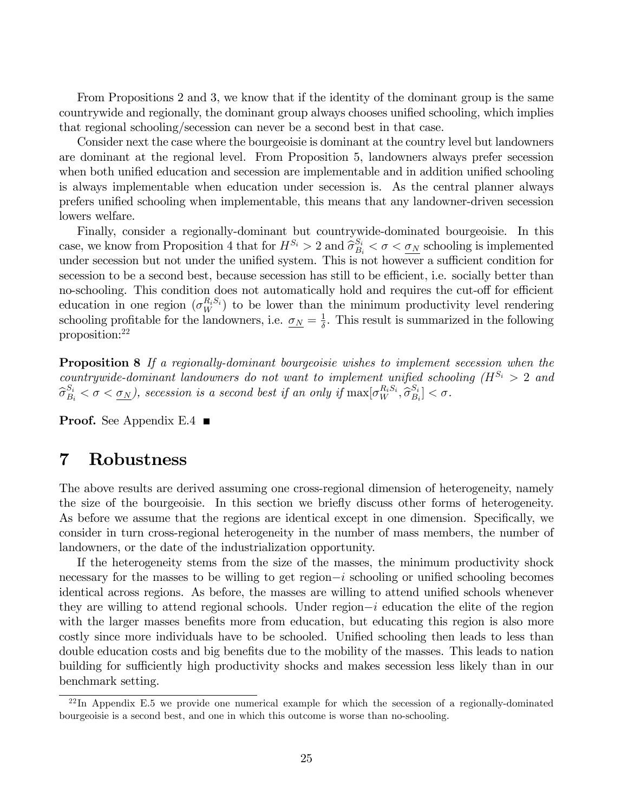From Propositions 2 and 3, we know that if the identity of the dominant group is the same countrywide and regionally, the dominant group always chooses unified schooling, which implies that regional schooling/secession can never be a second best in that case.

Consider next the case where the bourgeoisie is dominant at the country level but landowners are dominant at the regional level. From Proposition 5, landowners always prefer secession when both unified education and secession are implementable and in addition unified schooling is always implementable when education under secession is. As the central planner always prefers unified schooling when implementable, this means that any landowner-driven secession lowers welfare.

Finally, consider a regionally-dominant but countrywide-dominated bourgeoisie. In this case, we know from Proposition 4 that for  $H^{S_i} > 2$  and  $\hat{\sigma}_{B_i}^{S_i} < \sigma < \underline{\sigma_N}$  schooling is implemented<br>under accession but not on due the unified sector. This is not because a sufficient see dition for under secession but not under the unified system. This is not however a sufficient condition for secession to be a second best, because secession has still to be efficient, i.e. socially better than no-schooling. This condition does not automatically hold and requires the cut-off for efficient education in one region  $(\sigma_W^{R_i S_i})$  to be lower than the minimum productivity level rendering schooling profitable for the landowners, i.e.  $\sigma_N = \frac{1}{\delta}$  $\frac{1}{\delta}$ . This result is summarized in the following proposition:<sup>22</sup>

Proposition 8 If a regionally-dominant bourgeoisie wishes to implement secession when the countrywide-dominant landowners do not want to implement unified schooling  $(H^{S_i} > 2$  and  $\widehat{\sigma}_{B_i}^{S_i} < \sigma < \underline{\sigma_N}$ ), secession is a second best if an only if  $\max[\sigma_W^{R_iS_i}, \widehat{\sigma}_{B_i}^{S_i}]$  $\begin{bmatrix} S_i \ B_i \end{bmatrix} < \sigma.$ 

**Proof.** See Appendix E.4  $\blacksquare$ 

# 7 Robustness

The above results are derived assuming one cross-regional dimension of heterogeneity, namely the size of the bourgeoisie. In this section we brieáy discuss other forms of heterogeneity. As before we assume that the regions are identical except in one dimension. Specifically, we consider in turn cross-regional heterogeneity in the number of mass members, the number of landowners, or the date of the industrialization opportunity.

If the heterogeneity stems from the size of the masses, the minimum productivity shock necessary for the masses to be willing to get region $-i$  schooling or unified schooling becomes identical across regions. As before, the masses are willing to attend unified schools whenever they are willing to attend regional schools. Under region $-i$  education the elite of the region with the larger masses benefits more from education, but educating this region is also more costly since more individuals have to be schooled. Unified schooling then leads to less than double education costs and big benefits due to the mobility of the masses. This leads to nation building for sufficiently high productivity shocks and makes secession less likely than in our benchmark setting.

 $^{22}$ In Appendix E.5 we provide one numerical example for which the secession of a regionally-dominated bourgeoisie is a second best, and one in which this outcome is worse than no-schooling.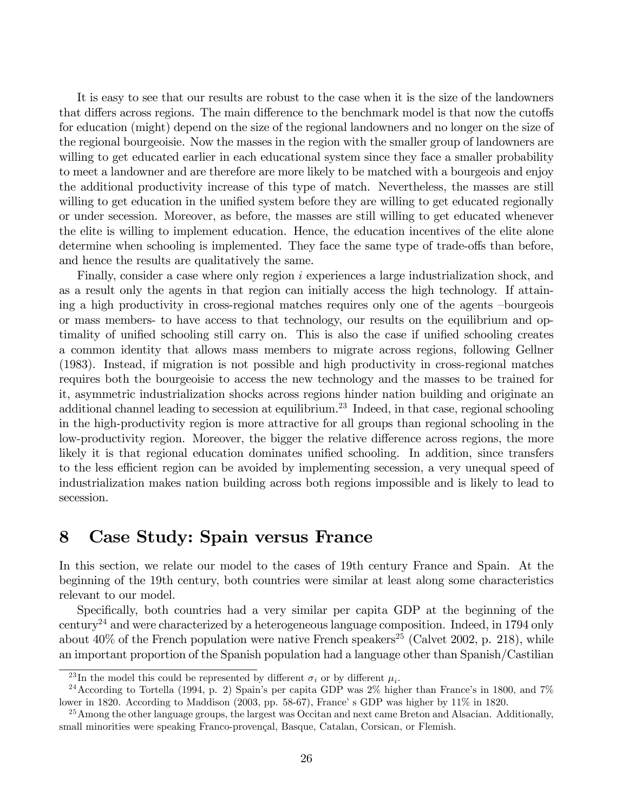It is easy to see that our results are robust to the case when it is the size of the landowners that differs across regions. The main difference to the benchmark model is that now the cutoffs for education (might) depend on the size of the regional landowners and no longer on the size of the regional bourgeoisie. Now the masses in the region with the smaller group of landowners are willing to get educated earlier in each educational system since they face a smaller probability to meet a landowner and are therefore are more likely to be matched with a bourgeois and enjoy the additional productivity increase of this type of match. Nevertheless, the masses are still willing to get education in the unified system before they are willing to get educated regionally or under secession. Moreover, as before, the masses are still willing to get educated whenever the elite is willing to implement education. Hence, the education incentives of the elite alone determine when schooling is implemented. They face the same type of trade-offs than before, and hence the results are qualitatively the same.

Finally, consider a case where only region i experiences a large industrialization shock, and as a result only the agents in that region can initially access the high technology. If attaining a high productivity in cross-regional matches requires only one of the agents -bourgeois or mass members- to have access to that technology, our results on the equilibrium and optimality of unified schooling still carry on. This is also the case if unified schooling creates a common identity that allows mass members to migrate across regions, following Gellner (1983). Instead, if migration is not possible and high productivity in cross-regional matches requires both the bourgeoisie to access the new technology and the masses to be trained for it, asymmetric industrialization shocks across regions hinder nation building and originate an additional channel leading to secession at equilibrium.<sup>23</sup> Indeed, in that case, regional schooling in the high-productivity region is more attractive for all groups than regional schooling in the low-productivity region. Moreover, the bigger the relative difference across regions, the more likely it is that regional education dominates unified schooling. In addition, since transfers to the less efficient region can be avoided by implementing secession, a very unequal speed of industrialization makes nation building across both regions impossible and is likely to lead to secession.

# 8 Case Study: Spain versus France

In this section, we relate our model to the cases of 19th century France and Spain. At the beginning of the 19th century, both countries were similar at least along some characteristics relevant to our model.

Specifically, both countries had a very similar per capita GDP at the beginning of the century<sup>24</sup> and were characterized by a heterogeneous language composition. Indeed, in 1794 only about  $40\%$  of the French population were native French speakers<sup>25</sup> (Calvet 2002, p. 218), while an important proportion of the Spanish population had a language other than Spanish/Castilian

<sup>&</sup>lt;sup>23</sup>In the model this could be represented by different  $\sigma_i$  or by different  $\mu_i$ .

<sup>&</sup>lt;sup>24</sup> According to Tortella (1994, p. 2) Spain's per capita GDP was  $2\%$  higher than France's in 1800, and 7% lower in 1820. According to Maddison (2003, pp. 58-67), France's GDP was higher by 11% in 1820.

<sup>&</sup>lt;sup>25</sup>Among the other language groups, the largest was Occitan and next came Breton and Alsacian. Additionally, small minorities were speaking Franco-provençal, Basque, Catalan, Corsican, or Flemish.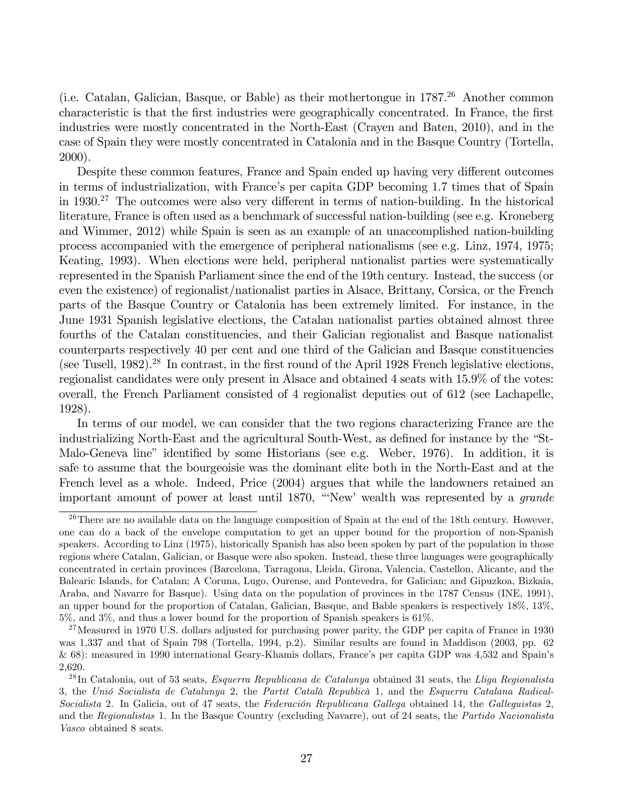(i.e. Catalan, Galician, Basque, or Bable) as their mothertongue in  $1787<sup>26</sup>$  Another common characteristic is that the Örst industries were geographically concentrated. In France, the Örst industries were mostly concentrated in the North-East (Crayen and Baten, 2010), and in the case of Spain they were mostly concentrated in Catalonia and in the Basque Country (Tortella, 2000).

Despite these common features, France and Spain ended up having very different outcomes in terms of industrialization, with France's per capita GDP becoming 1.7 times that of Spain in 1930.<sup>27</sup> The outcomes were also very different in terms of nation-building. In the historical literature, France is often used as a benchmark of successful nation-building (see e.g. Kroneberg and Wimmer, 2012) while Spain is seen as an example of an unaccomplished nation-building process accompanied with the emergence of peripheral nationalisms (see e.g. Linz, 1974, 1975; Keating, 1993). When elections were held, peripheral nationalist parties were systematically represented in the Spanish Parliament since the end of the 19th century. Instead, the success (or even the existence) of regionalist/nationalist parties in Alsace, Brittany, Corsica, or the French parts of the Basque Country or Catalonia has been extremely limited. For instance, in the June 1931 Spanish legislative elections, the Catalan nationalist parties obtained almost three fourths of the Catalan constituencies, and their Galician regionalist and Basque nationalist counterparts respectively 40 per cent and one third of the Galician and Basque constituencies (see Tusell, 1982).<sup>28</sup> In contrast, in the first round of the April 1928 French legislative elections, regionalist candidates were only present in Alsace and obtained 4 seats with 15.9% of the votes: overall, the French Parliament consisted of 4 regionalist deputies out of 612 (see Lachapelle, 1928).

In terms of our model, we can consider that the two regions characterizing France are the industrializing North-East and the agricultural South-West, as defined for instance by the "St-Malo-Geneva line" identified by some Historians (see e.g. Weber,  $1976$ ). In addition, it is safe to assume that the bourgeoisie was the dominant elite both in the North-East and at the French level as a whole. Indeed, Price (2004) argues that while the landowners retained an important amount of power at least until 1870, "New' wealth was represented by a *grande* 

 $26$ There are no available data on the language composition of Spain at the end of the 18th century. However, one can do a back of the envelope computation to get an upper bound for the proportion of non-Spanish speakers. According to Linz (1975), historically Spanish has also been spoken by part of the population in those regions where Catalan, Galician, or Basque were also spoken. Instead, these three languages were geographically concentrated in certain provinces (Barcelona, Tarragona, Lleida, Girona, Valencia, Castellon, Alicante, and the Balearic Islands, for Catalan; A Coruna, Lugo, Ourense, and Pontevedra, for Galician; and Gipuzkoa, Bizkaia, Araba, and Navarre for Basque). Using data on the population of provinces in the 1787 Census (INE, 1991), an upper bound for the proportion of Catalan, Galician, Basque, and Bable speakers is respectively 18%, 13%, 5%, and 3%, and thus a lower bound for the proportion of Spanish speakers is 61%.

<sup>&</sup>lt;sup>27</sup>Measured in 1970 U.S. dollars adjusted for purchasing power parity, the GDP per capita of France in 1930 was 1,337 and that of Spain 798 (Tortella, 1994, p.2). Similar results are found in Maddison (2003, pp. 62 & 68): measured in 1990 international Geary-Khamis dollars, France's per capita GDP was 4,532 and Spain's 2,620.

 $^{28}$ In Catalonia, out of 53 seats, *Esquerra Republicana de Catalunya* obtained 31 seats, the Lliga Regionalista 3, the Unió Socialista de Catalunya 2, the Partit Català Republicà 1, and the Esquerra Catalana Radical-Socialista 2. In Galicia, out of 47 seats, the Federación Republicana Gallega obtained 14, the Galleguistas  $2$ , and the Regionalistas 1. In the Basque Country (excluding Navarre), out of 24 seats, the Partido Nacionalista Vasco obtained 8 seats.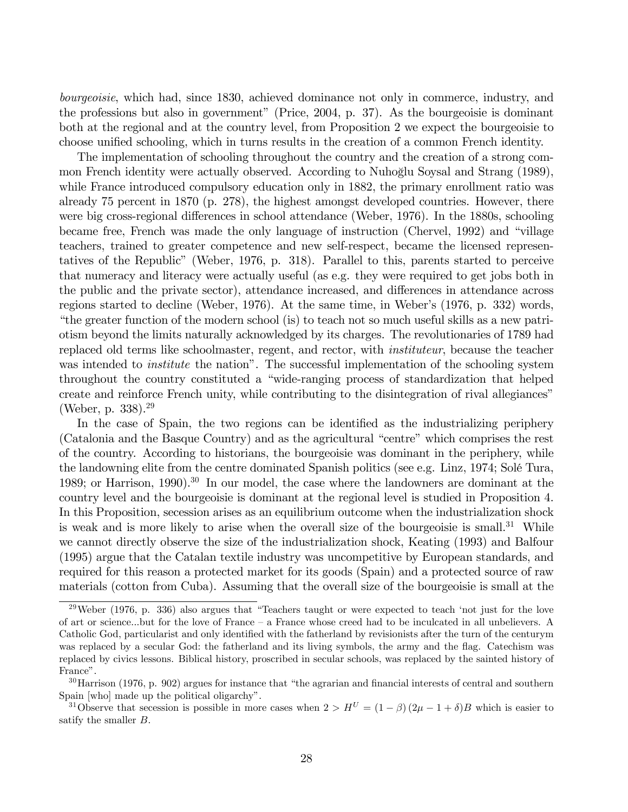bourgeoisie, which had, since 1830, achieved dominance not only in commerce, industry, and the professions but also in government" (Price,  $2004$ , p. 37). As the bourgeoisie is dominant both at the regional and at the country level, from Proposition 2 we expect the bourgeoisie to choose unified schooling, which in turns results in the creation of a common French identity.

The implementation of schooling throughout the country and the creation of a strong common French identity were actually observed. According to Nuhoglu Soysal and Strang (1989), º while France introduced compulsory education only in 1882, the primary enrollment ratio was already 75 percent in 1870 (p. 278), the highest amongst developed countries. However, there were big cross-regional differences in school attendance (Weber, 1976). In the 1880s, schooling became free, French was made the only language of instruction (Chervel, 1992) and "village teachers, trained to greater competence and new self-respect, became the licensed representatives of the Republicî (Weber, 1976, p. 318). Parallel to this, parents started to perceive that numeracy and literacy were actually useful (as e.g. they were required to get jobs both in the public and the private sector), attendance increased, and differences in attendance across regions started to decline (Weber, 1976). At the same time, in Weberís (1976, p. 332) words, ìthe greater function of the modern school (is) to teach not so much useful skills as a new patriotism beyond the limits naturally acknowledged by its charges. The revolutionaries of 1789 had replaced old terms like schoolmaster, regent, and rector, with instituteur, because the teacher was intended to *institute* the nation". The successful implementation of the schooling system throughout the country constituted a "wide-ranging process of standardization that helped create and reinforce French unity, while contributing to the disintegration of rival allegiances" (Weber, p. 338).<sup>29</sup>

In the case of Spain, the two regions can be identified as the industrializing periphery (Catalonia and the Basque Country) and as the agricultural "centre" which comprises the rest of the country. According to historians, the bourgeoisie was dominant in the periphery, while the landowning elite from the centre dominated Spanish politics (see e.g. Linz, 1974; SolÈ Tura, 1989; or Harrison, 1990).<sup>30</sup> In our model, the case where the landowners are dominant at the country level and the bourgeoisie is dominant at the regional level is studied in Proposition 4. In this Proposition, secession arises as an equilibrium outcome when the industrialization shock is weak and is more likely to arise when the overall size of the bourgeoisie is small.<sup>31</sup> While we cannot directly observe the size of the industrialization shock, Keating (1993) and Balfour (1995) argue that the Catalan textile industry was uncompetitive by European standards, and required for this reason a protected market for its goods (Spain) and a protected source of raw materials (cotton from Cuba). Assuming that the overall size of the bourgeoisie is small at the

 $29$ Weber (1976, p. 336) also argues that "Teachers taught or were expected to teach 'not just for the love of art or science...but for the love of France – a France whose creed had to be inculcated in all unbelievers. A Catholic God, particularist and only identified with the fatherland by revisionists after the turn of the centurym was replaced by a secular God: the fatherland and its living symbols, the army and the flag. Catechism was replaced by civics lessons. Biblical history, proscribed in secular schools, was replaced by the sainted history of France".

 $30$ Harrison (1976, p. 902) argues for instance that "the agrarian and financial interests of central and southern Spain [who] made up the political oligarchy".

<sup>&</sup>lt;sup>31</sup>Observe that secession is possible in more cases when  $2 > H^U = (1 - \beta)(2\mu - 1 + \delta)B$  which is easier to satify the smaller B.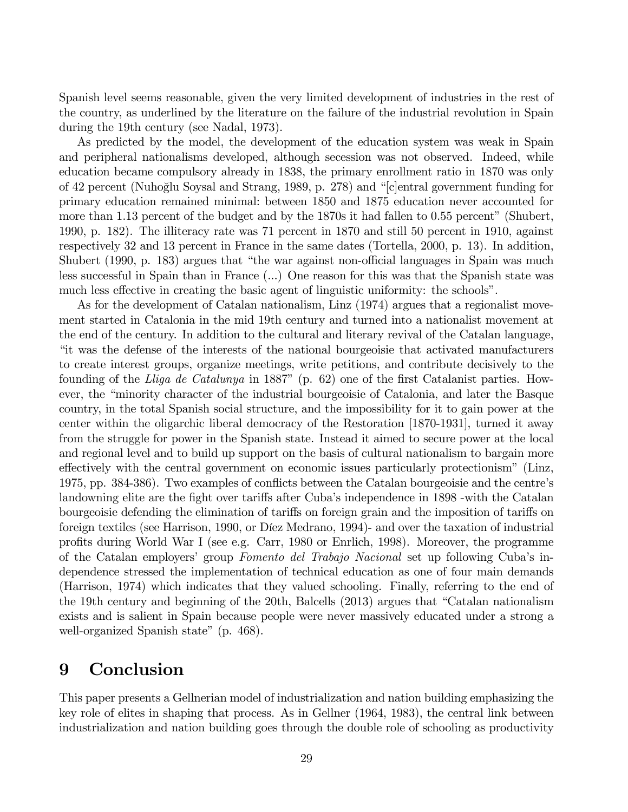Spanish level seems reasonable, given the very limited development of industries in the rest of the country, as underlined by the literature on the failure of the industrial revolution in Spain during the 19th century (see Nadal, 1973).

As predicted by the model, the development of the education system was weak in Spain and peripheral nationalisms developed, although secession was not observed. Indeed, while education became compulsory already in 1838, the primary enrollment ratio in 1870 was only of 42 percent (Nuhoğlu Soysal and Strang, 1989, p. 278) and "central government funding for primary education remained minimal: between 1850 and 1875 education never accounted for more than 1.13 percent of the budget and by the  $1870s$  it had fallen to  $0.55$  percent" (Shubert, 1990, p. 182). The illiteracy rate was 71 percent in 1870 and still 50 percent in 1910, against respectively 32 and 13 percent in France in the same dates (Tortella, 2000, p. 13). In addition, Shubert (1990, p. 183) argues that "the war against non-official languages in Spain was much less successful in Spain than in France (...) One reason for this was that the Spanish state was much less effective in creating the basic agent of linguistic uniformity: the schools".

As for the development of Catalan nationalism, Linz (1974) argues that a regionalist movement started in Catalonia in the mid 19th century and turned into a nationalist movement at the end of the century. In addition to the cultural and literary revival of the Catalan language, ìit was the defense of the interests of the national bourgeoisie that activated manufacturers to create interest groups, organize meetings, write petitions, and contribute decisively to the founding of the Lliga de Catalunya in 1887" (p. 62) one of the first Catalanist parties. However, the "minority character of the industrial bourgeoisie of Catalonia, and later the Basque country, in the total Spanish social structure, and the impossibility for it to gain power at the center within the oligarchic liberal democracy of the Restoration [1870-1931], turned it away from the struggle for power in the Spanish state. Instead it aimed to secure power at the local and regional level and to build up support on the basis of cultural nationalism to bargain more effectively with the central government on economic issues particularly protectionism" (Linz, 1975, pp. 384-386). Two examples of conflicts between the Catalan bourgeoisie and the centre's landowning elite are the fight over tariffs after Cuba's independence in 1898 -with the Catalan bourgeoisie defending the elimination of tariffs on foreign grain and the imposition of tariffs on foreign textiles (see Harrison, 1990, or Díez Medrano, 1994)- and over the taxation of industrial proÖts during World War I (see e.g. Carr, 1980 or Enrlich, 1998). Moreover, the programme of the Catalan employers' group Fomento del Trabajo Nacional set up following Cuba's independence stressed the implementation of technical education as one of four main demands (Harrison, 1974) which indicates that they valued schooling. Finally, referring to the end of the 19th century and beginning of the 20th, Balcells  $(2013)$  argues that "Catalan nationalism" exists and is salient in Spain because people were never massively educated under a strong a well-organized Spanish state" (p. 468).

# 9 Conclusion

This paper presents a Gellnerian model of industrialization and nation building emphasizing the key role of elites in shaping that process. As in Gellner (1964, 1983), the central link between industrialization and nation building goes through the double role of schooling as productivity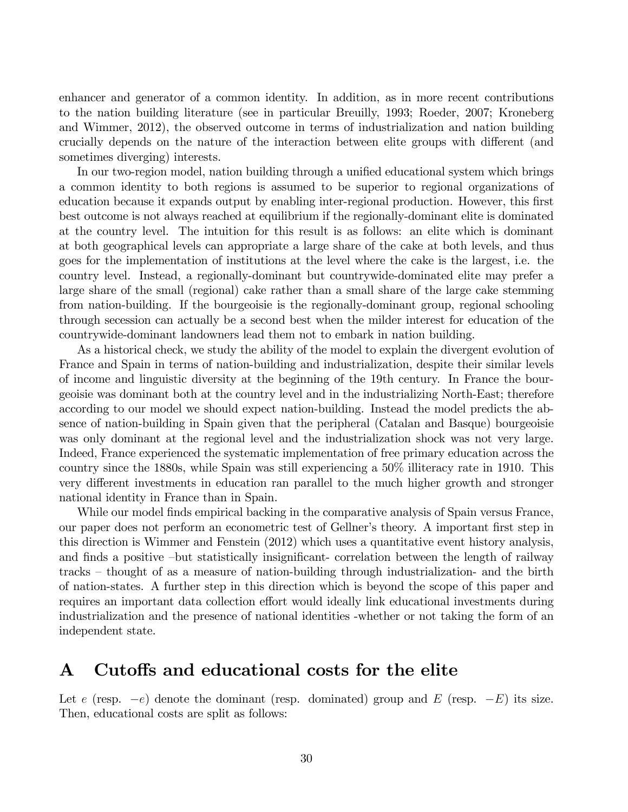enhancer and generator of a common identity. In addition, as in more recent contributions to the nation building literature (see in particular Breuilly, 1993; Roeder, 2007; Kroneberg and Wimmer, 2012), the observed outcome in terms of industrialization and nation building crucially depends on the nature of the interaction between elite groups with different (and sometimes diverging) interests.

In our two-region model, nation building through a unified educational system which brings a common identity to both regions is assumed to be superior to regional organizations of education because it expands output by enabling inter-regional production. However, this first best outcome is not always reached at equilibrium if the regionally-dominant elite is dominated at the country level. The intuition for this result is as follows: an elite which is dominant at both geographical levels can appropriate a large share of the cake at both levels, and thus goes for the implementation of institutions at the level where the cake is the largest, i.e. the country level. Instead, a regionally-dominant but countrywide-dominated elite may prefer a large share of the small (regional) cake rather than a small share of the large cake stemming from nation-building. If the bourgeoisie is the regionally-dominant group, regional schooling through secession can actually be a second best when the milder interest for education of the countrywide-dominant landowners lead them not to embark in nation building.

As a historical check, we study the ability of the model to explain the divergent evolution of France and Spain in terms of nation-building and industrialization, despite their similar levels of income and linguistic diversity at the beginning of the 19th century. In France the bourgeoisie was dominant both at the country level and in the industrializing North-East; therefore according to our model we should expect nation-building. Instead the model predicts the absence of nation-building in Spain given that the peripheral (Catalan and Basque) bourgeoisie was only dominant at the regional level and the industrialization shock was not very large. Indeed, France experienced the systematic implementation of free primary education across the country since the 1880s, while Spain was still experiencing a 50% illiteracy rate in 1910. This very different investments in education ran parallel to the much higher growth and stronger national identity in France than in Spain.

While our model finds empirical backing in the comparative analysis of Spain versus France, our paper does not perform an econometric test of Gellner's theory. A important first step in this direction is Wimmer and Fenstein (2012) which uses a quantitative event history analysis, and finds a positive –but statistically insignificant- correlation between the length of railway tracks – thought of as a measure of nation-building through industrialization- and the birth of nation-states. A further step in this direction which is beyond the scope of this paper and requires an important data collection effort would ideally link educational investments during industrialization and the presence of national identities -whether or not taking the form of an independent state.

# A Cutoffs and educational costs for the elite

Let e (resp.  $-e$ ) denote the dominant (resp. dominated) group and E (resp.  $-E$ ) its size. Then, educational costs are split as follows: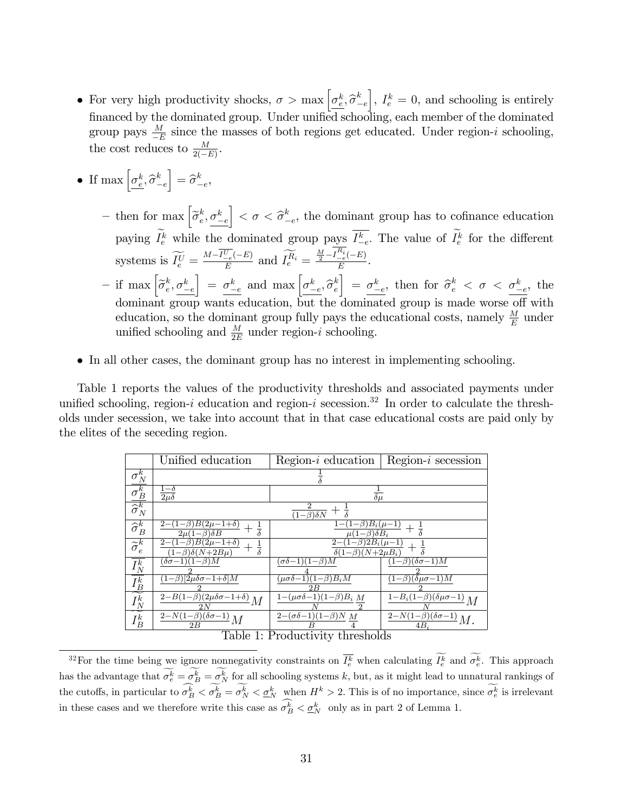- For very high productivity shocks,  $\sigma > \max \left[ \sigma_{\epsilon}^{k}, \hat{\sigma}_{-}^{k} \right]$  $-e$ ,  $I_e^k = 0$ , and schooling is entirely financed by the dominated group. Under unified schooling, each member of the dominated group pays  $\frac{M}{E}$  since the masses of both regions get educated. Under region-*i* schooling, the cost reduces to  $\frac{M}{2(-E)}$ .
- If  $\max\left[\underline{\sigma_e^k}, \widehat{\sigma}_{-}^k\right]$  $-e$  $\Big] = \widehat{\sigma}^k$  $_{-e}^k$ 
	- then for max  $\left[\widetilde{\sigma}_e^k\right]$  $e^k$ ,  $\sigma_{-e}^k$  $\Big] < \sigma < \widehat{\sigma}^k$  $e^k_{-e}$ , the dominant group has to cofinance education paying  $I_e^k$  while the dominated group pays  $I_{-e}^k$ . The value of  $I_e^k$  for the different systems is  $\widetilde{I_e^U} = \frac{M - I_{-e}^U(-E)}{E}$  $\frac{\overline{U}_e(-E)}{E}$  and  $\widetilde{I}_e^{\widetilde{R}_i} = \frac{\frac{M}{2} - I_{-e}^{R_i}(-E)}{E}$  $\frac{-e^{(-E)}}{E}$ .  $-$  if max  $\left[\widetilde{\sigma}_e^k\right]$  $e^k, \sigma_{-e}^k$  $\left[\right] = \frac{\sigma_{-e}^k}{\sigma_{-e}^k}$  and  $\max \left[\frac{\sigma_{-e}^k}{\sigma_{-e}^k}, \hat{\sigma}_{e}^k\right]$ e  $\left[\right] = \frac{\sigma_{-e}^k}{\sigma_{-e}^k}$ , then for  $\hat{\sigma}_e^k < \sigma < \frac{\sigma_{-e}^k}{\sigma_{-e}^k}$ , the dominant group wants education, but the dominated group is made worse off with education, so the dominant group fully pays the educational costs, namely  $\frac{M}{E}$  under unified schooling and  $\frac{M}{2E}$  under region-*i* schooling.
- In all other cases, the dominant group has no interest in implementing schooling.

Table 1 reports the values of the productivity thresholds and associated payments under unified schooling, region-i education and region-i secession.<sup>32</sup> In order to calculate the thresholds under secession, we take into account that in that case educational costs are paid only by the elites of the seceding region.

|                                         | Unified education                                                   | $Region-i$ education                                                       | $Region-i$ secession                                 |
|-----------------------------------------|---------------------------------------------------------------------|----------------------------------------------------------------------------|------------------------------------------------------|
| $\sigma_N^k$                            |                                                                     |                                                                            |                                                      |
| $\sigma_B^k$                            | $1-\delta$<br>$2\mu\delta$                                          | $\overline{\delta\mu}$                                                     |                                                      |
| $\overline{\widehat{\sigma}^k_N}$       | $\overline{(1-\beta)\delta N}$                                      |                                                                            |                                                      |
| $\overline{\widehat{\sigma}^k_B}$       | $(1-\beta)B(2\mu-1+\delta)$<br>$2\mu(1-\beta)\delta B$              | $\overline{(1-\beta)}B_i(\mu-1)$<br>$\mu(1-\beta)\delta B_i$               |                                                      |
| $\overline{\widetilde{\sigma}_{e}^{k}}$ | $\frac{2-(1-\beta)B(2\mu-1+\delta)}{2}$<br>$1-\beta\delta(N+2B\mu)$ | $\overline{(1-\beta)2B_i(\mu-1)}$<br>$2-$<br>$\delta(1-\beta)(N+2\mu B_i)$ |                                                      |
| $I^k_N$                                 | $(\delta \sigma -1)(1-\beta)M$                                      | $(\sigma \delta - 1)(1-\beta)M$                                            | $(1-\beta)(\delta\sigma-1)M$                         |
| $I_B^{\overline{k}}$                    | $\overline{(1-\beta)[2\mu\delta\sigma-1+\delta]M}$                  | $(\mu \sigma \delta - 1)(1 - \beta)B_i M$<br>2 B                           | $\overline{(1-\beta)(\delta \mu \sigma -1)M}$        |
| $I^k_N$                                 | $\frac{2-B(1-\beta)(2\mu\delta\sigma-1+\delta)}{2}M$                | $1-(\mu\sigma\delta-1)(1-\beta)B_i M$                                      | $\frac{1-B_i(1-\beta)(\delta\mu\sigma-1)}{M}M$       |
| $I_B^k$                                 | $\frac{2-N(1-\beta)(\delta\sigma-1)}{M}M$<br>2B                     | $2-(\sigma\delta-1)(1-\beta)N M$                                           | $\frac{2-N(1-\beta)(\delta\sigma-1)}{n}M.$<br>$4B_i$ |
| Toble 1. Productivity thropholds        |                                                                     |                                                                            |                                                      |

Table 1: Productivity thresholds

<sup>&</sup>lt;sup>32</sup>For the time being we ignore nonnegativity constraints on  $\overline{I_e^k}$  when calculating  $I_e^k$  and  $\sigma_e^k$ . This approach has the advantage that  $\sigma_e^k = \sigma_B^k = \sigma_N^k$  for all schooling systems k, but, as it might lead to unnatural rankings of the cutoffs, in particular to  $\sigma_B^k < \sigma_B^k = \sigma_N^k < \underline{\sigma_N^k}$  when  $H^k > 2$ . This is of no importance, since  $\sigma_e^k$  is irrelevant in these cases and we therefore write this case as  $\sigma_B^k < \underline{\sigma}_N^k$  only as in part 2 of Lemma 1.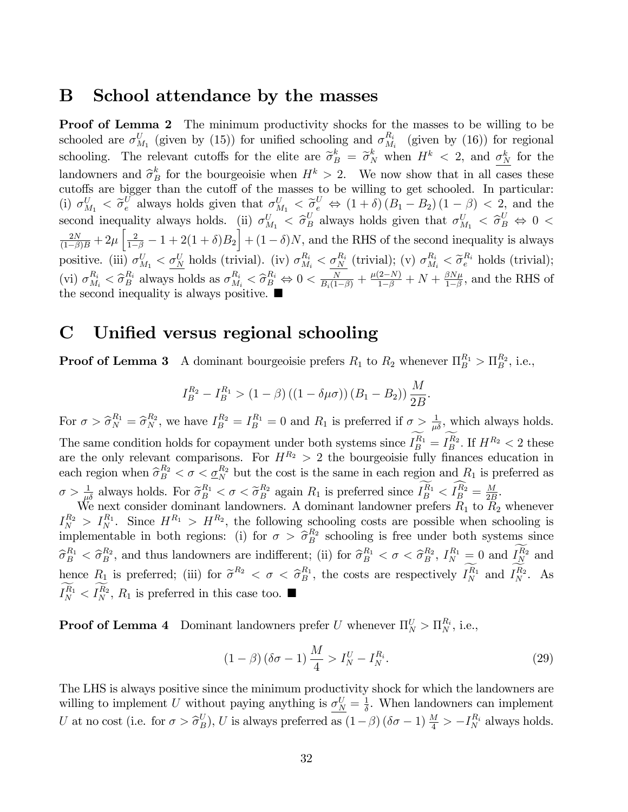### B School attendance by the masses

**Proof of Lemma 2** The minimum productivity shocks for the masses to be willing to be schooled are  $\sigma_{M_1}^U$  (given by (15)) for unified schooling and  $\sigma_{M_1}^{R_i}$  $\frac{R_i}{M_i}$  (given by (16)) for regional schooling. The relevant cutoffs for the elite are  $\tilde{\sigma}_B^k = \tilde{\sigma}_N^k$  when  $H^k < 2$ , and  $\sigma_N^k$  for the landowners and  $\hat{\sigma}_B^k$  for the bourgeoisie when  $H^k > 2$ . We now show that in all cases these cutoffs are bigger than the cutoff of the masses to be willing to get schooled. In particular: (i)  $\sigma_{M_1}^U < \tilde{\sigma}_e^U$  always holds given that  $\sigma_{M_1}^U < \tilde{\sigma}_e^U \Leftrightarrow (1+\delta)(B_1 - B_2)(1-\beta) < 2$ , and the second inequality always holds. (ii)  $\sigma_{M_1}^U < \hat{\sigma}_B^U$  always holds given that  $\sigma_{M_1}^U < \hat{\sigma}_B^U \Leftrightarrow 0 <$  $\frac{2N}{(1-\beta)B} + 2\mu \left[ \frac{2}{1-\beta} - 1 + 2(1+\delta)B_2 \right] + (1-\delta)N$ , and the RHS of the second inequality is always positive. (iii)  $\sigma_{M_1}^U < \underline{\sigma_N^U}$  holds (trivial). (iv)  $\sigma_{M_i}^{R_i} < \underline{\sigma_N^{R_i}}$  (trivial); (v)  $\sigma_{M_i}^{R_i} < \widetilde{\sigma}_e^{R_i}$  holds (trivial); (vi)  $\sigma_{M_i}^{R_i} < \hat{\sigma}_{B}^{R_i}$  always holds as  $\sigma_{M_i}^{R_i} < \hat{\sigma}_{B}^{R_i} \Leftrightarrow 0 < \frac{N}{B_i(1-\beta)} + \frac{\mu(2-N)}{1-\beta} + N + \frac{\beta N \mu}{1-\beta}$  $\frac{\beta N \mu}{1-\beta}$ , and the RHS of the second inequality is always positive.  $\blacksquare$ 

# C Unified versus regional schooling

**Proof of Lemma 3** A dominant bourgeoisie prefers  $R_1$  to  $R_2$  whenever  $\Pi_B^{R_1} > \Pi_B^{R_2}$ , i.e.,

$$
I_B^{R_2} - I_B^{R_1} > (1 - \beta) ((1 - \delta \mu \sigma)) (B_1 - B_2)) \frac{M}{2B}.
$$

For  $\sigma > \hat{\sigma}_N^{R_1} = \hat{\sigma}_N^{R_2}$ , we have  $I_B^{R_2} = I_B^{R_1} = 0$  and  $R_1$  is preferred if  $\sigma > \frac{1}{\mu \delta}$ , which always holds. The same condition holds for copayment under both systems since  $I_B^{R_1} = I_B^{R_2}$ . If  $H^{R_2} < 2$  these are the only relevant comparisons. For  $H^{R_2} > 2$  the bourgeoisie fully finances education in each region when  $\widehat{\sigma}_{B}^{R_2} < \sigma < \underline{\sigma}_{N}^{R_2}$  but the cost is the same in each region and  $R_1$  is preferred as  $\sigma > \frac{1}{\mu\delta}$  always holds. For  $\widetilde{\sigma}_{B}^{R_1} < \sigma < \widetilde{\sigma}_{B}^{R_2}$  again  $R_1$  is preferred since  $I_B^{R_1} < I_B^{R_2} = \frac{M}{2E}$  $\frac{M}{2B}$ . We next consider dominant landowners. A dominant landowner prefers  $R_1$  to  $R_2$  whenever  $I_N^{R_2} > I_N^{R_1}$ . Since  $H^{R_1} > H^{R_2}$ , the following schooling costs are possible when schooling is implementable in both regions: (i) for  $\sigma > \hat{\sigma}_{B}^{R_2}$  schooling is free under both systems since  $\widehat{\sigma}_{B}^{R_1} < \widehat{\sigma}_{B}^{R_2}$ , and thus landowners are indifferent; (ii) for  $\widehat{\sigma}_{B}^{R_1} < \sigma < \widehat{\sigma}_{B}^{R_2}$ ,  $I_N^{R_1} = 0$  and  $I_N^{R_2}$  and

hence  $R_1$  is preferred; (iii) for  $\tilde{\sigma}^{R_2} < \sigma < \tilde{\sigma}_B^{R_1}$ , the costs are respectively  $I_N^{R_1}$  and  $I_N^{R_2}$ . As  $I_N^{R_1} < I_N^{R_2}$ ,  $R_1$  is preferred in this case too.

**Proof of Lemma 4** Dominant landowners prefer U whenever  $\Pi_N^U > \Pi_N^{R_i}$ , i.e.,

$$
(1 - \beta)\left(\delta\sigma - 1\right) \frac{M}{4} > I_N^U - I_N^{R_i}.\tag{29}
$$

The LHS is always positive since the minimum productivity shock for which the landowners are willing to implement U without paying anything is  $\sigma_N^U = \frac{1}{\delta}$  $\frac{1}{\delta}$ . When landowners can implement U at no cost (i.e. for  $\sigma > \hat{\sigma}_{B}^{U}$ ), U is always preferred as  $(1 - \beta)(\delta \sigma - 1) \frac{M}{4} > -I_{N}^{R_{i}}$  always holds.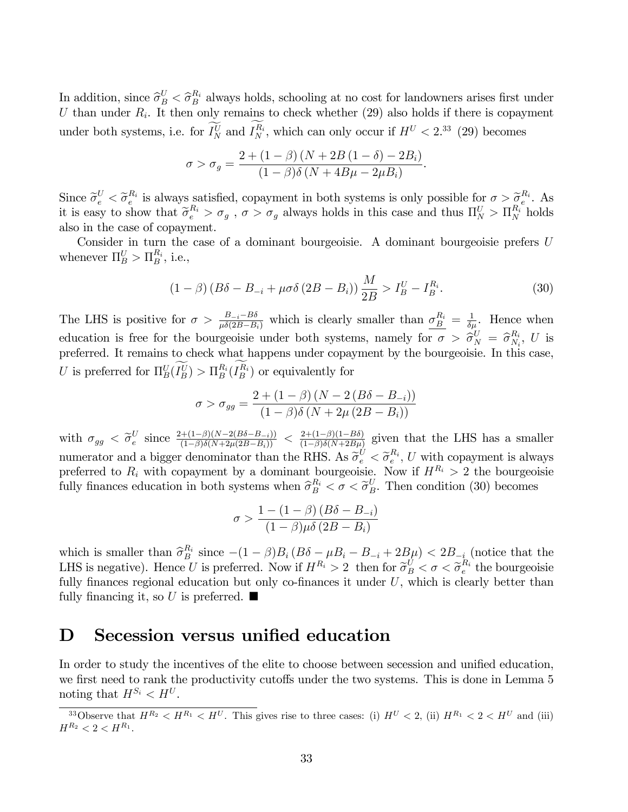In addition, since  $\hat{\sigma}_{B}^{U} < \hat{\sigma}_{B}^{R_i}$  always holds, schooling at no cost for landowners arises first under U than under  $R_i$ . It then only remains to check whether (29) also holds if there is copayment under both systems, i.e. for  $I_N^U$  and  $I_N^{R_i}$ , which can only occur if  $H^U < 2^{33}$  (29) becomes

$$
\sigma > \sigma_g = \frac{2 + (1 - \beta)(N + 2B(1 - \delta) - 2B_i)}{(1 - \beta)\delta(N + 4B\mu - 2\mu B_i)}
$$

Since  $\widetilde{\sigma}_{e}^{U} < \widetilde{\sigma}_{e}^{R_i}$  is always satisfied, copayment in both systems is only possible for  $\sigma > \widetilde{\sigma}_{e}^{R_i}$ . As it is easy to show that  $\tilde{\sigma}_e^{R_i} > \sigma_g$ ,  $\sigma > \sigma_g$  always holds in this case and thus  $\Pi_N^U > \Pi_N^{R_i}$  holds also in the case of copayment.

Consider in turn the case of a dominant bourgeoisie. A dominant bourgeoisie prefers U whenever  $\Pi_B^U > \Pi_B^{R_i}$ , i.e.,

$$
(1 - \beta) (B\delta - B_{-i} + \mu \sigma \delta (2B - B_i)) \frac{M}{2B} > I_B^U - I_B^{R_i}.
$$
 (30)

.

The LHS is positive for  $\sigma > \frac{B_{-i}-B\delta}{\mu\delta(2B-B_i)}$  which is clearly smaller than  $\sigma_B^{R_i} = \frac{1}{\delta \mu_i}$ . Hence when education is free for the bourgeoisie under both systems, namely for  $\sigma > \hat{\sigma}_N^U = \hat{\sigma}_{N_i}^{R_i}$  $\frac{R_i}{N_i}$ ,  $U$  is preferred. It remains to check what happens under copayment by the bourgeoisie. In this case, U is preferred for  $\Pi_B^U(I_B^U) > \Pi_B^{R_i}(I_B^{R_i})$  or equivalently for

$$
\sigma > \sigma_{gg} = \frac{2 + (1 - \beta) (N - 2 (B\delta - B_{-i}))}{(1 - \beta)\delta (N + 2\mu (2B - B_i))}
$$

with  $\sigma_{gg} < \tilde{\sigma}_{e}^{U}$  $e^{U}_{e}$  since  $\frac{2+(1-\beta)(N-2(B\delta-B_{-i}))}{(1-\beta)\delta(N+2\mu(2B-B_{i}))} < \frac{2+(1-\beta)(1-B\delta)}{(1-\beta)\delta(N+2B\mu)}$  $\frac{2+(1-\beta)(1-B\delta)}{(1-\beta)\delta(N+2B\mu)}$  given that the LHS has a smaller numerator and a bigger denominator than the RHS. As  $\widetilde{\sigma}_{e}^{U} < \widetilde{\sigma}_{e}^{R_i}$ , U with copayment is always preferred to  $R_i$  with copayment by a dominant bourgeoisie. Now if  $H^{R_i} > 2$  the bourgeoisie fully finances education in both systems when  $\hat{\sigma}_{B}^{R_i} < \sigma < \tilde{\sigma}_{B}^{U}$ . Then condition (30) becomes

$$
\sigma > \frac{1 - (1 - \beta) (B\delta - B_{-i})}{(1 - \beta)\mu\delta (2B - B_i)}
$$

which is smaller than  $\hat{\sigma}_{B_i}^{R_i}$  since  $-(1-\beta)B_i (B\delta - \mu B_i - B_{-i} + 2B\mu) < 2B_{-i}$  (notice that the LHS is negative). Hence U is preferred. Now if  $H^{R_i} > 2$  then for  $\tilde{\sigma}_B^U < \sigma < \tilde{\sigma}_e^{R_i}$  the bourgeoisie fully finances regional education but only co-finances it under  $U$ , which is clearly better than fully financing it, so U is preferred.  $\blacksquare$ 

# D Secession versus unified education

In order to study the incentives of the elite to choose between secession and unified education, we first need to rank the productivity cutoffs under the two systems. This is done in Lemma 5 noting that  $H^{S_i} < H^U$ .

<sup>&</sup>lt;sup>33</sup>Observe that  $H^{R_2} < H^{R_1} < H^U$ . This gives rise to three cases: (i)  $H^U < 2$ , (ii)  $H^{R_1} < 2 < H^U$  and (iii)  $H^{R_2} < 2 < H^{R_1}.$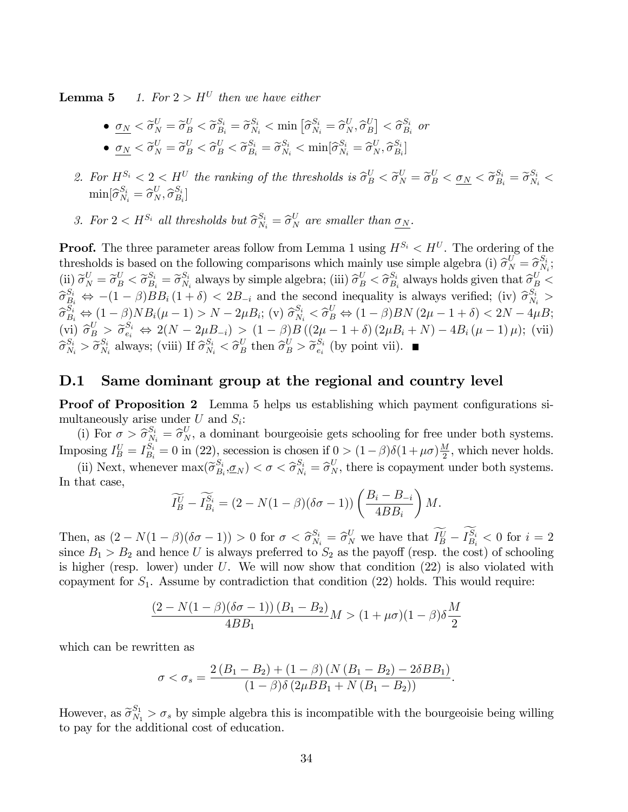**Lemma 5** 1. For  $2 > H^U$  then we have either

- $\underline{\sigma}_N < \widetilde{\sigma}_N^U = \widetilde{\sigma}_B^U < \widetilde{\sigma}_{B_i}^{S_i} = \widetilde{\sigma}_{N_i}^{S_i} < \min \left[ \widehat{\sigma}_{N_i}^{S_i} = \widehat{\sigma}_N^U, \widehat{\sigma}_{B_i}^U \right]$  $\begin{bmatrix} U \\ B \end{bmatrix} < \widehat{\sigma}_{B_i}^{S_i}$  $\frac{S_i}{B_i}$  or •  $\sigma_N < \tilde{\sigma}_N^U = \tilde{\sigma}_B^U < \hat{\sigma}_B^U < \tilde{\sigma}_{B_i}^{S_i} = \tilde{\sigma}_{N_i}^{S_i} < \min[\hat{\sigma}_{N_i}^{S_i} = \hat{\sigma}_N^U, \hat{\sigma}_{B_i}^{S_i}]$  $\left[\begin{smallmatrix} S_i \ B_i \end{smallmatrix}\right]$
- 2. For  $H^{S_i} < 2 < H^U$  the ranking of the thresholds is  $\hat{\sigma}_B^U < \tilde{\sigma}_N^U = \tilde{\sigma}_B^U < \underline{\sigma}_N < \tilde{\sigma}_{B_i}^S = \tilde{\sigma}_{N_i}^{S_i} <$  $\min[\widehat{\sigma}_{N_i}^{S_i} = \widehat{\sigma}_{N}^{U}, \widehat{\sigma}_{B_i}^{S_i}]$  $\left[\begin{smallmatrix} S_i \ B_i \end{smallmatrix}\right]$
- 3. For  $2 < H^{S_i}$  all thresholds but  $\widehat{\sigma}_{N_i}^{S_i} = \widehat{\sigma}_N^U$  are smaller than  $\underline{\sigma}_N$ .

**Proof.** The three parameter areas follow from Lemma 1 using  $H^{S_i} < H^U$ . The ordering of the thresholds is based on the following comparisons which mainly use simple algebra (i)  $\hat{\sigma}_{N}^{U} = \hat{\sigma}_{N}^{S_{i}}$  $\frac{S_i}{N_i},$  $\begin{equation} \left( \text{ii} \right) \widetilde{\sigma}^U_N = \widetilde{\sigma}^U_B < \widetilde{\sigma}^{S_i}_{B_i} = \widetilde{\sigma}^{S_i}_{N_i} \ \approx \widetilde{\sigma}^S_N \end{equation}$  $S_i$  always by simple algebra; (iii)  $\widehat{\sigma}_{B}^U < \widehat{\sigma}_{B_i}^{S_i}$  $S_i$  always holds given that  $\widehat{\sigma}_{B}^U$  <  $\widehat{\sigma}_{B_i}^{S_i} \Leftrightarrow -(1-\beta)BB_i(1+\delta) < 2B_{-i}$  and the second inequality is always verified; (iv)  $\widehat{\sigma}_{N_i}^{S_i} >$  $\hat{\sigma}_{B_i}^{S_i} \Leftrightarrow (1-\beta)NB_i(\mu-1) > N - 2\mu B_i$ ; (v)  $\hat{\sigma}_{N_i}^{S_i} < \hat{\sigma}_{B}^{U} \Leftrightarrow (1-\beta)BN(2\mu-1+\delta) < 2N - 4\mu B_i$ ;<br>(i)  $\hat{\sigma}_{N_i}^{U} < \hat{\sigma}_{N_i}^{U}$  $(vi)$   $\hat{\sigma}_{B}^{U} > \tilde{\sigma}_{e_i}^{S_i} \Leftrightarrow 2(N - 2\mu B_{-i}) > (1 - \beta)B((2\mu - 1 + \delta)(2\mu B_i + N) - 4B_i(\mu - 1)\mu);$  (vii)  $\widehat{\sigma}_{N_i}^{S_i} > \widetilde{\sigma}_{N_i}^{S_i}$  $S_i$  always; (viii) If  $\widehat{\sigma}_{N_i}^{S_i} < \widehat{\sigma}_B^U$  then  $\widehat{\sigma}_{B}^U > \widetilde{\sigma}_{e_i}^{S_i}$  $e_i^{S_i}$  (by point vii).

### D.1 Same dominant group at the regional and country level

**Proof of Proposition 2** Lemma 5 helps us establishing which payment configurations simultaneously arise under  $U$  and  $S_i$ :

(i) For  $\sigma > \hat{\sigma}_{N_i}^{S_i} = \hat{\sigma}_{N}^{U}$ , a dominant bourgeoisie gets schooling for free under both systems. Imposing  $I_B^U = I_{B_i}^{S_i} = 0$  in (22), secession is chosen if  $0 > (1 - \beta)\delta(1 + \mu\sigma)\frac{M}{2}$  $\frac{M}{2}$ , which never holds.

(ii) Next, whenever  $\max(\widetilde{\sigma}_{B_s}^{S_i})$  $(S_i, S_i, \underline{\sigma}_N) < \sigma < \widehat{\sigma}_{N_i}^{S_i} = \widehat{\sigma}_N^U$ , there is copayment under both systems. In that case,

$$
\widetilde{I_B^U} - \widetilde{I_{B_i}^{S_i}} = (2 - N(1 - \beta)(\delta \sigma - 1)) \left( \frac{B_i - B_{-i}}{4BB_i} \right) M.
$$

Then, as  $(2 - N(1 - \beta)(\delta \sigma - 1)) > 0$  for  $\sigma < \hat{\sigma}_{N_i}^{S_i} = \hat{\sigma}_N^U$  we have that  $I_B^U - I_{B_i}^{S_i} < 0$  for  $i = 2$ since  $B_1 > B_2$  and hence U is always preferred to  $S_2$  as the payoff (resp. the cost) of schooling is higher (resp. lower) under  $U$ . We will now show that condition  $(22)$  is also violated with copayment for  $S_1$ . Assume by contradiction that condition (22) holds. This would require:

$$
\frac{(2 - N(1 - \beta)(\delta\sigma - 1)) (B_1 - B_2)}{4BB_1} M > (1 + \mu\sigma)(1 - \beta)\delta \frac{M}{2}
$$

which can be rewritten as

$$
\sigma < \sigma_s = \frac{2\left(B_1 - B_2\right) + (1 - \beta)\left(N\left(B_1 - B_2\right) - 2\delta B B_1\right)}{(1 - \beta)\delta\left(2\mu B B_1 + N\left(B_1 - B_2\right)\right)}.
$$

However, as  $\widetilde{\sigma}_{N_1}^{S_1} > \sigma_s$  by simple algebra this is incompatible with the bourgeoisie being willing to pay for the additional cost of education.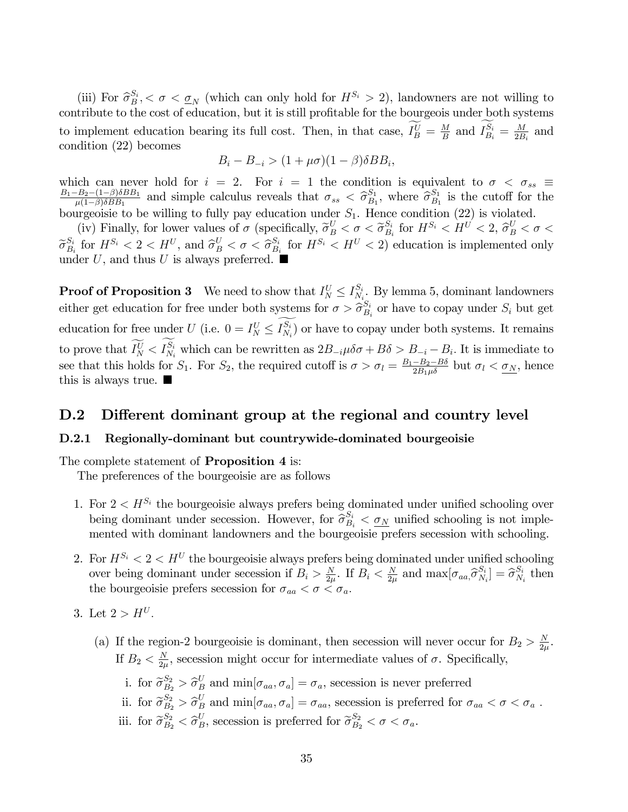(iii) For  $\hat{\sigma}_{B}^{S_i} < \sigma < \underline{\sigma}_N$  (which can only hold for  $H^{S_i} > 2$ ), landowners are not willing to contribute to the cost of education, but it is still profitable for the bourgeois under both systems to implement education bearing its full cost. Then, in that case,  $I_B^U = \frac{M}{B}$  $\frac{M}{B}$  and  $I_{B_i}^{S_i} = \frac{M}{2B}$  $\frac{M}{2B_i}$  and condition (22) becomes

$$
B_i - B_{-i} > (1 + \mu \sigma)(1 - \beta)\delta B B_i,
$$

which can never hold for  $i = 2$ . For  $i = 1$  the condition is equivalent to  $\sigma < \sigma_{ss} \equiv \frac{B_1 - B_2 - (1 - \beta)\delta B B_1}{2}$  and simple calculus reveals that  $\sigma_{ss} < \hat{\sigma}_{sp}^{S_1}$  where  $\hat{\sigma}_{sp}^{S_1}$  is the cutoff for the  $\frac{B_2 - (1-\beta)\delta BB_1}{\mu(1-\beta)\delta BB_1}$  and simple calculus reveals that  $\sigma_{ss} < \hat{\sigma}_{B_1}^{S_1}$  $S_1, S_1,$  where  $\widehat{\sigma}_{B_1}^{S_1}$  $\frac{S_1}{B_1}$  is the cutoff for the bourgeoisie to be willing to fully pay education under  $S_1$ . Hence condition (22) is violated.

(iv) Finally, for lower values of  $\sigma$  (specifically,  $\widetilde{\sigma}_B^U < \sigma < \widetilde{\sigma}_{B_s}^{S_i}$  $\frac{S_i}{B_i}$  for  $H^{S_i} < H^U < 2$ ,  $\widehat{\sigma}_B^U < \sigma <$  $\widetilde{\sigma}_{B_i}^{S_i}$  $S_i$  for  $H^{S_i} < 2 < H^U$ , and  $\hat{\sigma}_B^U < \sigma < \hat{\sigma}_{B_i}^{S_i}$  $\frac{S_i}{B_i}$  for  $H^{S_i} < H^{U} < 2$ ) education is implemented only under U, and thus U is always preferred.  $\blacksquare$ 

**Proof of Proposition 3** We need to show that  $I_N^U \leq I_{N_i}^{S_i}$  $\frac{S_i}{N_i}$ . By lemma 5, dominant landowners either get education for free under both systems for  $\sigma > \hat{\sigma}_{B_s}^{S_i}$  $S_i$  or have to copay under  $S_i$  but get education for free under U (i.e.  $0 = I_N^U \leq I_{N_i}^{S_i}$ ) or have to copay under both systems. It remains to prove that  $I_N^U < I_{N_i}^{S_i}$  which can be rewritten as  $2B_{-i}\mu\delta\sigma + B\delta > B_{-i} - B_i$ . It is immediate to see that this holds for  $S_1$ . For  $S_2$ , the required cutoff is  $\sigma > \sigma_l = \frac{B_1 - B_2 - B\delta}{2B_1\mu\delta}$  but  $\sigma_l < \underline{\sigma_N}$ , hence this is always true.  $\blacksquare$ 

#### D.2 Different dominant group at the regional and country level

#### D.2.1 Regionally-dominant but countrywide-dominated bourgeoisie

The complete statement of **Proposition 4** is:

The preferences of the bourgeoisie are as follows

- 1. For  $2 < H^{S_i}$  the bourgeoisie always prefers being dominated under unified schooling over being dominant under secession. However, for  $\hat{\sigma}_{B_i}^{S_i} < \underline{\sigma}_N$  unified schooling is not implemented with dominant landowners and the bourgeoisie prefers secession with schooling.
- 2. For  $H^{S_i} < 2 < H^U$  the bourgeoisie always prefers being dominated under unified schooling over being dominant under secession if  $B_i > \frac{N}{2i}$  $\frac{N}{2\mu}$ . If  $B_i < \frac{N}{2\mu}$  $\frac{N}{2\mu}$  and  $\max[\sigma_{aa}, \hat{\sigma}_{N_a}^{S_i}]$  $S_i \brack N_i = \widehat{\sigma}_{N_i}^{S_i}$  $\frac{S_i}{N_i}$  then the bourgeoisie prefers secession for  $\sigma_{aa} < \sigma < \sigma_a$ .
- 3. Let  $2 > H^U$ .
	- (a) If the region-2 bourgeoisie is dominant, then secession will never occur for  $B_2 > \frac{N}{2}$  $\frac{N}{2\mu}$  . If  $B_2 < \frac{N}{2\mu}$  $\frac{N}{2\mu}$ , secession might occur for intermediate values of  $\sigma$ . Specifically,
		- i. for  $\tilde{\sigma}_{B_2}^{S_2} > \hat{\sigma}_B^U$  and  $\min[\sigma_{aa}, \sigma_a] = \sigma_a$ , secession is never preferred
		- ii. for  $\widetilde{\sigma}_{B_2}^{S_2} > \widehat{\sigma}_B^U$  and  $\min[\sigma_{aa}, \sigma_a] = \sigma_{aa}$ , secession is preferred for  $\sigma_{aa} < \sigma < \sigma_a$ . iii. for  $\tilde{\sigma}_{B_2}^{S_2} < \hat{\sigma}_B^U$ , secession is preferred for  $\tilde{\sigma}_{B_2}^{S_2} < \sigma < \sigma_a$ .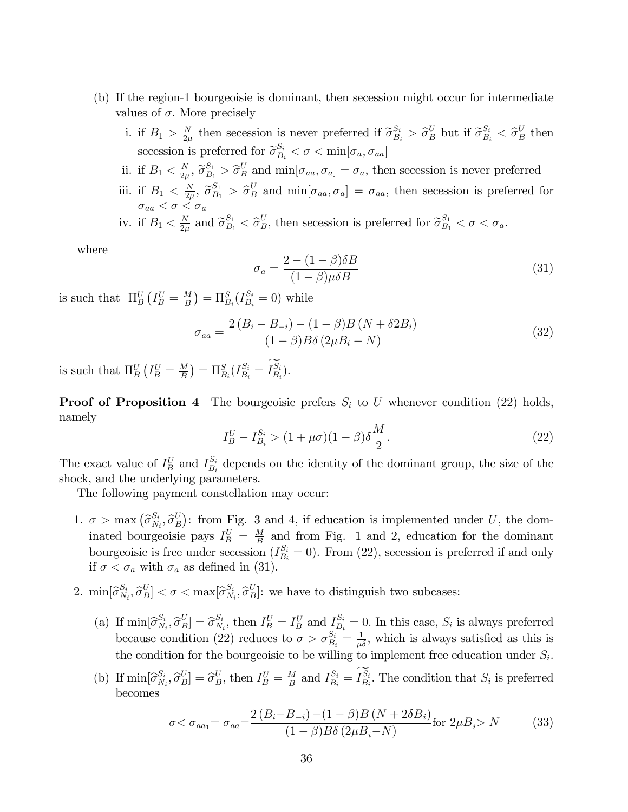- (b) If the region-1 bourgeoisie is dominant, then secession might occur for intermediate values of  $\sigma$ . More precisely
	- i. if  $B_1 > \frac{N}{2n}$  $\frac{N}{2\mu}$  then secession is never preferred if  $\widetilde{\sigma}_{B_i}^{S_i} > \widehat{\sigma}_{B}^{U}$  but if  $\widetilde{\sigma}_{B_i}^{S_i} < \widehat{\sigma}_{B}^{U}$  then secession is preferred for  $\tilde{\sigma}_{B_i}^{S_i} < \sigma < \min[\sigma_a, \sigma_{aa}]$
	- ii. if  $B_1 < \frac{N}{2n}$  $\frac{N}{2\mu}$ ,  $\widetilde{\sigma}_{B_1}^{S_1} > \widehat{\sigma}_B^U$  and  $\min[\sigma_{aa}, \sigma_a] = \sigma_a$ , then secession is never preferred iii. if  $B_1 < \frac{N}{2\mu}$  $\frac{N}{2\mu}$ ,  $\tilde{\sigma}_{B_1}^{S_1} > \tilde{\sigma}_B^U$  and  $\min[\sigma_{aa}, \sigma_a] = \sigma_{aa}$ , then secession is preferred for  $\sigma_{aa} < \sigma < \sigma_a$ iv. if  $B_1 < \frac{N}{2\mu}$  $\frac{N}{2\mu}$  and  $\tilde{\sigma}_{B_1}^{S_1} < \tilde{\sigma}_B^U$ , then secession is preferred for  $\tilde{\sigma}_{B_1}^{S_1} < \sigma < \sigma_a$ .

where

$$
\sigma_a = \frac{2 - (1 - \beta)\delta B}{(1 - \beta)\mu \delta B} \tag{31}
$$

is such that  $\Pi_B^U(I_B^U = \frac{M}{B})$  $\frac{M}{B}$ ) =  $\Pi_{B_i}^S(I_{B_i}^{S_i} = 0)$  while

$$
\sigma_{aa} = \frac{2(B_i - B_{-i}) - (1 - \beta)B(N + \delta 2B_i)}{(1 - \beta)B\delta(2\mu B_i - N)}
$$
(32)

is such that  $\Pi_B^U(I_B^U = \frac{M}{B})$  $\frac{M}{B}$ ) =  $\Pi_{B_i}^S(I_{B_i}^{S_i} = I_{B_i}^{S_i}).$ 

**Proof of Proposition 4** The bourgeoisie prefers  $S_i$  to U whenever condition (22) holds, namely

$$
I_B^U - I_{B_i}^{S_i} > (1 + \mu \sigma)(1 - \beta)\delta \frac{M}{2}.
$$
\n(22)

The exact value of  $I_B^U$  and  $I_{B_i}^{S_i}$  $S_i$  depends on the identity of the dominant group, the size of the shock, and the underlying parameters.

The following payment constellation may occur:

- 1.  $\sigma > \max_{i} (\widehat{\sigma}_{N_i}^{S_i})$  $\overset{S_i}{N_i}, \overset{\frown}{\sigma}^U_B$  $B(E_B)$ : from Fig. 3 and 4, if education is implemented under U, the dominated bourgeoisie pays  $I_B^U = \frac{M}{B}$  $\frac{M}{B}$  and from Fig. 1 and 2, education for the dominant bourgeoisie is free under secession  $(I_{B_i}^{S_i} = 0)$ . From (22), secession is preferred if and only if  $\sigma < \sigma_a$  with  $\sigma_a$  as defined in (31).
- 2.  $\min[\widehat{\sigma}_{N_i}^{S_i}]$  $\left[\begin{smallmatrix} S_i & \hat{\sigma}^U_B \ N_i & \hat{\sigma}^U_B \end{smallmatrix}\right] < \sigma < \max[\hat{\sigma}_{N_i}^{S_i}]$  $S_i, \hat{\sigma}_B^U$ : we have to distinguish two subcases:
	- (a) If  $\min[\widehat{\sigma}_{N_i}^{S_i}]$  $\left[ \begin{smallmatrix} S_i\ N_i\end{smallmatrix} , \widehat{\sigma}^U_B \right] = \widehat{\sigma}^{S_i}_{N_i}$  $S_i,$  then  $I_B^U = \overline{I_B^U}$  and  $I_{B_i}^{S_i} = 0$ . In this case,  $S_i$  is always preferred because condition (22) reduces to  $\sigma > \sigma_{B_i}^{S_i} = \frac{1}{\mu \delta}$ , which is always satisfied as this is the condition for the bourgeoisie to be willing to implement free education under  $S_i$ .
	- (b) If  $\min[\widehat{\sigma}_{N_i}^{S_i}]$  $\begin{bmatrix} S_i & S^U_{B} \ N_i & \sigma_B^U \end{bmatrix} = \hat{\sigma}_B^U$ , then  $I_B^U = \frac{M}{B}$  $\frac{M}{B}$  and  $I_{B_i}^{S_i} = I_{B_i}^{S_i}$ . The condition that  $S_i$  is preferred becomes

$$
\sigma < \sigma_{aa_1} = \sigma_{aa} = \frac{2(B_i - B_{-i}) - (1 - \beta)B(N + 2\delta B_i)}{(1 - \beta)B\delta(2\mu B_i - N)} \text{for } 2\mu B_i > N \tag{33}
$$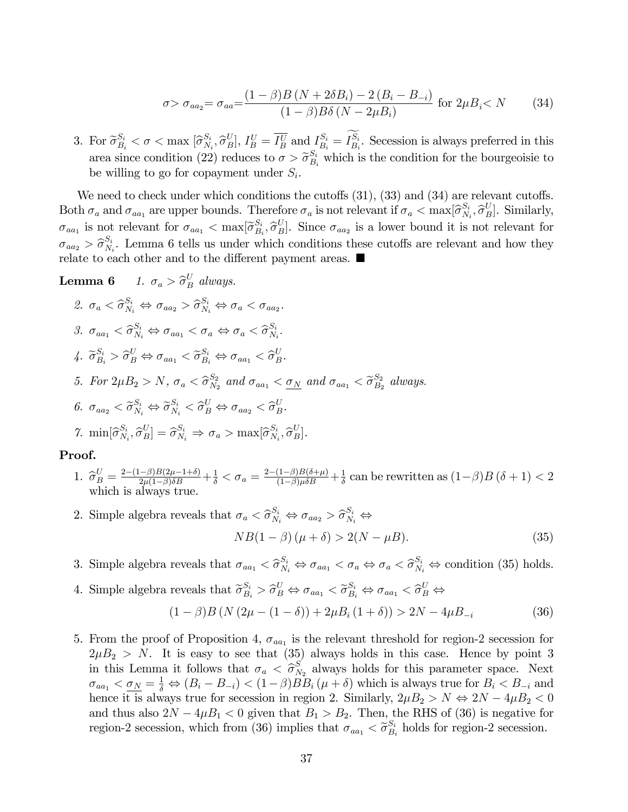$$
\sigma > \sigma_{aa_2} = \sigma_{aa} = \frac{(1 - \beta)B (N + 2\delta B_i) - 2 (B_i - B_{-i})}{(1 - \beta)B\delta (N - 2\mu B_i)} \text{ for } 2\mu B_i < N \tag{34}
$$

3. For  $\widetilde{\sigma}_{B_i}^{S_i} < \sigma < \max_{i} [\widehat{\sigma}_{N_i}^{S_i}]$  $(X_i, \hat{\sigma}_B^U], I_B^U = \overline{I_B^U}$  and  $I_{B_i}^{S_i} = I_{B_i}^{S_i}$ . Secession is always preferred in this area since condition (22) reduces to  $\sigma > \tilde{\sigma}_{B_i}^{S_i}$  which is the condition for the bourgeoisie to be willing to go for copayment under  $S_i$ .

We need to check under which conditions the cutoffs  $(31)$ ,  $(33)$  and  $(34)$  are relevant cutoffs. Both  $\sigma_a$  and  $\sigma_{aa_1}$  are upper bounds. Therefore  $\sigma_a$  is not relevant if  $\sigma_a < \max[\widehat{\sigma}_{N}^{S_i}]$  $S_i, \hat{\sigma}_B^U$ . Similarly,  $\sigma_{aa_1}$  is not relevant for  $\sigma_{aa_1} < \max[\tilde{\sigma}_{B_s}^{S_i}]$  $\begin{bmatrix} S_i & \hat{\sigma}_B \end{bmatrix}$ . Since  $\sigma_{aa_2}$  is a lower bound it is not relevant for  $\sigma_{aa_2} > \widehat{\sigma}_{N_3}^{S_i}$  $N_i$ . Lemma 6 tells us under which conditions these cutoffs are relevant and how they relate to each other and to the different payment areas.  $\blacksquare$ 

**Lemma 6** 1. 
$$
\sigma_a > \hat{\sigma}_B^U
$$
 always.  
\n2.  $\sigma_a < \hat{\sigma}_{N_i}^{S_i} \Leftrightarrow \sigma_{aa_2} > \hat{\sigma}_{N_i}^{S_i} \Leftrightarrow \sigma_a < \sigma_{aa_2}$ .  
\n3.  $\sigma_{aa_1} < \hat{\sigma}_{N_i}^{S_i} \Leftrightarrow \sigma_{aa_1} < \sigma_a \Leftrightarrow \sigma_a < \hat{\sigma}_{N_i}^{S_i}$ .  
\n4.  $\tilde{\sigma}_{B_i}^{S_i} > \hat{\sigma}_B^U \Leftrightarrow \sigma_{aa_1} < \tilde{\sigma}_{B_i}^{S_i} \Leftrightarrow \sigma_{aa_1} < \hat{\sigma}_B^U$ .  
\n5. For  $2\mu B_2 > N$ ,  $\sigma_a < \hat{\sigma}_{N_2}^{S_2}$  and  $\sigma_{aa_1} < \underline{\sigma}_N$  and  $\sigma_{aa_1} < \tilde{\sigma}_{B_2}^{S_2}$  always.  
\n6.  $\sigma_{aa_2} < \tilde{\sigma}_{N_i}^{S_i} \Leftrightarrow \tilde{\sigma}_{N_i}^{S_i} < \hat{\sigma}_B^U \Leftrightarrow \sigma_{aa_2} < \hat{\sigma}_B^U$ .  
\n7.  $\min[\hat{\sigma}_{N_i}^{S_i}, \hat{\sigma}_{B}^U] = \hat{\sigma}_{N_i}^{S_i} \Rightarrow \sigma_a > \max[\hat{\sigma}_{N_i}^{S_i}, \hat{\sigma}_{B}^U]$ .

#### Proof.

- 1.  $\hat{\sigma}_B^U = \frac{2-(1-\beta)B(2\mu-1+\delta)}{2\mu(1-\beta)\delta B} + \frac{1}{\delta} < \sigma_a = \frac{2-(1-\beta)B(\delta+\mu)}{(1-\beta)\mu\delta B} + \frac{1}{\delta}$  $\frac{1}{\delta}$  can be rewritten as  $(1-\beta)B(\delta+1) < 2$ which is always true.
- 2. Simple algebra reveals that  $\sigma_a < \hat{\sigma}_{N_i}^{S_i} \Leftrightarrow \sigma_{aa_2} > \hat{\sigma}_{N_i}^{S_i} \Leftrightarrow$  $NB(1 - \beta)(\mu + \delta) > 2(N - \mu B).$  (35)
- 3. Simple algebra reveals that  $\sigma_{aa_1} < \hat{\sigma}_{N_i}^{S_i} \Leftrightarrow \sigma_{aa_1} < \sigma_a \Leftrightarrow \sigma_a < \hat{\sigma}_{N_i}^{S_i} \Leftrightarrow$  condition (35) holds.
- 4. Simple algebra reveals that  $\widetilde{\sigma}_{B_i}^{S_i} > \widehat{\sigma}_{B}^{U} \Leftrightarrow \sigma_{aa_1} < \widetilde{\sigma}_{B_i}^{S_i} \Leftrightarrow \sigma_{aa_1} < \widehat{\sigma}_{B}^{U} \Leftrightarrow$

$$
(1 - \beta)B (N (2\mu - (1 - \delta)) + 2\mu B_i (1 + \delta)) > 2N - 4\mu B_{-i}
$$
 (36)

5. From the proof of Proposition 4,  $\sigma_{aa_1}$  is the relevant threshold for region-2 secession for  $2\mu B_2 > N$ . It is easy to see that (35) always holds in this case. Hence by point 3 in this Lemma it follows that  $\sigma_a < \hat{\sigma}_{\text{SN}}^S$  $N_2$  always holds for this parameter space. Next  $\sigma_{aa_1} < \underline{\sigma_N} = \frac{1}{\delta} \Leftrightarrow (B_i - B_{-i}) < (1 - \beta) \overline{B} B_i (\mu + \delta)$  which is always true for  $B_i < B_{-i}$  and hence it is always true for secession in region 2. Similarly,  $2\mu B_2 > N \Leftrightarrow 2N - 4\mu B_2 < 0$ and thus also  $2N - 4\mu B_1 < 0$  given that  $B_1 > B_2$ . Then, the RHS of (36) is negative for region-2 secession, which from (36) implies that  $\sigma_{aa_1} < \tilde{\sigma}_{B_1}^{S_i}$  $B_i$  holds for region-2 secession.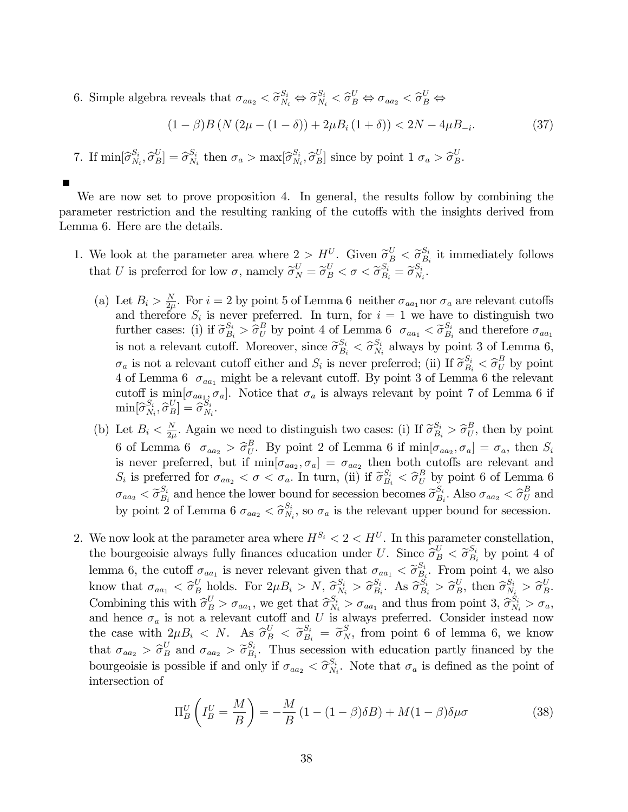6. Simple algebra reveals that  $\sigma_{aa_2} < \tilde{\sigma}_{N_i}^{S_i} \Leftrightarrow \tilde{\sigma}_{N_i}^{S_i} < \hat{\sigma}_{B}^{U} \Leftrightarrow \sigma_{aa_2} < \hat{\sigma}_{B}^{U} \Leftrightarrow$ 

$$
(1 - \beta)B (N (2\mu - (1 - \delta)) + 2\mu B_i (1 + \delta)) < 2N - 4\mu B_{-i}.
$$
 (37)

7. If  $\min[\widehat{\sigma}_{N_i}^{S_i}]$  $S_iSN_i}, \widehat{\sigma}_B^U] = \widehat{\sigma}_{N_i}^{S_i}$  $S_i$ , then  $\sigma_a > \max[\widehat{\sigma}_{N_i}^{S_i}]$  $S_i, \hat{\sigma}_B^U$  since by point  $1 \sigma_a > \hat{\sigma}_B^U$ .

We are now set to prove proposition 4. In general, the results follow by combining the parameter restriction and the resulting ranking of the cutoffs with the insights derived from Lemma 6. Here are the details.

- 1. We look at the parameter area where  $2 > H^U$ . Given  $\widetilde{\sigma}_B^U < \widetilde{\sigma}_B^{S_i}$  $S_i$ <sub>B<sub>i</sub></sub> it immediately follows that U is preferred for low  $\sigma$ , namely  $\widetilde{\sigma}_{N}^{U} = \widetilde{\sigma}_{B}^{U} < \sigma < \widetilde{\sigma}_{B_i}^{S_i} = \widetilde{\sigma}_{N_i}^{S_i}$  $\frac{S_i}{N_i}$  .
	- (a) Let  $B_i > \frac{N}{2u}$  $\frac{N}{2\mu}$ . For  $i = 2$  by point 5 of Lemma 6 neither  $\sigma_{aa_1}$  nor  $\sigma_a$  are relevant cutoffs and therefore  $S_i$  is never preferred. In turn, for  $i = 1$  we have to distinguish two further cases: (i) if  $\tilde{\sigma}_{B_i}^{S_i} > \hat{\sigma}_{U}^{B}$  by point 4 of Lemma 6  $\sigma_{aa_1} < \tilde{\sigma}_{B_i}^{S_i}$  $B_i$  and therefore  $\sigma_{aa_1}$ is not a relevant cutoff. Moreover, since  $\widetilde{\sigma}_{B_i}^{S_i} < \widehat{\sigma}_{N_i}^{S_i}$  $\frac{S_i}{N_i}$  always by point 3 of Lemma 6,  $\sigma_a$  is not a relevant cutoff either and  $S_i$  is never preferred; (ii) If  $\tilde{\sigma}_{B_i}^{S_i} < \tilde{\sigma}_{B_i}^{B}$  by point 4 of Lemma 6  $\sigma_{aa_1}$  might be a relevant cutoff. By point 3 of Lemma 6 the relevant cutoff is  $\min[\sigma_{aa_1}, \sigma_a]$ . Notice that  $\sigma_a$  is always relevant by point 7 of Lemma 6 if  $\min[\widehat{\sigma}_{N_{\text{S}}}^{S_i}]$  $\left[\begin{smallmatrix} S_i\ N_i\end{smallmatrix}\right], \widehat{\sigma}_B^U]=\widehat{\sigma}_{N_i}^{S_i}$  $\frac{S_i}{N_i}$  .
	- (b) Let  $B_i < \frac{N}{2i}$  $\frac{N}{2\mu}$ . Again we need to distinguish two cases: (i) If  $\widetilde{\sigma}_{B_i}^{S_i} > \widehat{\sigma}_{U_i}^{B}$  $U_U^B$ , then by point 6 of Lemma 6  $\sigma_{aa_2} > \hat{\sigma}_U^B$  $U_U^B$ . By point 2 of Lemma 6 if  $\min[\sigma_{aa_2}, \sigma_a] = \sigma_a$ , then  $S_i$ is never preferred, but if  $\min[\sigma_{aa_2}, \sigma_a] = \sigma_{aa_2}$  then both cutoffs are relevant and  $S_i$  is preferred for  $\sigma_{aa_2} < \sigma < \sigma_a$ . In turn, (ii) if  $\widetilde{\sigma}_{B_i}^{S_i} < \widehat{\sigma}_U^B$  by point 6 of Lemma 6  $\sigma_{aa_2} < \widetilde{\sigma}_{B_i}^{S_i}$  $S_i$  and hence the lower bound for secession becomes  $\widetilde{\sigma}_{B_i}^{S_i}$  $\frac{S_i}{B_i}$ . Also  $\sigma_{aa_2} < \hat{\sigma}_U^B$  and by point 2 of Lemma 6  $\sigma_{aa_2} < \widehat{\sigma}_{N_3}^{S_i}$  $\frac{S_i}{N_i}$ , so  $\sigma_a$  is the relevant upper bound for secession.
- 2. We now look at the parameter area where  $H^{S_i} < 2 < H^U$ . In this parameter constellation, the bourgeoisie always fully finances education under U. Since  $\hat{\sigma}_{B_i}^U < \tilde{\sigma}_{B_i}^{S_i}$  by point 4 of  $B_i$ lemma 6, the cutoff  $\sigma_{aa_1}$  is never relevant given that  $\sigma_{aa_1} < \widetilde{\sigma}_{B_1}^{S_1}$  $B_i$ . From point 4, we also know that  $\sigma_{aa_1} < \hat{\sigma}_B^U$  holds. For  $2\mu B_i > N$ ,  $\hat{\sigma}_{N_i}^{S_i} > \hat{\sigma}_{B_i}^{S_i}$  $S_i$ . As  $\widehat{\sigma}_{B_i}^{S_i} > \widehat{\sigma}_{B}^{U}$ , then  $\widehat{\sigma}_{N_i}^{S_i} > \widehat{\sigma}_{B}^{U}$ . Combining this with  $\hat{\sigma}_{B}^{U} > \sigma_{aa_1}$ , we get that  $\hat{\sigma}_{N_i}^{S_i} > \sigma_{aa_1}$  and thus from point  $3, \hat{\sigma}_{N_i}^{S_i} > \sigma_a$ , and hence  $\sigma_a$  is not a relevant cutoff and U is always preferred. Consider instead now the case with  $2\mu B_i \leq N$ . As  $\hat{\sigma}_{B_i}^U \leq \tilde{\sigma}_{B_i}^{S_i} = \tilde{\sigma}_{N}^S$ , from point 6 of lemma 6, we know that  $\sigma_{aa_2} > \hat{\sigma}_B^U$  and  $\sigma_{aa_2} > \tilde{\sigma}_{B_3}^{S_i}$  $B_i$ . Thus secession with education partly financed by the bourgeoisie is possible if and only if  $\sigma_{aa_2} < \hat{\sigma}_{N_1}^{S_i}$  $S_i^i$ . Note that  $\sigma_a$  is defined as the point of intersection of

$$
\Pi_B^U \left( I_B^U = \frac{M}{B} \right) = -\frac{M}{B} \left( 1 - (1 - \beta)\delta B \right) + M(1 - \beta)\delta \mu \sigma \tag{38}
$$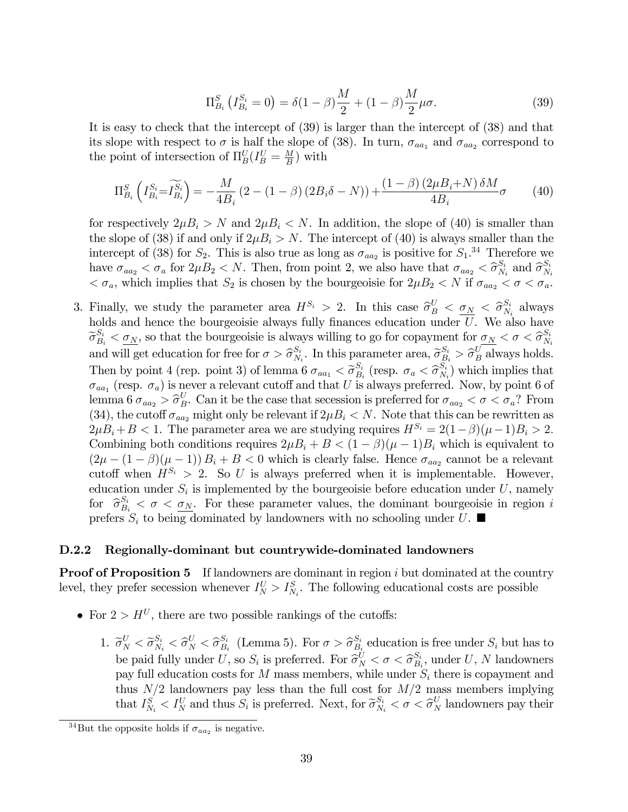$$
\Pi_{B_i}^S \left( I_{B_i}^{S_i} = 0 \right) = \delta (1 - \beta) \frac{M}{2} + (1 - \beta) \frac{M}{2} \mu \sigma. \tag{39}
$$

It is easy to check that the intercept of (39) is larger than the intercept of (38) and that its slope with respect to  $\sigma$  is half the slope of (38). In turn,  $\sigma_{aa_1}$  and  $\sigma_{aa_2}$  correspond to the point of intersection of  $\Pi_B^U(I_B^U = \frac{M}{B})$  $\frac{M}{B}$ ) with

$$
\Pi_{B_i}^S \left( I_{B_i}^{S_i} = \widetilde{I_{B_i}^{S_i}} \right) = -\frac{M}{4B_i} \left( 2 - (1 - \beta) \left( 2B_i \delta - N \right) \right) + \frac{\left( 1 - \beta \right) \left( 2\mu B_i + N \right) \delta M}{4B_i} \sigma \tag{40}
$$

for respectively  $2\mu B_i > N$  and  $2\mu B_i < N$ . In addition, the slope of (40) is smaller than the slope of (38) if and only if  $2\mu B_i > N$ . The intercept of (40) is always smaller than the intercept of (38) for  $S_2$ . This is also true as long as  $\sigma_{aa_2}$  is positive for  $S_1$ .<sup>34</sup> Therefore we have  $\sigma_{aa_2} < \sigma_a$  for  $2\mu B_2 < N$ . Then, from point 2, we also have that  $\sigma_{aa_2} < \hat{\sigma}_{N_1}^{S_i}$  $\frac{S_i}{N_i}$  and  $\widehat{\sigma}_{N_i}^{S_i}$  $N_i$  $<\sigma_a$ , which implies that  $S_2$  is chosen by the bourgeoisie for  $2\mu B_2 < N$  if  $\sigma_{aa_2} < \sigma < \sigma_a$ .

3. Finally, we study the parameter area  $H^{S_i} > 2$ . In this case  $\hat{\sigma}_B^U < \sigma_N < \hat{\sigma}_N^{S_i}$  $\frac{S_i}{N_i}$  always holds and hence the bourgeoisie always fully finances education under  $\overline{U}$ . We also have  $\widetilde{\sigma}_{B_i}^{S_i} < \sigma_N$ , so that the bourgeoisie is always willing to go for copayment for  $\sigma_N < \sigma < \widehat{\sigma}_{N_i}^{S_i}$  $N_i$ and will get education for free for  $\sigma > \hat{\sigma}_{N_s}^{S_i}$  $S_i$ . In this parameter area,  $\widetilde{\sigma}_{B_i}^{S_i} > \widehat{\sigma}_{B}^{U}$  always holds. Then by point 4 (rep. point 3) of lemma 6  $\sigma_{aa_1} < \tilde{\sigma}_{B_1}^{S_i}$  $\frac{S_i}{B_i}$  (resp.  $\sigma_a < \hat{\sigma}_{N_i}^{S_i}$  $\binom{S_i}{N_i}$  which implies that  $\sigma_{aa_1}$  (resp.  $\sigma_a$ ) is never a relevant cutoff and that U is always preferred. Now, by point 6 of lemma 6  $\sigma_{aa_2} > \hat{\sigma}_B^U$ . Can it be the case that secession is preferred for  $\sigma_{aa_2} < \sigma < \sigma_a$ ? From (34), the cutoff  $\sigma_{aa_2}$  might only be relevant if  $2\mu B_i < N$ . Note that this can be rewritten as  $2\mu B_i + B < 1$ . The parameter area we are studying requires  $H^{S_i} = 2(1-\beta)(\mu-1)B_i > 2$ . Combining both conditions requires  $2\mu B_i + B < (1 - \beta)(\mu - 1)B_i$  which is equivalent to  $(2\mu - (1 - \beta)(\mu - 1)) B_i + B < 0$  which is clearly false. Hence  $\sigma_{aa_2}$  cannot be a relevant cutoff when  $H^{S_i} > 2$ . So U is always preferred when it is implementable. However, education under  $S_i$  is implemented by the bourgeoisie before education under U, namely for  $\hat{\sigma}_{B_i}^{S_i} < \sigma < \underline{\sigma_N}$ . For these parameter values, the dominant bourgeoisie in region is prefers  $S_i$  to being dominated by landowners with no schooling under U.

#### D.2.2 Regionally-dominant but countrywide-dominated landowners

**Proof of Proposition 5** If landowners are dominant in region  $i$  but dominated at the country level, they prefer secession whenever  $I_N^U > I_{N_i}^S$ . The following educational costs are possible

- For  $2 > H^U$ , there are two possible rankings of the cutoffs:
	- 1.  $\widetilde{\sigma}_{N}^{U} < \widetilde{\sigma}_{N_i}^{S_i} < \widehat{\sigma}_{N}^{U} < \widehat{\sigma}_{B_i}^{S_i}$  $\frac{S_i}{B_i}$  (Lemma 5). For  $\sigma > \hat{\sigma}_{B_i}^{S_i}$  $S_i$  education is free under  $S_i$  but has to be paid fully under U, so  $S_i$  is preferred. For  $\widehat{\sigma}_{N}^U < \sigma < \widehat{\sigma}_{B_i}^{S_i}$  $B_i^{S_i}$ , under U, N landowners pay full education costs for  $M$  mass members, while under  $S_i$  there is copayment and thus  $N/2$  landowners pay less than the full cost for  $M/2$  mass members implying that  $I_{N_i}^S < I_N^U$  and thus  $S_i$  is preferred. Next, for  $\tilde{\sigma}_{N_i}^{S_i} < \sigma < \tilde{\sigma}_N^U$  landowners pay their

<sup>&</sup>lt;sup>34</sup>But the opposite holds if  $\sigma_{aa_2}$  is negative.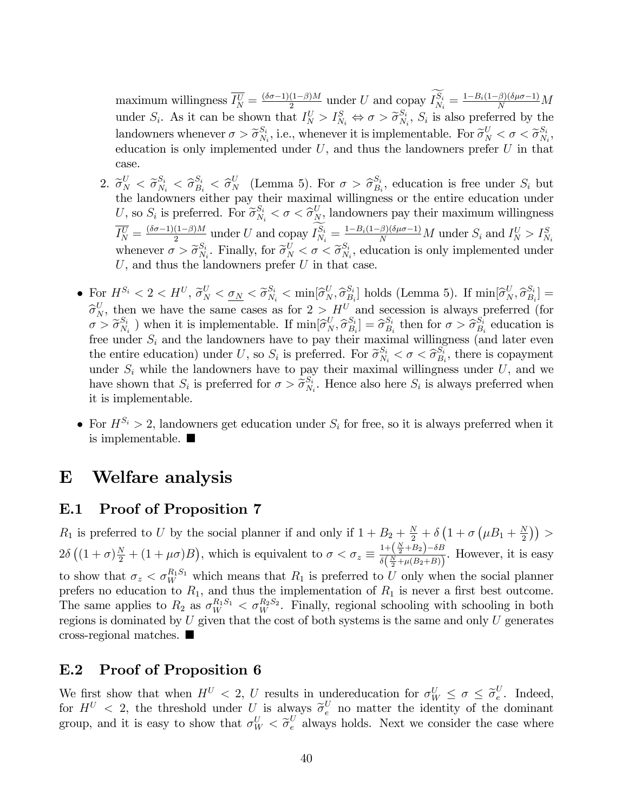maximum willingness  $\overline{I_N^U} = \frac{(\delta \sigma - 1)(1-\beta)M}{2}$  under U and copay  $I_{N_i}^{S_i} = \frac{1 - B_i(1-\beta)(\delta \mu \sigma - 1)}{N}M$ under  $S_i$ . As it can be shown that  $I_N^U > I_{N_i}^S \Leftrightarrow \sigma > \widetilde{\sigma}_{N_i}^{S_i}$  $S_i, S_i$  is also preferred by the landowners whenever  $\sigma > \widetilde{\sigma}_{N_{\text{N}}}^{S_i}$  $S_i$ , i.e., whenever it is implementable. For  $\widetilde{\sigma}_N^U < \sigma < \widetilde{\sigma}_N^{S_i}$  $\frac{S_i}{N_i},$ education is only implemented under  $U$ , and thus the landowners prefer  $U$  in that case.

- 2.  $\widetilde{\sigma}_{N}^{U} < \widetilde{\sigma}_{N_i}^{S_i} < \widehat{\sigma}_{B_i}^{S_i} < \widehat{\sigma}_{N}^{U}$  (Lemma 5). For  $\sigma > \widehat{\sigma}_{B_i}^{S_i}$  $S_i,$  education is free under  $S_i$  but the landowners either pay their maximal willingness or the entire education under U, so  $S_i$  is preferred. For  $\widetilde{\sigma}_{N_i}^{S_i} < \sigma < \widehat{\sigma}_{N_i}^{U}$  landowners pay their maximum willingness  $\overline{I_N^U} = \frac{(\delta \sigma - 1)(1-\beta)M}{2}$  under U and copay  $I_{N_i}^{S_i} = \frac{1 - B_i(1-\beta)(\delta \mu \sigma - 1)}{N}M$  under  $S_i$  and  $I_N^U > I_{N_i}^S$ whenever  $\sigma > \widetilde{\sigma}_{N_{\text{N}}}}^{S_i}$  $S_i, S_i,$  Finally, for  $\widetilde{\sigma}_N^U < \sigma < \widetilde{\sigma}_{N_i}^{S_i}$  $S_i, S_i$ , education is only implemented under  $U$ , and thus the landowners prefer  $U$  in that case.
- For  $H^{S_i} < 2 < H^{U}, \widetilde{\sigma}_N^U < \underline{\sigma}_N < \widetilde{\sigma}_{N_i}^{S_i} < \min[\widehat{\sigma}_N^U, \widehat{\sigma}_{B_i}^{S_i}]$  $\begin{bmatrix} S_i \\ B_i \end{bmatrix}$  holds (Lemma 5). If  $\min[\hat{\sigma}_N^U, \hat{\sigma}_{B_i}^{S_i}]$  $\left[\begin{smallmatrix} S_i \ B_i \end{smallmatrix}\right]=$  $\widehat{\sigma}_{N}^{U}$ , then we have the same cases as for  $2 > H^{U}$  and secession is always preferred (for  $\sigma > \widetilde{\sigma}_{N}^{S_i}$  $S_i \choose N_i}$  when it is implementable. If  $\min[\widehat{\sigma}_N^U, \widehat{\sigma}_B^{S_i}]$  $\begin{bmatrix} S_i \ B_i \end{bmatrix} = \widehat{\sigma}_{B_i}^{S_i}$  $\mathcal{S}_i$  then for  $\sigma > \widehat{\sigma}_{B_i}^{S_i}$  $B_i$  education is free under  $S_i$  and the landowners have to pay their maximal willingness (and later even the entire education) under U, so  $S_i$  is preferred. For  $\widetilde{\sigma}_{N_i}^{S_i} < \sigma < \widehat{\sigma}_{B_i}^{S_i}$  $B_i^S$ , there is copayment under  $S_i$  while the landowners have to pay their maximal willingness under  $U$ , and we have shown that  $S_i$  is preferred for  $\sigma > \widetilde{\sigma}_{N_i}^{S_i}$  $S_i$ . Hence also here  $S_i$  is always preferred when it is implementable.
- For  $H^{S_i} > 2$ , landowners get education under  $S_i$  for free, so it is always preferred when it is implementable.

# E Welfare analysis

### E.1 Proof of Proposition 7

 $R_1$  is preferred to U by the social planner if and only if  $1 + B_2 + \frac{N}{2} + \delta \left(1 + \sigma \left(\mu B_1 + \frac{N}{2}\right)\right)$  $\frac{N}{2})$ ) >  $2\delta\left((1+\sigma)\frac{N}{2}+(1+\mu\sigma)B\right)$ , which is equivalent to  $\sigma<\sigma_z\equiv \frac{1+\left(\frac{N}{2}+B_2\right)-\delta B}{\delta\left(\frac{N}{2}+\mu(B_2+B)\right)}$  $\frac{\frac{1}{2} + \frac{1}{2} + \frac{B}{2}}{\delta\left(\frac{N}{2} + \mu(B_2 + B)\right)}$ . However, it is easy to show that  $\sigma_z < \sigma_W^{R_1S_1}$  which means that  $R_1$  is preferred to U only when the social planner prefers no education to  $R_1$ , and thus the implementation of  $R_1$  is never a first best outcome. The same applies to  $R_2$  as  $\sigma_W^{R_1S_1} < \sigma_W^{R_2S_2}$ . Finally, regional schooling with schooling in both regions is dominated by  $U$  given that the cost of both systems is the same and only  $U$  generates cross-regional matches.

### E.2 Proof of Proposition 6

We first show that when  $H^U < 2$ , U results in undereducation for  $\sigma_W^U \leq \sigma \leq \tilde{\sigma}_e^U$  $e^{\prime}$ . Indeed, for  $H^U < 2$ , the threshold under U is always  $\tilde{\sigma}_e^U$  no matter the identity of the dominant group, and it is easy to show that  $\sigma_W^U < \tilde{\sigma}_e^U$  always holds. Next we consider the case where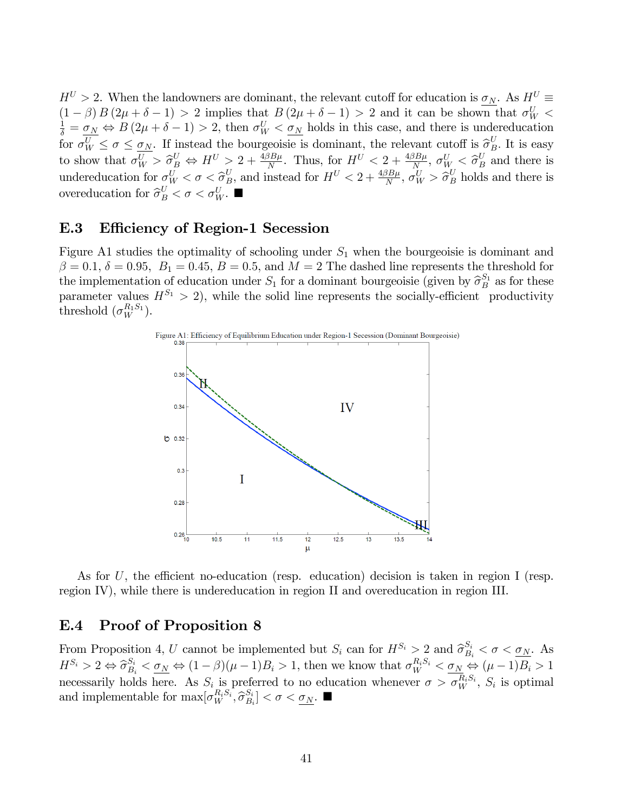$H^U > 2$ . When the landowners are dominant, the relevant cutoff for education is  $\sigma_N$ . As  $H^U =$  $(1 - \beta) B (2\mu + \delta - 1) > 2$  implies that  $B (2\mu + \delta - 1) > 2$  and it can be shown that  $\sigma_W^U$  <  $\frac{1}{\delta} = \underline{\sigma_N} \Leftrightarrow B(2\mu + \delta - 1) > 2$ , then  $\sigma_W^U < \underline{\sigma_N}$  holds in this case, and there is undereducation for  $\sigma_W^U \leq \sigma \leq \sigma_N$ . If instead the bourgeoisie is dominant, the relevant cutoff is  $\hat{\sigma}_B^U$ . It is easy to show that  $\sigma_W^U > \hat{\sigma}_B^U \Leftrightarrow H^U > 2 + \frac{4\beta B\mu}{N}$ . Thus, for  $H^U < 2 + \frac{4\beta B\mu}{N}$ ,  $\sigma_W^U < \hat{\sigma}_B^U$  and there is undereducation for  $\sigma_W^U < \sigma < \hat{\sigma}_B^U$ , and instead for  $H^U < 2 + \frac{4\beta B\mu}{N}, \sigma_W^U > \hat{\sigma}_B^U$  holds and there is overeducation for  $\hat{\sigma}_{B}^{U} < \sigma < \sigma_{W}^{U}$ .

### E.3 Efficiency of Region-1 Secession

Figure A1 studies the optimality of schooling under  $S_1$  when the bourgeoisie is dominant and  $\beta = 0.1, \delta = 0.95, B_1 = 0.45, B = 0.5, \text{ and } M = 2$  The dashed line represents the threshold for the implementation of education under  $S_1$  for a dominant bourgeoisie (given by  $\hat{\sigma}_B^{S_1}$  as for these parameter values  $H^{S_1} > 2$ , while the solid line represents the socially-efficient productivity threshold  $(\sigma_W^{R_1S_1})$ .



As for U, the efficient no-education (resp. education) decision is taken in region I (resp. region IV), while there is undereducation in region II and overeducation in region III.

### E.4 Proof of Proposition 8

From Proposition 4, U cannot be implemented but  $S_i$  can for  $H^{S_i} > 2$  and  $\hat{\sigma}_{B_i}^{S_i} < \sigma < \underline{\sigma_N}$ . As  $H^{S_i} > 2 \Leftrightarrow \hat{\sigma}_{B_i}^{S_i} < \underbrace{\sigma_N \Leftrightarrow (1-\beta)(\mu-1)B_i}_{\sim} > 1$ , then we know that  $\sigma_W^{R_i S_i} < \underbrace{\sigma_N \Leftrightarrow (\mu-1)B_i}_{\sim} > 1$ necessarily holds here. As  $S_i$  is preferred to no education whenever  $\sigma > \sigma_W^{R_i S_i}$ ,  $S_i$  is optimal and implementable for  $\max[\sigma_W^{R_iS_i}, \hat{\sigma}_{B_i}^{S_i}]$  $\left[\begin{smallmatrix} S_i \ B_i \end{smallmatrix}\right] < \sigma < \underline{\sigma_N}$ .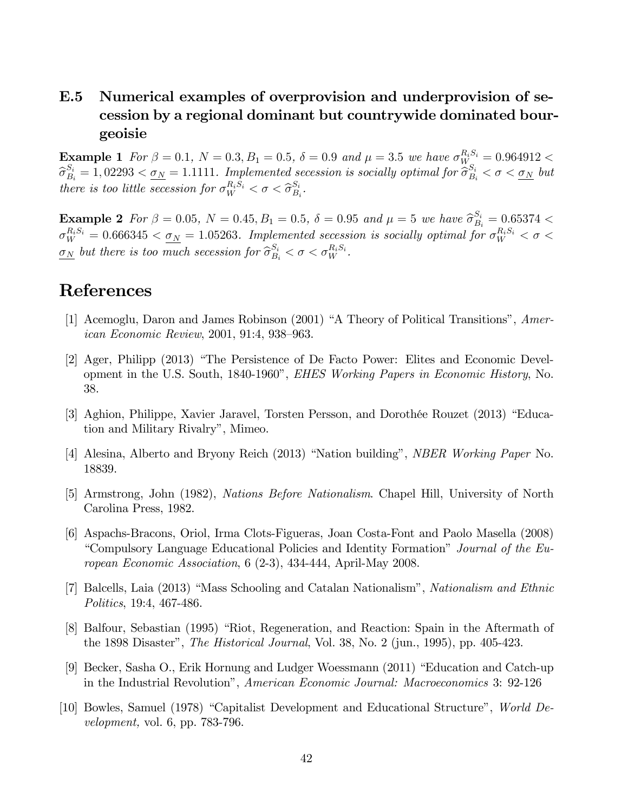# E.5 Numerical examples of overprovision and underprovision of secession by a regional dominant but countrywide dominated bourgeoisie

**Example 1** For  $\beta = 0.1$ ,  $N = 0.3$ ,  $B_1 = 0.5$ ,  $\delta = 0.9$  and  $\mu = 3.5$  we have  $\sigma_{W_{\alpha}}^{R_i S_i} = 0.964912$  $\widehat{\sigma}_{B_i}^{S_i} = 1,02293 < \underbrace{\sigma_N}_{N} = 1.1111$ . Implemented secession is socially optimal for  $\widehat{\sigma}_{B_i}^{S_i} < \sigma < \underbrace{\sigma_N}_{N}$  but there is too little secession for  $\sigma_W^{R_iS_i} < \sigma < \widehat{\sigma}_{B_i}^{S_i}$  $\frac{S_i}{B_i}$  .

**Example 2** For  $\beta = 0.05$ ,  $N = 0.45$ ,  $B_1 = 0.5$ ,  $\delta = 0.95$  and  $\mu = 5$  we have  $\hat{\sigma}_{B_i}^{S_i} = 0.65374 <$  $\sigma_W^{R_iS_i}=0.666345<\underline{\sigma_N}=1.05263.$  Implemented secession is socially optimal for  $\sigma_W^{R_iS_i}<\sigma<$  $\underline{\sigma_N}$  but there is too much secession for  $\widehat{\sigma}_{B_i}^{S_i} < \sigma < \sigma_W^{R_i S_i}$ .

# References

- [1] Acemoglu, Daron and James Robinson  $(2001)$  "A Theory of Political Transitions", American Economic Review,  $2001, 91:4, 938-963$ .
- [2] Ager, Philipp (2013) "The Persistence of De Facto Power: Elites and Economic Development in the U.S. South, 1840-1960", *EHES Working Papers in Economic History*, No. 38.
- [3] Aghion, Philippe, Xavier Jaravel, Torsten Persson, and Dorothée Rouzet (2013) "Education and Military Rivalryî, Mimeo.
- [4] Alesina, Alberto and Bryony Reich (2013) "Nation building", *NBER Working Paper* No. 18839.
- [5] Armstrong, John (1982), Nations Before Nationalism. Chapel Hill, University of North Carolina Press, 1982.
- [6] Aspachs-Bracons, Oriol, Irma Clots-Figueras, Joan Costa-Font and Paolo Masella (2008) <sup>"</sup>Compulsory Language Educational Policies and Identity Formation<sup>"</sup> Journal of the European Economic Association, 6 (2-3), 434-444, April-May 2008.
- [7] Balcells, Laia (2013) "Mass Schooling and Catalan Nationalism", Nationalism and Ethnic Politics, 19:4, 467-486.
- [8] Balfour, Sebastian (1995) "Riot, Regeneration, and Reaction: Spain in the Aftermath of the 1898 Disaster", *The Historical Journal*, Vol. 38, No. 2 (jun., 1995), pp. 405-423.
- [9] Becker, Sasha O., Erik Hornung and Ludger Woessmann (2011) "Education and Catch-up in the Industrial Revolutionî, American Economic Journal: Macroeconomics 3: 92-126
- [10] Bowles, Samuel (1978) "Capitalist Development and Educational Structure", World Development, vol. 6, pp. 783-796.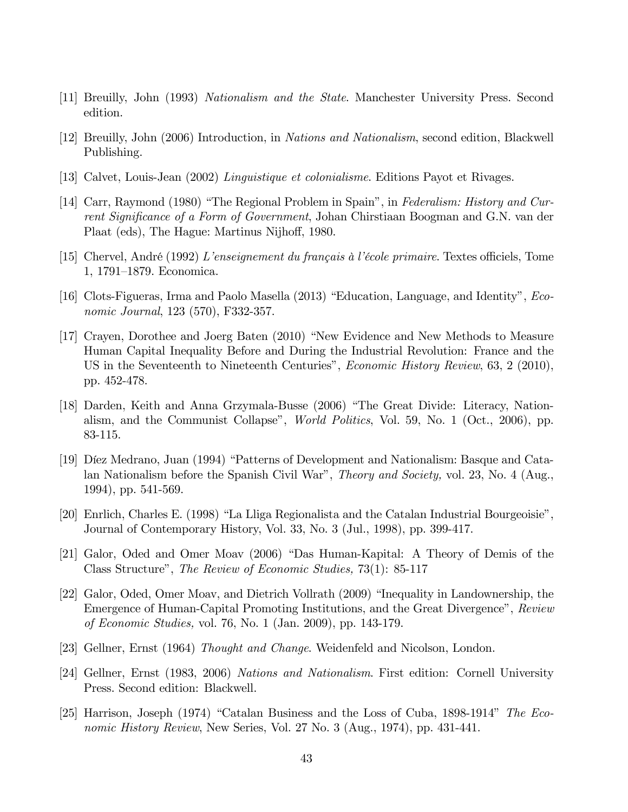- [11] Breuilly, John (1993) Nationalism and the State. Manchester University Press. Second edition.
- [12] Breuilly, John (2006) Introduction, in Nations and Nationalism, second edition, Blackwell Publishing.
- [13] Calvet, Louis-Jean (2002) Linguistique et colonialisme. Editions Payot et Rivages.
- [14] Carr, Raymond (1980) "The Regional Problem in Spain", in Federalism: History and Current Significance of a Form of Government, Johan Chirstiaan Boogman and G.N. van der Plaat (eds), The Hague: Martinus Nijhoff, 1980.
- [15] Chervel, André (1992) L'enseignement du français à l'école primaire. Textes officiels, Tome 1, 1791–1879. Economica.
- [16] Clots-Figueras, Irma and Paolo Masella  $(2013)$  "Education, Language, and Identity", *Eco*nomic Journal, 123 (570), F332-357.
- [17] Crayen, Dorothee and Joerg Baten (2010) "New Evidence and New Methods to Measure Human Capital Inequality Before and During the Industrial Revolution: France and the US in the Seventeenth to Nineteenth Centuries", *Economic History Review*, 63, 2 (2010), pp. 452-478.
- [18] Darden, Keith and Anna Grzymala-Busse (2006) "The Great Divide: Literacy, Nationalism, and the Communist Collapse", *World Politics*, Vol. 59, No. 1 (Oct., 2006), pp. 83-115.
- [19] Díez Medrano, Juan (1994) "Patterns of Development and Nationalism: Basque and Catalan Nationalism before the Spanish Civil War", *Theory and Society*, vol. 23, No. 4 (Aug., 1994), pp. 541-569.
- [20] Enrlich, Charles E. (1998) "La Lliga Regionalista and the Catalan Industrial Bourgeoisie", Journal of Contemporary History, Vol. 33, No. 3 (Jul., 1998), pp. 399-417.
- [21] Galor, Oded and Omer Moav (2006) "Das Human-Kapital: A Theory of Demis of the Class Structure", The Review of Economic Studies, 73(1): 85-117
- [22] Galor, Oded, Omer Moav, and Dietrich Vollrath (2009) "Inequality in Landownership, the Emergence of Human-Capital Promoting Institutions, and the Great Divergence", Review of Economic Studies, vol. 76, No. 1 (Jan. 2009), pp. 143-179.
- [23] Gellner, Ernst (1964) Thought and Change. Weidenfeld and Nicolson, London.
- [24] Gellner, Ernst (1983, 2006) Nations and Nationalism. First edition: Cornell University Press. Second edition: Blackwell.
- [25] Harrison, Joseph (1974) "Catalan Business and the Loss of Cuba, 1898-1914" The Economic History Review, New Series, Vol. 27 No. 3 (Aug., 1974), pp. 431-441.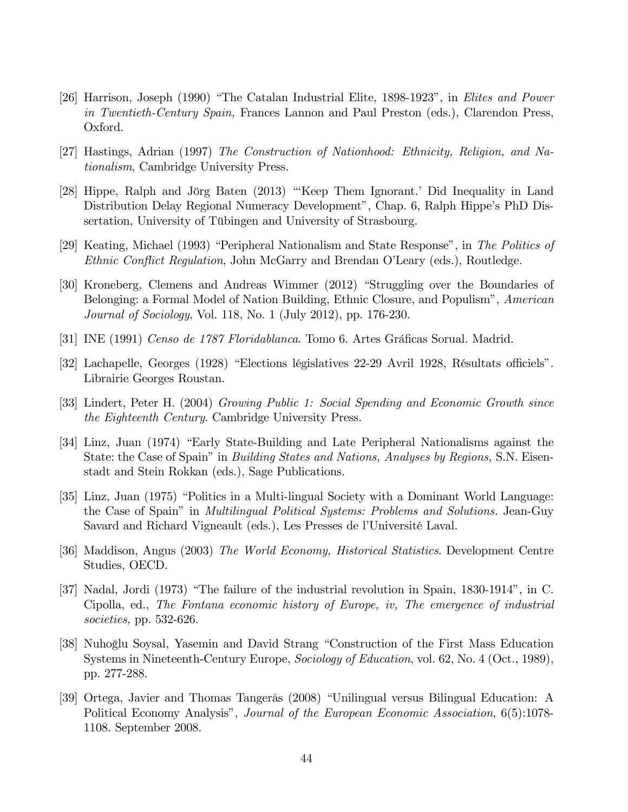- [26] Harrison, Joseph (1990) "The Catalan Industrial Elite, 1898-1923", in Elites and Power in Twentieth-Century Spain, Frances Lannon and Paul Preston (eds.), Clarendon Press, Oxford.
- [27] Hastings, Adrian (1997) The Construction of Nationhood: Ethnicity, Religion, and Nationalism, Cambridge University Press.
- [28] Hippe, Ralph and Jörg Baten (2013) "Keep Them Ignorant.' Did Inequality in Land Distribution Delay Regional Numeracy Development", Chap. 6, Ralph Hippe's PhD Dissertation, University of Tübingen and University of Strasbourg.
- [29] Keating, Michael (1993) "Peripheral Nationalism and State Response", in The Politics of Ethnic Conflict Regulation, John McGarry and Brendan O'Leary (eds.), Routledge.
- [30] Kroneberg, Clemens and Andreas Wimmer (2012) "Struggling over the Boundaries of Belonging: a Formal Model of Nation Building, Ethnic Closure, and Populism<sup>3</sup>, American Journal of Sociology, Vol. 118, No. 1 (July 2012), pp. 176-230.
- [31] INE (1991) Censo de 1787 Floridablanca. Tomo 6. Artes Gráficas Sorual. Madrid.
- [32] Lachapelle, Georges (1928) "Elections législatives 22-29 Avril 1928, Résultats officiels". Librairie Georges Roustan.
- [33] Lindert, Peter H. (2004) Growing Public 1: Social Spending and Economic Growth since the Eighteenth Century. Cambridge University Press.
- [34] Linz, Juan (1974) "Early State-Building and Late Peripheral Nationalisms against the State: the Case of Spain" in *Building States and Nations, Analyses by Regions*, S.N. Eisenstadt and Stein Rokkan (eds.), Sage Publications.
- [35] Linz, Juan (1975) "Politics in a Multi-lingual Society with a Dominant World Language: the Case of Spain" in *Multilingual Political Systems: Problems and Solutions*. Jean-Guy Savard and Richard Vigneault (eds.), Les Presses de l'Université Laval.
- [36] Maddison, Angus (2003) The World Economy, Historical Statistics. Development Centre Studies, OECD.
- [37] Nadal, Jordi (1973) "The failure of the industrial revolution in Spain,  $1830-1914$ ", in C. Cipolla, ed., The Fontana economic history of Europe, iv, The emergence of industrial societies, pp. 532-626.
- [38] Nuhoğlu Soysal, Yasemin and David Strang "Construction of the First Mass Education Systems in Nineteenth-Century Europe, *Sociology of Education*, vol. 62, No. 4 (Oct., 1989), pp. 277-288.
- [39] Ortega, Javier and Thomas Tangerås (2008) "Unilingual versus Bilingual Education: A Political Economy Analysis", *Journal of the European Economic Association*, 6(5):1078-1108. September 2008.